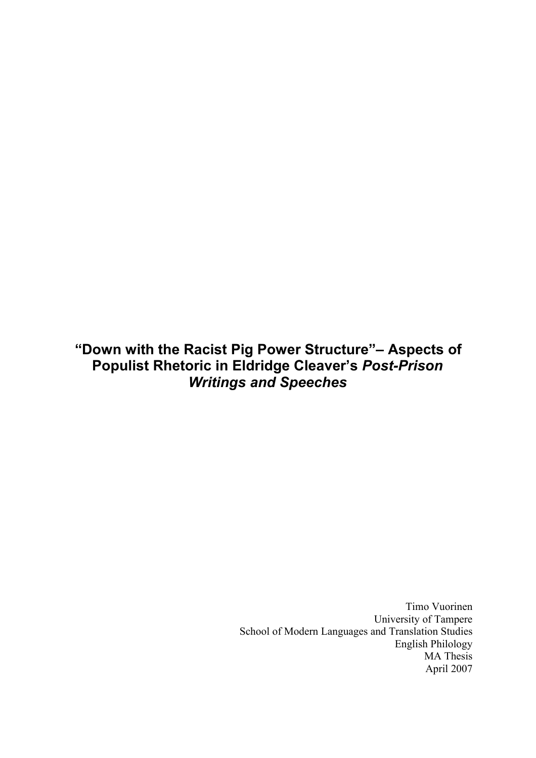**"Down with the Racist Pig Power Structure"– Aspects of Populist Rhetoric in Eldridge Cleaver's** *Post-Prison Writings and Speeches*

> Timo Vuorinen University of Tampere School of Modern Languages and Translation Studies English Philology MA Thesis April 2007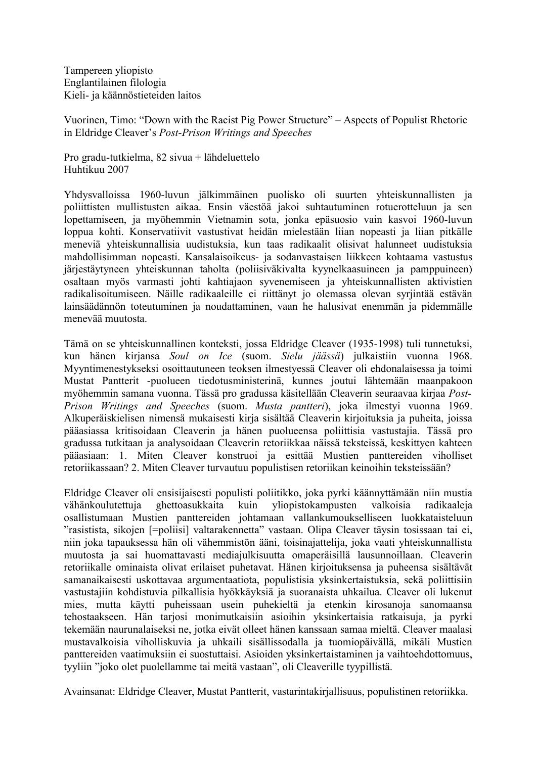Tampereen yliopisto Englantilainen filologia Kieli- ja käännöstieteiden laitos

Vuorinen, Timo: "Down with the Racist Pig Power Structure" – Aspects of Populist Rhetoric in Eldridge Cleaver's *Post-Prison Writings and Speeches*

Pro gradu-tutkielma, 82 sivua + lähdeluettelo Huhtikuu 2007

Yhdysvalloissa 1960-luvun jälkimmäinen puolisko oli suurten yhteiskunnallisten ja poliittisten mullistusten aikaa. Ensin väestöä jakoi suhtautuminen rotuerotteluun ja sen lopettamiseen, ja myöhemmin Vietnamin sota, jonka epäsuosio vain kasvoi 1960-luvun loppua kohti. Konservatiivit vastustivat heidän mielestään liian nopeasti ja liian pitkälle meneviä yhteiskunnallisia uudistuksia, kun taas radikaalit olisivat halunneet uudistuksia mahdollisimman nopeasti. Kansalaisoikeus- ja sodanvastaisen liikkeen kohtaama vastustus järjestäytyneen yhteiskunnan taholta (poliisiväkivalta kyynelkaasuineen ja pamppuineen) osaltaan myös varmasti johti kahtiajaon syvenemiseen ja yhteiskunnallisten aktivistien radikalisoitumiseen. Näille radikaaleille ei riittänyt jo olemassa olevan syrjintää estävän lainsäädännön toteutuminen ja noudattaminen, vaan he halusivat enemmän ja pidemmälle menevää muutosta.

Tämä on se yhteiskunnallinen konteksti, jossa Eldridge Cleaver (1935-1998) tuli tunnetuksi, kun hänen kirjansa *Soul on Ice* (suom. *Sielu jäässä*) julkaistiin vuonna 1968. Myyntimenestykseksi osoittautuneen teoksen ilmestyessä Cleaver oli ehdonalaisessa ja toimi Mustat Pantterit -puolueen tiedotusministerinä, kunnes joutui lähtemään maanpakoon myöhemmin samana vuonna. Tässä pro gradussa käsitellään Cleaverin seuraavaa kirjaa *Post-Prison Writings and Speeches* (suom. *Musta pantteri*), joka ilmestyi vuonna 1969. Alkuperäiskielisen nimensä mukaisesti kirja sisältää Cleaverin kirjoituksia ja puheita, joissa pääasiassa kritisoidaan Cleaverin ja hänen puolueensa poliittisia vastustajia. Tässä pro gradussa tutkitaan ja analysoidaan Cleaverin retoriikkaa näissä teksteissä, keskittyen kahteen pääasiaan: 1. Miten Cleaver konstruoi ja esittää Mustien panttereiden viholliset retoriikassaan? 2. Miten Cleaver turvautuu populistisen retoriikan keinoihin teksteissään?

Eldridge Cleaver oli ensisijaisesti populisti poliitikko, joka pyrki käännyttämään niin mustia vähänkoulutettuja ghettoasukkaita kuin yliopistokampusten valkoisia radikaaleja osallistumaan Mustien panttereiden johtamaan vallankumoukselliseen luokkataisteluun "rasistista, sikojen [=poliisi] valtarakennetta" vastaan. Olipa Cleaver täysin tosissaan tai ei, niin joka tapauksessa hän oli vähemmistön ääni, toisinajattelija, joka vaati yhteiskunnallista muutosta ja sai huomattavasti mediajulkisuutta omaperäisillä lausunnoillaan. Cleaverin retoriikalle ominaista olivat erilaiset puhetavat. Hänen kirjoituksensa ja puheensa sisältävät samanaikaisesti uskottavaa argumentaatiota, populistisia yksinkertaistuksia, sekä poliittisiin vastustajiin kohdistuvia pilkallisia hyökkäyksiä ja suoranaista uhkailua. Cleaver oli lukenut mies, mutta käytti puheissaan usein puhekieltä ja etenkin kirosanoja sanomaansa tehostaakseen. Hän tarjosi monimutkaisiin asioihin yksinkertaisia ratkaisuja, ja pyrki tekemään naurunalaiseksi ne, jotka eivät olleet hänen kanssaan samaa mieltä. Cleaver maalasi mustavalkoisia viholliskuvia ja uhkaili sisällissodalla ja tuomiopäivällä, mikäli Mustien panttereiden vaatimuksiin ei suostuttaisi. Asioiden yksinkertaistaminen ja vaihtoehdottomuus, tyyliin "joko olet puolellamme tai meitä vastaan", oli Cleaverille tyypillistä.

Avainsanat: Eldridge Cleaver, Mustat Pantterit, vastarintakirjallisuus, populistinen retoriikka.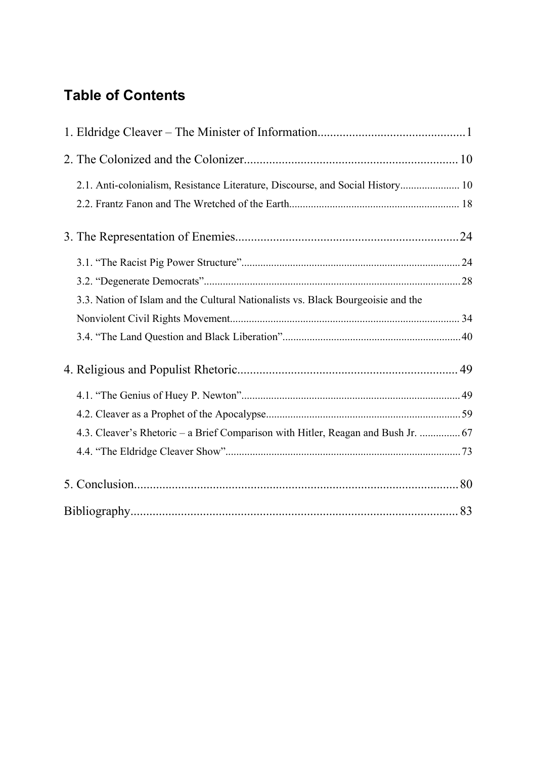# **Table of Contents**

| 2.1. Anti-colonialism, Resistance Literature, Discourse, and Social History 10    |  |
|-----------------------------------------------------------------------------------|--|
|                                                                                   |  |
|                                                                                   |  |
|                                                                                   |  |
|                                                                                   |  |
| 3.3. Nation of Islam and the Cultural Nationalists vs. Black Bourgeoisie and the  |  |
|                                                                                   |  |
|                                                                                   |  |
|                                                                                   |  |
|                                                                                   |  |
|                                                                                   |  |
| 4.3. Cleaver's Rhetoric - a Brief Comparison with Hitler, Reagan and Bush Jr.  67 |  |
|                                                                                   |  |
|                                                                                   |  |
|                                                                                   |  |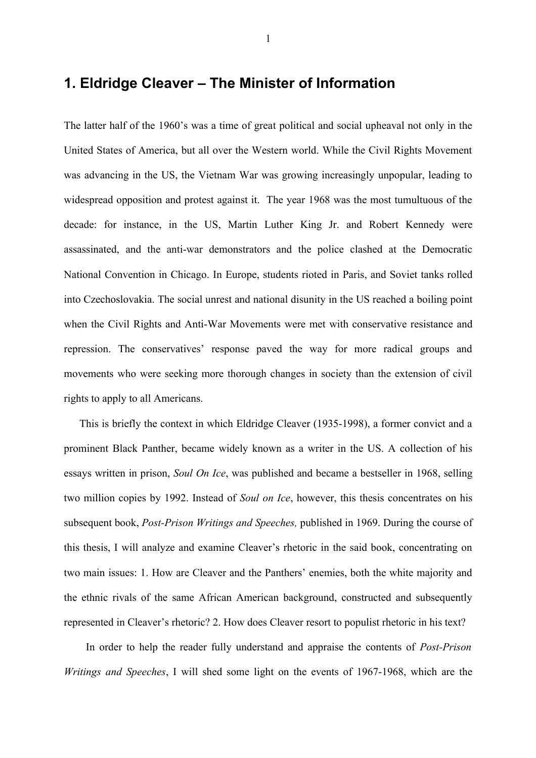# **1. Eldridge Cleaver – The Minister of Information**

The latter half of the 1960's was a time of great political and social upheaval not only in the United States of America, but all over the Western world. While the Civil Rights Movement was advancing in the US, the Vietnam War was growing increasingly unpopular, leading to widespread opposition and protest against it. The year 1968 was the most tumultuous of the decade: for instance, in the US, Martin Luther King Jr. and Robert Kennedy were assassinated, and the anti-war demonstrators and the police clashed at the Democratic National Convention in Chicago. In Europe, students rioted in Paris, and Soviet tanks rolled into Czechoslovakia. The social unrest and national disunity in the US reached a boiling point when the Civil Rights and Anti-War Movements were met with conservative resistance and repression. The conservatives' response paved the way for more radical groups and movements who were seeking more thorough changes in society than the extension of civil rights to apply to all Americans.

This is briefly the context in which Eldridge Cleaver (1935-1998), a former convict and a prominent Black Panther, became widely known as a writer in the US. A collection of his essays written in prison, *Soul On Ice*, was published and became a bestseller in 1968, selling two million copies by 1992. Instead of *Soul on Ice*, however, this thesis concentrates on his subsequent book, *Post-Prison Writings and Speeches,* published in 1969. During the course of this thesis, I will analyze and examine Cleaver's rhetoric in the said book, concentrating on two main issues: 1. How are Cleaver and the Panthers' enemies, both the white majority and the ethnic rivals of the same African American background, constructed and subsequently represented in Cleaver's rhetoric? 2. How does Cleaver resort to populist rhetoric in his text?

In order to help the reader fully understand and appraise the contents of *Post-Prison Writings and Speeches*, I will shed some light on the events of 1967-1968, which are the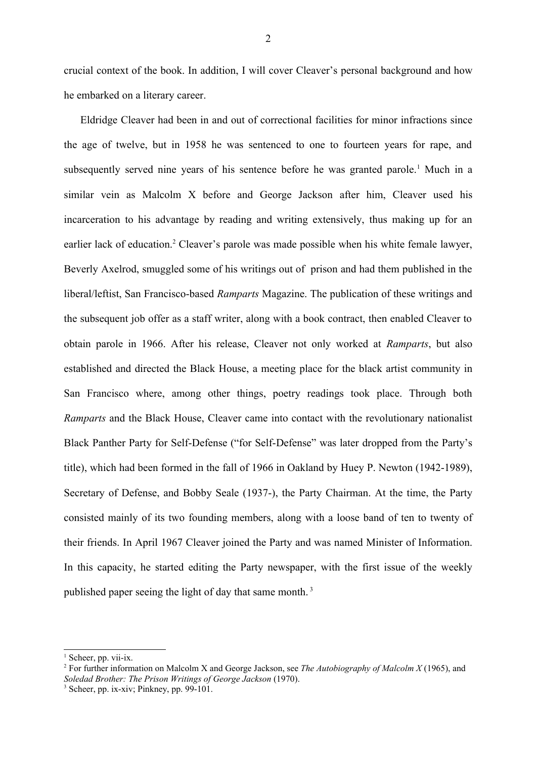crucial context of the book. In addition, I will cover Cleaver's personal background and how he embarked on a literary career.

Eldridge Cleaver had been in and out of correctional facilities for minor infractions since the age of twelve, but in 1958 he was sentenced to one to fourteen years for rape, and subsequently served nine years of his sentence before he was granted parole.<sup>[1](#page-5-0)</sup> Much in a similar vein as Malcolm X before and George Jackson after him, Cleaver used his incarceration to his advantage by reading and writing extensively, thus making up for an earlier lack of education.<sup>[2](#page-5-1)</sup> Cleaver's parole was made possible when his white female lawyer, Beverly Axelrod, smuggled some of his writings out of prison and had them published in the liberal/leftist, San Francisco-based *Ramparts* Magazine. The publication of these writings and the subsequent job offer as a staff writer, along with a book contract, then enabled Cleaver to obtain parole in 1966. After his release, Cleaver not only worked at *Ramparts*, but also established and directed the Black House, a meeting place for the black artist community in San Francisco where, among other things, poetry readings took place. Through both *Ramparts* and the Black House, Cleaver came into contact with the revolutionary nationalist Black Panther Party for Self-Defense ("for Self-Defense" was later dropped from the Party's title), which had been formed in the fall of 1966 in Oakland by Huey P. Newton (1942-1989), Secretary of Defense, and Bobby Seale (1937-), the Party Chairman. At the time, the Party consisted mainly of its two founding members, along with a loose band of ten to twenty of their friends. In April 1967 Cleaver joined the Party and was named Minister of Information. In this capacity, he started editing the Party newspaper, with the first issue of the weekly published paper seeing the light of day that same month. [3](#page-5-2)

<span id="page-5-0"></span><sup>&</sup>lt;sup>1</sup> Scheer, pp. vii-ix.

<span id="page-5-1"></span><sup>2</sup> For further information on Malcolm X and George Jackson, see *The Autobiography of Malcolm X* (1965), and *Soledad Brother: The Prison Writings of George Jackson* (1970).

<span id="page-5-2"></span><sup>&</sup>lt;sup>3</sup> Scheer, pp. ix-xiv; Pinkney, pp. 99-101.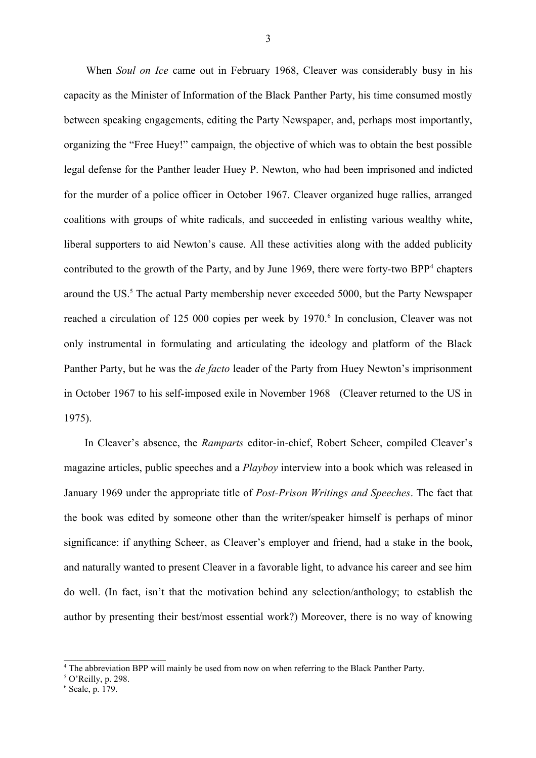When *Soul on Ice* came out in February 1968, Cleaver was considerably busy in his capacity as the Minister of Information of the Black Panther Party, his time consumed mostly between speaking engagements, editing the Party Newspaper, and, perhaps most importantly, organizing the "Free Huey!" campaign, the objective of which was to obtain the best possible legal defense for the Panther leader Huey P. Newton, who had been imprisoned and indicted for the murder of a police officer in October 1967. Cleaver organized huge rallies, arranged coalitions with groups of white radicals, and succeeded in enlisting various wealthy white, liberal supporters to aid Newton's cause. All these activities along with the added publicity contributed to the growth of the Party, and by June 1969, there were forty-two BPP<sup>[4](#page-6-0)</sup> chapters around the US.<sup>[5](#page-6-1)</sup> The actual Party membership never exceeded 5000, but the Party Newspaper reached a circulation of 125 000 copies per week by 1970.<sup>[6](#page-6-2)</sup> In conclusion, Cleaver was not only instrumental in formulating and articulating the ideology and platform of the Black Panther Party, but he was the *de facto* leader of the Party from Huey Newton's imprisonment in October 1967 to his self-imposed exile in November 1968 (Cleaver returned to the US in 1975).

In Cleaver's absence, the *Ramparts* editor-in-chief, Robert Scheer, compiled Cleaver's magazine articles, public speeches and a *Playboy* interview into a book which was released in January 1969 under the appropriate title of *Post-Prison Writings and Speeches*. The fact that the book was edited by someone other than the writer/speaker himself is perhaps of minor significance: if anything Scheer, as Cleaver's employer and friend, had a stake in the book, and naturally wanted to present Cleaver in a favorable light, to advance his career and see him do well. (In fact, isn't that the motivation behind any selection/anthology; to establish the author by presenting their best/most essential work?) Moreover, there is no way of knowing

<span id="page-6-0"></span><sup>4</sup> The abbreviation BPP will mainly be used from now on when referring to the Black Panther Party.

<span id="page-6-1"></span><sup>5</sup> O'Reilly, p. 298.

<span id="page-6-2"></span><sup>6</sup> Seale, p. 179.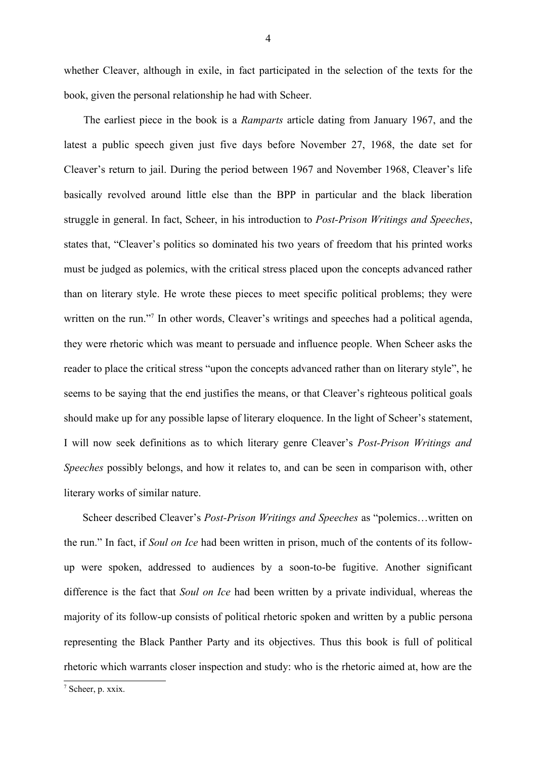whether Cleaver, although in exile, in fact participated in the selection of the texts for the book, given the personal relationship he had with Scheer.

The earliest piece in the book is a *Ramparts* article dating from January 1967, and the latest a public speech given just five days before November 27, 1968, the date set for Cleaver's return to jail. During the period between 1967 and November 1968, Cleaver's life basically revolved around little else than the BPP in particular and the black liberation struggle in general. In fact, Scheer, in his introduction to *Post-Prison Writings and Speeches*, states that, "Cleaver's politics so dominated his two years of freedom that his printed works must be judged as polemics, with the critical stress placed upon the concepts advanced rather than on literary style. He wrote these pieces to meet specific political problems; they were written on the run."<sup>[7](#page-7-0)</sup> In other words, Cleaver's writings and speeches had a political agenda, they were rhetoric which was meant to persuade and influence people. When Scheer asks the reader to place the critical stress "upon the concepts advanced rather than on literary style", he seems to be saying that the end justifies the means, or that Cleaver's righteous political goals should make up for any possible lapse of literary eloquence. In the light of Scheer's statement, I will now seek definitions as to which literary genre Cleaver's *Post-Prison Writings and Speeches* possibly belongs, and how it relates to, and can be seen in comparison with, other literary works of similar nature.

Scheer described Cleaver's *Post-Prison Writings and Speeches* as "polemics…written on the run." In fact, if *Soul on Ice* had been written in prison, much of the contents of its followup were spoken, addressed to audiences by a soon-to-be fugitive. Another significant difference is the fact that *Soul on Ice* had been written by a private individual, whereas the majority of its follow-up consists of political rhetoric spoken and written by a public persona representing the Black Panther Party and its objectives. Thus this book is full of political rhetoric which warrants closer inspection and study: who is the rhetoric aimed at, how are the

<span id="page-7-0"></span><sup>7</sup> Scheer, p. xxix.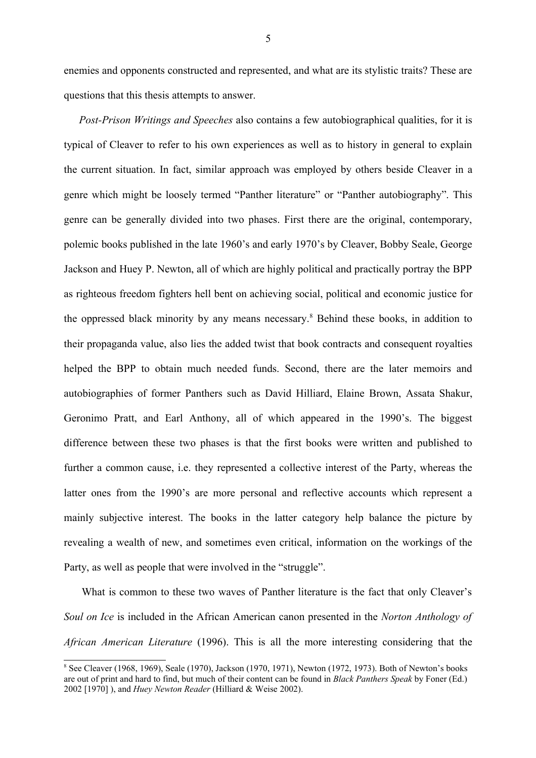enemies and opponents constructed and represented, and what are its stylistic traits? These are questions that this thesis attempts to answer.

*Post-Prison Writings and Speeches* also contains a few autobiographical qualities, for it is typical of Cleaver to refer to his own experiences as well as to history in general to explain the current situation. In fact, similar approach was employed by others beside Cleaver in a genre which might be loosely termed "Panther literature" or "Panther autobiography". This genre can be generally divided into two phases. First there are the original, contemporary, polemic books published in the late 1960's and early 1970's by Cleaver, Bobby Seale, George Jackson and Huey P. Newton, all of which are highly political and practically portray the BPP as righteous freedom fighters hell bent on achieving social, political and economic justice for the oppressed black minority by any means necessary.[8](#page-8-0) Behind these books, in addition to their propaganda value, also lies the added twist that book contracts and consequent royalties helped the BPP to obtain much needed funds. Second, there are the later memoirs and autobiographies of former Panthers such as David Hilliard, Elaine Brown, Assata Shakur, Geronimo Pratt, and Earl Anthony, all of which appeared in the 1990's. The biggest difference between these two phases is that the first books were written and published to further a common cause, i.e. they represented a collective interest of the Party, whereas the latter ones from the 1990's are more personal and reflective accounts which represent a mainly subjective interest. The books in the latter category help balance the picture by revealing a wealth of new, and sometimes even critical, information on the workings of the Party, as well as people that were involved in the "struggle".

What is common to these two waves of Panther literature is the fact that only Cleaver's *Soul on Ice* is included in the African American canon presented in the *Norton Anthology of African American Literature* (1996). This is all the more interesting considering that the

<span id="page-8-0"></span><sup>8</sup> See Cleaver (1968, 1969), Seale (1970), Jackson (1970, 1971), Newton (1972, 1973). Both of Newton's books are out of print and hard to find, but much of their content can be found in *Black Panthers Speak* by Foner (Ed.) 2002 [1970] ), and *Huey Newton Reader* (Hilliard & Weise 2002).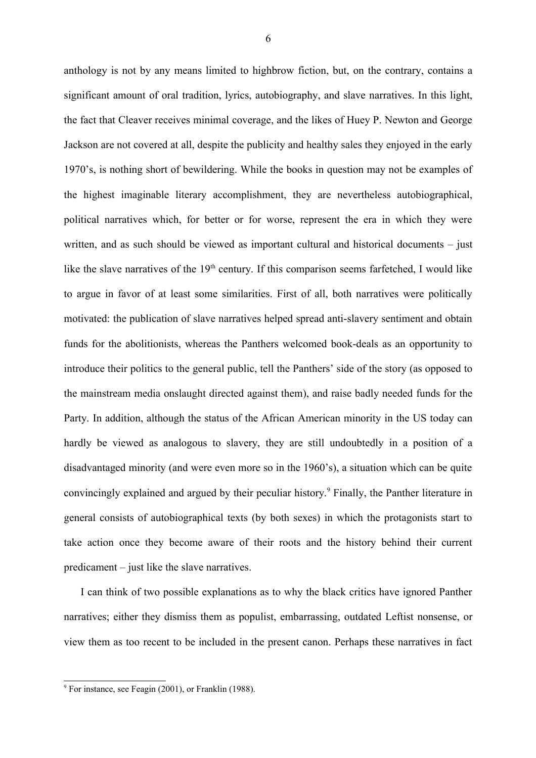anthology is not by any means limited to highbrow fiction, but, on the contrary, contains a significant amount of oral tradition, lyrics, autobiography, and slave narratives. In this light, the fact that Cleaver receives minimal coverage, and the likes of Huey P. Newton and George Jackson are not covered at all, despite the publicity and healthy sales they enjoyed in the early 1970's, is nothing short of bewildering. While the books in question may not be examples of the highest imaginable literary accomplishment, they are nevertheless autobiographical, political narratives which, for better or for worse, represent the era in which they were written, and as such should be viewed as important cultural and historical documents – just like the slave narratives of the  $19<sup>th</sup>$  century. If this comparison seems farfetched, I would like to argue in favor of at least some similarities. First of all, both narratives were politically motivated: the publication of slave narratives helped spread anti-slavery sentiment and obtain funds for the abolitionists, whereas the Panthers welcomed book-deals as an opportunity to introduce their politics to the general public, tell the Panthers' side of the story (as opposed to the mainstream media onslaught directed against them), and raise badly needed funds for the Party. In addition, although the status of the African American minority in the US today can hardly be viewed as analogous to slavery, they are still undoubtedly in a position of a disadvantaged minority (and were even more so in the 1960's), a situation which can be quite convincingly explained and argued by their peculiar history. [9](#page-9-0) Finally, the Panther literature in general consists of autobiographical texts (by both sexes) in which the protagonists start to take action once they become aware of their roots and the history behind their current predicament – just like the slave narratives.

I can think of two possible explanations as to why the black critics have ignored Panther narratives; either they dismiss them as populist, embarrassing, outdated Leftist nonsense, or view them as too recent to be included in the present canon. Perhaps these narratives in fact

<span id="page-9-0"></span><sup>&</sup>lt;sup>9</sup> For instance, see Feagin (2001), or Franklin (1988).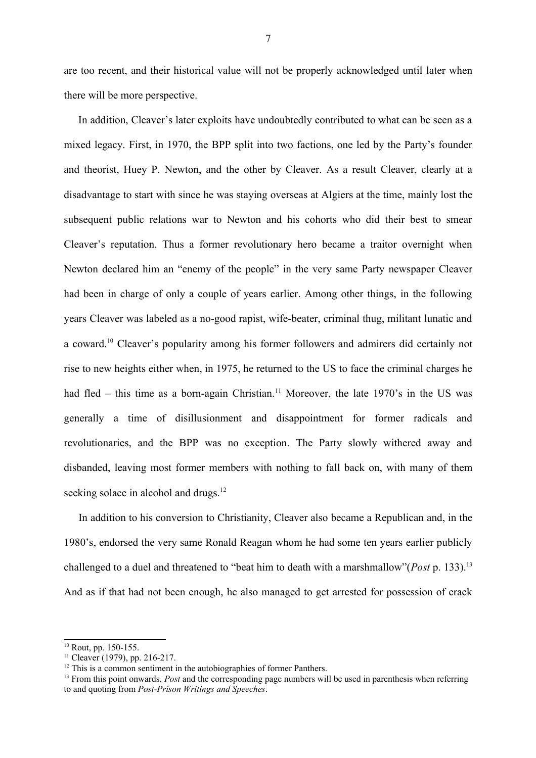are too recent, and their historical value will not be properly acknowledged until later when there will be more perspective.

In addition, Cleaver's later exploits have undoubtedly contributed to what can be seen as a mixed legacy. First, in 1970, the BPP split into two factions, one led by the Party's founder and theorist, Huey P. Newton, and the other by Cleaver. As a result Cleaver, clearly at a disadvantage to start with since he was staying overseas at Algiers at the time, mainly lost the subsequent public relations war to Newton and his cohorts who did their best to smear Cleaver's reputation. Thus a former revolutionary hero became a traitor overnight when Newton declared him an "enemy of the people" in the very same Party newspaper Cleaver had been in charge of only a couple of years earlier. Among other things, in the following years Cleaver was labeled as a no-good rapist, wife-beater, criminal thug, militant lunatic and a coward.[10](#page-10-0) Cleaver's popularity among his former followers and admirers did certainly not rise to new heights either when, in 1975, he returned to the US to face the criminal charges he had fled – this time as a born-again Christian.<sup>[11](#page-10-1)</sup> Moreover, the late 1970's in the US was generally a time of disillusionment and disappointment for former radicals and revolutionaries, and the BPP was no exception. The Party slowly withered away and disbanded, leaving most former members with nothing to fall back on, with many of them seeking solace in alcohol and drugs. $12$ 

In addition to his conversion to Christianity, Cleaver also became a Republican and, in the 1980's, endorsed the very same Ronald Reagan whom he had some ten years earlier publicly challenged to a duel and threatened to "beat him to death with a marshmallow"(*Post* p. 133).[13](#page-10-3) And as if that had not been enough, he also managed to get arrested for possession of crack

<span id="page-10-0"></span><sup>&</sup>lt;sup>10</sup> Rout, pp. 150-155.

<span id="page-10-1"></span><sup>11</sup> Cleaver (1979), pp. 216-217.

<span id="page-10-2"></span><sup>&</sup>lt;sup>12</sup> This is a common sentiment in the autobiographies of former Panthers.

<span id="page-10-3"></span><sup>&</sup>lt;sup>13</sup> From this point onwards, *Post* and the corresponding page numbers will be used in parenthesis when referring to and quoting from *Post-Prison Writings and Speeches*.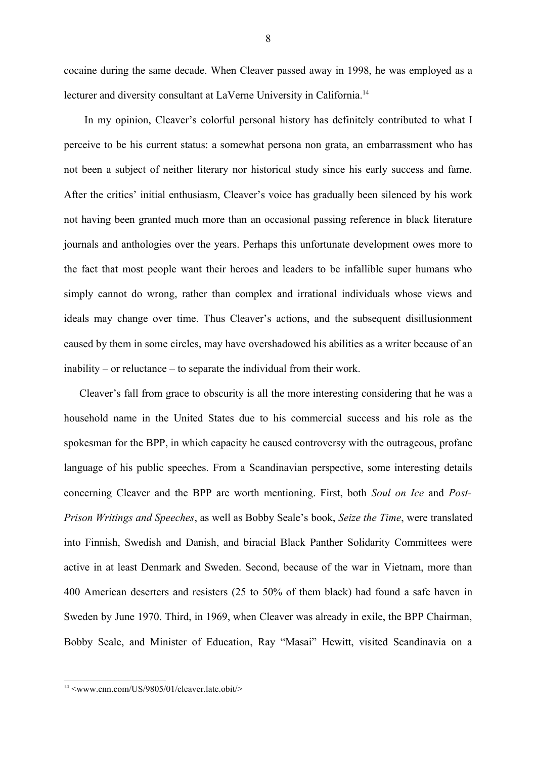cocaine during the same decade. When Cleaver passed away in 1998, he was employed as a lecturer and diversity consultant at LaVerne University in California.<sup>[14](#page-11-0)</sup>

In my opinion, Cleaver's colorful personal history has definitely contributed to what I perceive to be his current status: a somewhat persona non grata, an embarrassment who has not been a subject of neither literary nor historical study since his early success and fame. After the critics' initial enthusiasm, Cleaver's voice has gradually been silenced by his work not having been granted much more than an occasional passing reference in black literature journals and anthologies over the years. Perhaps this unfortunate development owes more to the fact that most people want their heroes and leaders to be infallible super humans who simply cannot do wrong, rather than complex and irrational individuals whose views and ideals may change over time. Thus Cleaver's actions, and the subsequent disillusionment caused by them in some circles, may have overshadowed his abilities as a writer because of an inability – or reluctance – to separate the individual from their work.

Cleaver's fall from grace to obscurity is all the more interesting considering that he was a household name in the United States due to his commercial success and his role as the spokesman for the BPP, in which capacity he caused controversy with the outrageous, profane language of his public speeches. From a Scandinavian perspective, some interesting details concerning Cleaver and the BPP are worth mentioning. First, both *Soul on Ice* and *Post-Prison Writings and Speeches*, as well as Bobby Seale's book, *Seize the Time*, were translated into Finnish, Swedish and Danish, and biracial Black Panther Solidarity Committees were active in at least Denmark and Sweden. Second, because of the war in Vietnam, more than 400 American deserters and resisters (25 to 50% of them black) had found a safe haven in Sweden by June 1970. Third, in 1969, when Cleaver was already in exile, the BPP Chairman, Bobby Seale, and Minister of Education, Ray "Masai" Hewitt, visited Scandinavia on a

<span id="page-11-0"></span> $14 \leq$ www.cnn.com/US/9805/01/cleaver.late.obit/>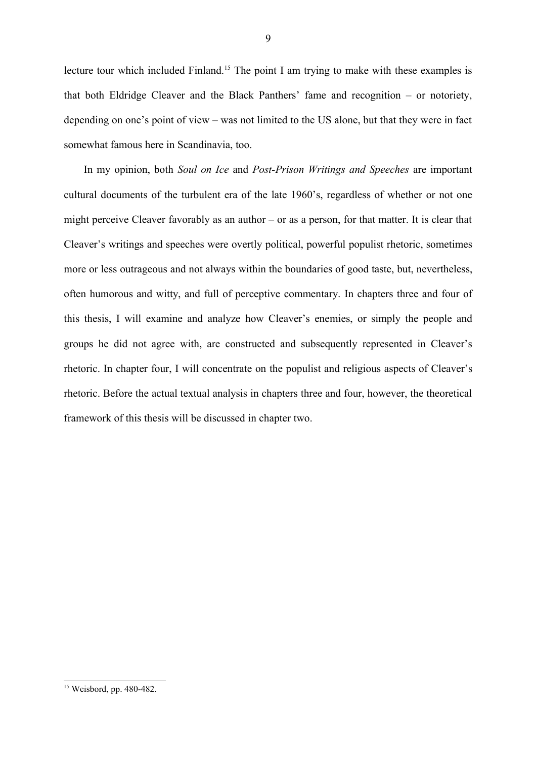lecture tour which included Finland.<sup>[15](#page-12-0)</sup> The point I am trying to make with these examples is that both Eldridge Cleaver and the Black Panthers' fame and recognition – or notoriety, depending on one's point of view – was not limited to the US alone, but that they were in fact somewhat famous here in Scandinavia, too.

In my opinion, both *Soul on Ice* and *Post-Prison Writings and Speeches* are important cultural documents of the turbulent era of the late 1960's, regardless of whether or not one might perceive Cleaver favorably as an author – or as a person, for that matter. It is clear that Cleaver's writings and speeches were overtly political, powerful populist rhetoric, sometimes more or less outrageous and not always within the boundaries of good taste, but, nevertheless, often humorous and witty, and full of perceptive commentary. In chapters three and four of this thesis, I will examine and analyze how Cleaver's enemies, or simply the people and groups he did not agree with, are constructed and subsequently represented in Cleaver's rhetoric. In chapter four, I will concentrate on the populist and religious aspects of Cleaver's rhetoric. Before the actual textual analysis in chapters three and four, however, the theoretical framework of this thesis will be discussed in chapter two.

<span id="page-12-0"></span><sup>&</sup>lt;sup>15</sup> Weisbord, pp. 480-482.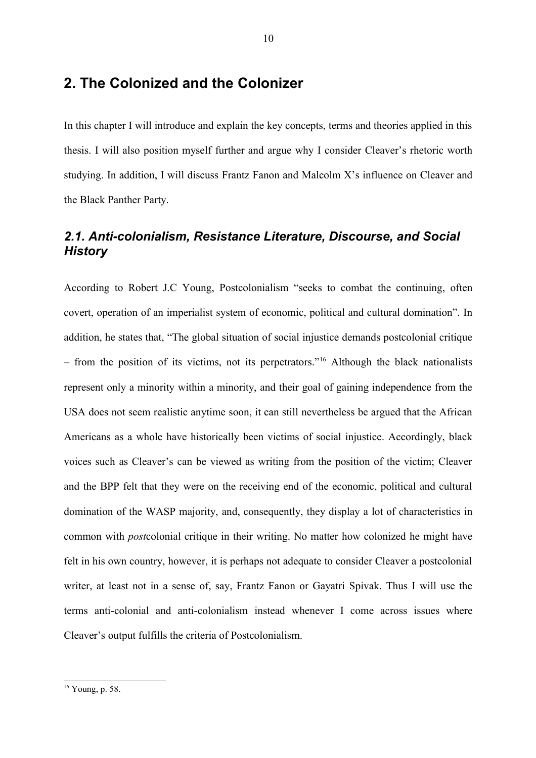## **2. The Colonized and the Colonizer**

In this chapter I will introduce and explain the key concepts, terms and theories applied in this thesis. I will also position myself further and argue why I consider Cleaver's rhetoric worth studying. In addition, I will discuss Frantz Fanon and Malcolm X's influence on Cleaver and the Black Panther Party.

### *2.1. Anti-colonialism, Resistance Literature, Discourse, and Social History*

According to Robert J.C Young, Postcolonialism "seeks to combat the continuing, often covert, operation of an imperialist system of economic, political and cultural domination". In addition, he states that, "The global situation of social injustice demands postcolonial critique – from the position of its victims, not its perpetrators."[16](#page-13-0) Although the black nationalists represent only a minority within a minority, and their goal of gaining independence from the USA does not seem realistic anytime soon, it can still nevertheless be argued that the African Americans as a whole have historically been victims of social injustice. Accordingly, black voices such as Cleaver's can be viewed as writing from the position of the victim; Cleaver and the BPP felt that they were on the receiving end of the economic, political and cultural domination of the WASP majority, and, consequently, they display a lot of characteristics in common with *post*colonial critique in their writing. No matter how colonized he might have felt in his own country, however, it is perhaps not adequate to consider Cleaver a postcolonial writer, at least not in a sense of, say, Frantz Fanon or Gayatri Spivak. Thus I will use the terms anti-colonial and anti-colonialism instead whenever I come across issues where Cleaver's output fulfills the criteria of Postcolonialism.

<span id="page-13-0"></span><sup>16</sup> Young, p. 58.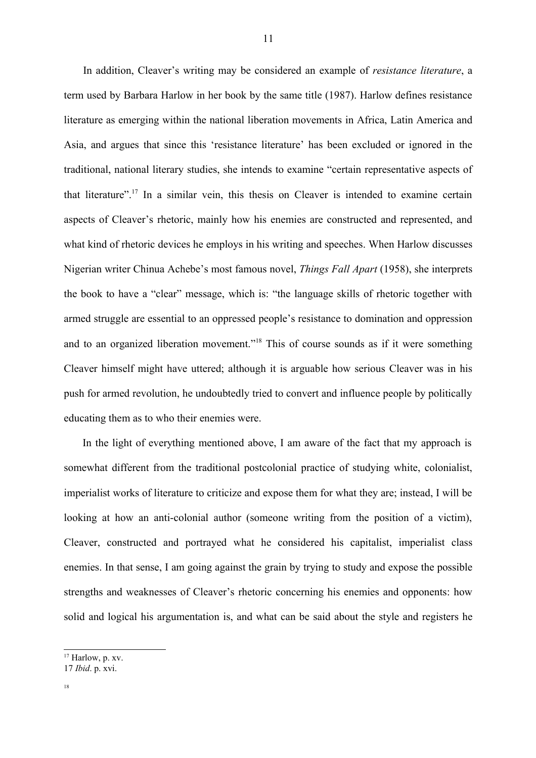In addition, Cleaver's writing may be considered an example of *resistance literature*, a term used by Barbara Harlow in her book by the same title (1987). Harlow defines resistance literature as emerging within the national liberation movements in Africa, Latin America and Asia, and argues that since this 'resistance literature' has been excluded or ignored in the traditional, national literary studies, she intends to examine "certain representative aspects of that literature".<sup>[17](#page-14-0)</sup> In a similar vein, this thesis on Cleaver is intended to examine certain aspects of Cleaver's rhetoric, mainly how his enemies are constructed and represented, and what kind of rhetoric devices he employs in his writing and speeches. When Harlow discusses Nigerian writer Chinua Achebe's most famous novel, *Things Fall Apart* (1958), she interprets the book to have a "clear" message, which is: "the language skills of rhetoric together with armed struggle are essential to an oppressed people's resistance to domination and oppression and to an organized liberation movement."<sup>[18](#page-14-1)</sup> This of course sounds as if it were something Cleaver himself might have uttered; although it is arguable how serious Cleaver was in his push for armed revolution, he undoubtedly tried to convert and influence people by politically educating them as to who their enemies were.

In the light of everything mentioned above, I am aware of the fact that my approach is somewhat different from the traditional postcolonial practice of studying white, colonialist, imperialist works of literature to criticize and expose them for what they are; instead, I will be looking at how an anti-colonial author (someone writing from the position of a victim), Cleaver, constructed and portrayed what he considered his capitalist, imperialist class enemies. In that sense, I am going against the grain by trying to study and expose the possible strengths and weaknesses of Cleaver's rhetoric concerning his enemies and opponents: how solid and logical his argumentation is, and what can be said about the style and registers he

<span id="page-14-1"></span><span id="page-14-0"></span><sup>17</sup> *Ibid*. p. xvi.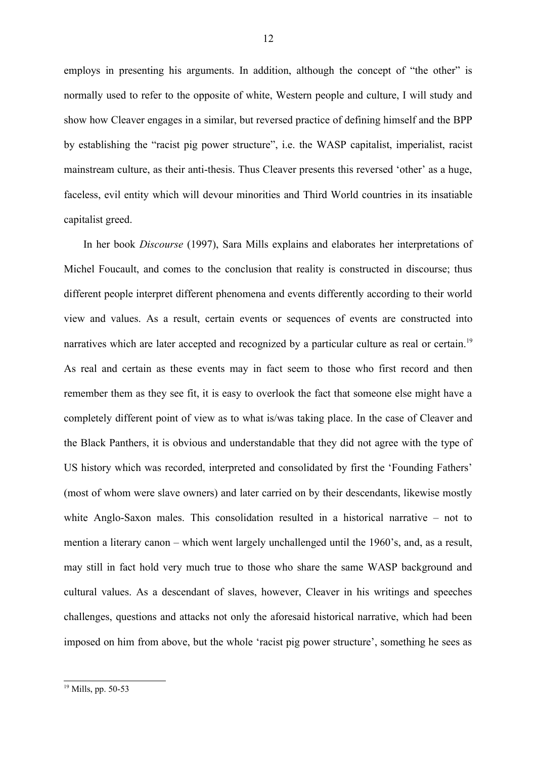employs in presenting his arguments. In addition, although the concept of "the other" is normally used to refer to the opposite of white, Western people and culture, I will study and show how Cleaver engages in a similar, but reversed practice of defining himself and the BPP by establishing the "racist pig power structure", i.e. the WASP capitalist, imperialist, racist mainstream culture, as their anti-thesis. Thus Cleaver presents this reversed 'other' as a huge, faceless, evil entity which will devour minorities and Third World countries in its insatiable capitalist greed.

In her book *Discourse* (1997), Sara Mills explains and elaborates her interpretations of Michel Foucault, and comes to the conclusion that reality is constructed in discourse; thus different people interpret different phenomena and events differently according to their world view and values. As a result, certain events or sequences of events are constructed into narratives which are later accepted and recognized by a particular culture as real or certain.<sup>[19](#page-15-0)</sup> As real and certain as these events may in fact seem to those who first record and then remember them as they see fit, it is easy to overlook the fact that someone else might have a completely different point of view as to what is/was taking place. In the case of Cleaver and the Black Panthers, it is obvious and understandable that they did not agree with the type of US history which was recorded, interpreted and consolidated by first the 'Founding Fathers' (most of whom were slave owners) and later carried on by their descendants, likewise mostly white Anglo-Saxon males. This consolidation resulted in a historical narrative – not to mention a literary canon – which went largely unchallenged until the 1960's, and, as a result, may still in fact hold very much true to those who share the same WASP background and cultural values. As a descendant of slaves, however, Cleaver in his writings and speeches challenges, questions and attacks not only the aforesaid historical narrative, which had been imposed on him from above, but the whole 'racist pig power structure', something he sees as

<span id="page-15-0"></span><sup>&</sup>lt;sup>19</sup> Mills, pp. 50-53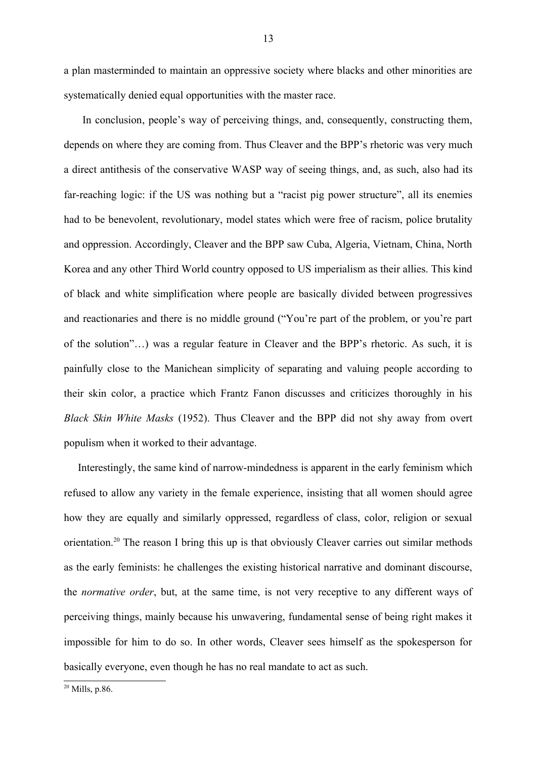a plan masterminded to maintain an oppressive society where blacks and other minorities are systematically denied equal opportunities with the master race.

In conclusion, people's way of perceiving things, and, consequently, constructing them, depends on where they are coming from. Thus Cleaver and the BPP's rhetoric was very much a direct antithesis of the conservative WASP way of seeing things, and, as such, also had its far-reaching logic: if the US was nothing but a "racist pig power structure", all its enemies had to be benevolent, revolutionary, model states which were free of racism, police brutality and oppression. Accordingly, Cleaver and the BPP saw Cuba, Algeria, Vietnam, China, North Korea and any other Third World country opposed to US imperialism as their allies. This kind of black and white simplification where people are basically divided between progressives and reactionaries and there is no middle ground ("You're part of the problem, or you're part of the solution"…) was a regular feature in Cleaver and the BPP's rhetoric. As such, it is painfully close to the Manichean simplicity of separating and valuing people according to their skin color, a practice which Frantz Fanon discusses and criticizes thoroughly in his *Black Skin White Masks* (1952). Thus Cleaver and the BPP did not shy away from overt populism when it worked to their advantage.

Interestingly, the same kind of narrow-mindedness is apparent in the early feminism which refused to allow any variety in the female experience, insisting that all women should agree how they are equally and similarly oppressed, regardless of class, color, religion or sexual orientation.[20](#page-16-0) The reason I bring this up is that obviously Cleaver carries out similar methods as the early feminists: he challenges the existing historical narrative and dominant discourse, the *normative order*, but, at the same time, is not very receptive to any different ways of perceiving things, mainly because his unwavering, fundamental sense of being right makes it impossible for him to do so. In other words, Cleaver sees himself as the spokesperson for basically everyone, even though he has no real mandate to act as such.

<span id="page-16-0"></span> $20$  Mills, p.86.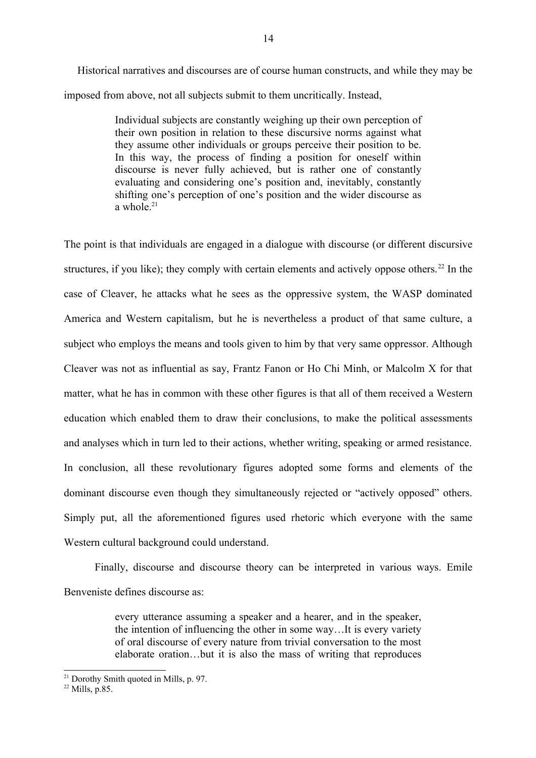Historical narratives and discourses are of course human constructs, and while they may be imposed from above, not all subjects submit to them uncritically. Instead,

> Individual subjects are constantly weighing up their own perception of their own position in relation to these discursive norms against what they assume other individuals or groups perceive their position to be. In this way, the process of finding a position for oneself within discourse is never fully achieved, but is rather one of constantly evaluating and considering one's position and, inevitably, constantly shifting one's perception of one's position and the wider discourse as a whole  $21$

The point is that individuals are engaged in a dialogue with discourse (or different discursive structures, if you like); they comply with certain elements and actively oppose others.<sup>[22](#page-17-1)</sup> In the case of Cleaver, he attacks what he sees as the oppressive system, the WASP dominated America and Western capitalism, but he is nevertheless a product of that same culture, a subject who employs the means and tools given to him by that very same oppressor. Although Cleaver was not as influential as say, Frantz Fanon or Ho Chi Minh, or Malcolm X for that matter, what he has in common with these other figures is that all of them received a Western education which enabled them to draw their conclusions, to make the political assessments and analyses which in turn led to their actions, whether writing, speaking or armed resistance. In conclusion, all these revolutionary figures adopted some forms and elements of the dominant discourse even though they simultaneously rejected or "actively opposed" others. Simply put, all the aforementioned figures used rhetoric which everyone with the same Western cultural background could understand.

Finally, discourse and discourse theory can be interpreted in various ways. Emile Benveniste defines discourse as:

> every utterance assuming a speaker and a hearer, and in the speaker, the intention of influencing the other in some way…It is every variety of oral discourse of every nature from trivial conversation to the most elaborate oration…but it is also the mass of writing that reproduces

<span id="page-17-0"></span><sup>21</sup> Dorothy Smith quoted in Mills, p. 97.

<span id="page-17-1"></span> $22$  Mills, p.85.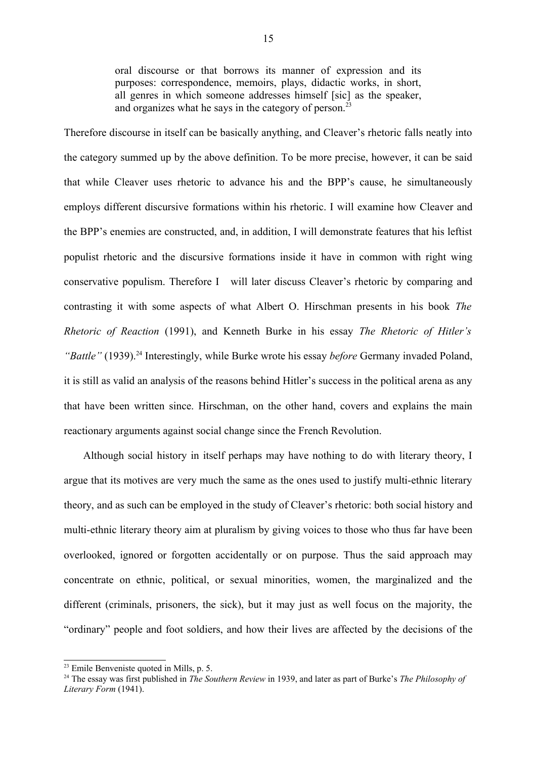oral discourse or that borrows its manner of expression and its purposes: correspondence, memoirs, plays, didactic works, in short, all genres in which someone addresses himself [sic] as the speaker, and organizes what he says in the category of person. $^{23}$  $^{23}$  $^{23}$ 

Therefore discourse in itself can be basically anything, and Cleaver's rhetoric falls neatly into the category summed up by the above definition. To be more precise, however, it can be said that while Cleaver uses rhetoric to advance his and the BPP's cause, he simultaneously employs different discursive formations within his rhetoric. I will examine how Cleaver and the BPP's enemies are constructed, and, in addition, I will demonstrate features that his leftist populist rhetoric and the discursive formations inside it have in common with right wing conservative populism. Therefore I will later discuss Cleaver's rhetoric by comparing and contrasting it with some aspects of what Albert O. Hirschman presents in his book *The Rhetoric of Reaction* (1991), and Kenneth Burke in his essay *The Rhetoric of Hitler's* "Battle" (1939).<sup>[24](#page-18-1)</sup> Interestingly, while Burke wrote his essay *before* Germany invaded Poland, it is still as valid an analysis of the reasons behind Hitler's success in the political arena as any that have been written since. Hirschman, on the other hand, covers and explains the main reactionary arguments against social change since the French Revolution.

Although social history in itself perhaps may have nothing to do with literary theory, I argue that its motives are very much the same as the ones used to justify multi-ethnic literary theory, and as such can be employed in the study of Cleaver's rhetoric: both social history and multi-ethnic literary theory aim at pluralism by giving voices to those who thus far have been overlooked, ignored or forgotten accidentally or on purpose. Thus the said approach may concentrate on ethnic, political, or sexual minorities, women, the marginalized and the different (criminals, prisoners, the sick), but it may just as well focus on the majority, the "ordinary" people and foot soldiers, and how their lives are affected by the decisions of the

<span id="page-18-0"></span> $23$  Emile Benveniste quoted in Mills, p. 5.

<span id="page-18-1"></span><sup>24</sup> The essay was first published in *The Southern Review* in 1939, and later as part of Burke's *The Philosophy of Literary Form* (1941).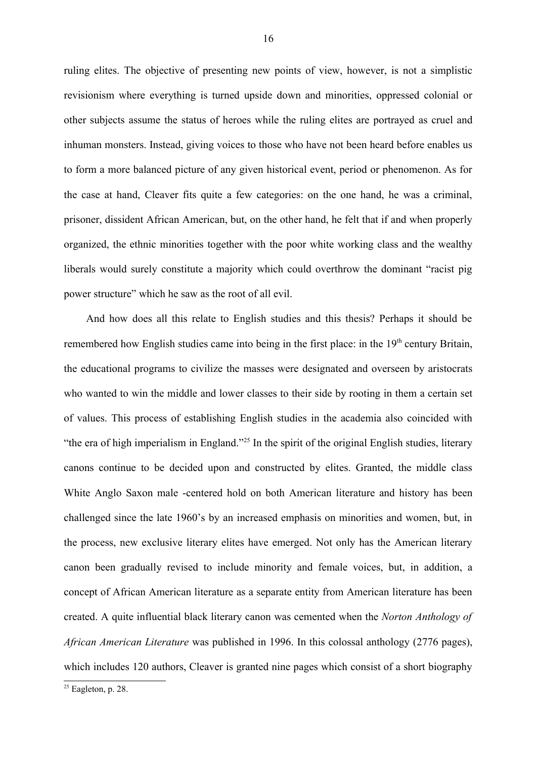ruling elites. The objective of presenting new points of view, however, is not a simplistic revisionism where everything is turned upside down and minorities, oppressed colonial or other subjects assume the status of heroes while the ruling elites are portrayed as cruel and inhuman monsters. Instead, giving voices to those who have not been heard before enables us to form a more balanced picture of any given historical event, period or phenomenon. As for the case at hand, Cleaver fits quite a few categories: on the one hand, he was a criminal, prisoner, dissident African American, but, on the other hand, he felt that if and when properly organized, the ethnic minorities together with the poor white working class and the wealthy liberals would surely constitute a majority which could overthrow the dominant "racist pig power structure" which he saw as the root of all evil.

And how does all this relate to English studies and this thesis? Perhaps it should be remembered how English studies came into being in the first place: in the  $19<sup>th</sup>$  century Britain, the educational programs to civilize the masses were designated and overseen by aristocrats who wanted to win the middle and lower classes to their side by rooting in them a certain set of values. This process of establishing English studies in the academia also coincided with "the era of high imperialism in England."[25](#page-19-0) In the spirit of the original English studies, literary canons continue to be decided upon and constructed by elites. Granted, the middle class White Anglo Saxon male -centered hold on both American literature and history has been challenged since the late 1960's by an increased emphasis on minorities and women, but, in the process, new exclusive literary elites have emerged. Not only has the American literary canon been gradually revised to include minority and female voices, but, in addition, a concept of African American literature as a separate entity from American literature has been created. A quite influential black literary canon was cemented when the *Norton Anthology of African American Literature* was published in 1996. In this colossal anthology (2776 pages), which includes 120 authors, Cleaver is granted nine pages which consist of a short biography

<span id="page-19-0"></span> $25$  Eagleton, p. 28.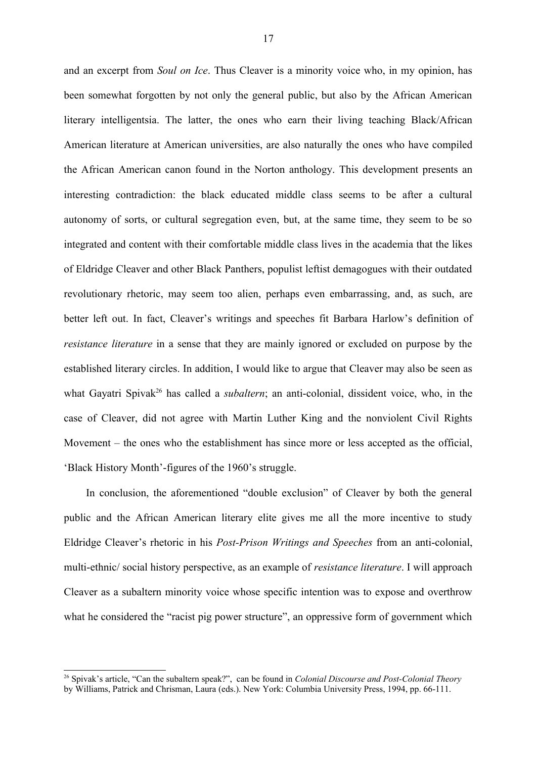and an excerpt from *Soul on Ice*. Thus Cleaver is a minority voice who, in my opinion, has been somewhat forgotten by not only the general public, but also by the African American literary intelligentsia. The latter, the ones who earn their living teaching Black/African American literature at American universities, are also naturally the ones who have compiled the African American canon found in the Norton anthology. This development presents an interesting contradiction: the black educated middle class seems to be after a cultural autonomy of sorts, or cultural segregation even, but, at the same time, they seem to be so integrated and content with their comfortable middle class lives in the academia that the likes of Eldridge Cleaver and other Black Panthers, populist leftist demagogues with their outdated revolutionary rhetoric, may seem too alien, perhaps even embarrassing, and, as such, are better left out. In fact, Cleaver's writings and speeches fit Barbara Harlow's definition of *resistance literature* in a sense that they are mainly ignored or excluded on purpose by the established literary circles. In addition, I would like to argue that Cleaver may also be seen as what Gayatri Spivak<sup>[26](#page-20-0)</sup> has called a *subaltern*; an anti-colonial, dissident voice, who, in the case of Cleaver, did not agree with Martin Luther King and the nonviolent Civil Rights Movement – the ones who the establishment has since more or less accepted as the official, 'Black History Month'-figures of the 1960's struggle.

In conclusion, the aforementioned "double exclusion" of Cleaver by both the general public and the African American literary elite gives me all the more incentive to study Eldridge Cleaver's rhetoric in his *Post-Prison Writings and Speeches* from an anti-colonial, multi-ethnic/ social history perspective, as an example of *resistance literature*. I will approach Cleaver as a subaltern minority voice whose specific intention was to expose and overthrow what he considered the "racist pig power structure", an oppressive form of government which

<span id="page-20-0"></span><sup>26</sup> Spivak's article, "Can the subaltern speak?", can be found in *Colonial Discourse and Post-Colonial Theory* by Williams, Patrick and Chrisman, Laura (eds.). New York: Columbia University Press, 1994, pp. 66-111.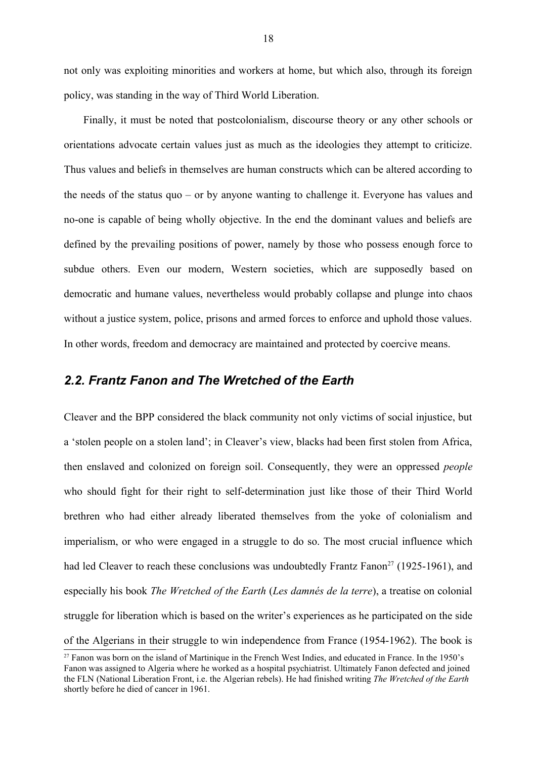not only was exploiting minorities and workers at home, but which also, through its foreign policy, was standing in the way of Third World Liberation.

Finally, it must be noted that postcolonialism, discourse theory or any other schools or orientations advocate certain values just as much as the ideologies they attempt to criticize. Thus values and beliefs in themselves are human constructs which can be altered according to the needs of the status quo – or by anyone wanting to challenge it. Everyone has values and no-one is capable of being wholly objective. In the end the dominant values and beliefs are defined by the prevailing positions of power, namely by those who possess enough force to subdue others. Even our modern, Western societies, which are supposedly based on democratic and humane values, nevertheless would probably collapse and plunge into chaos without a justice system, police, prisons and armed forces to enforce and uphold those values. In other words, freedom and democracy are maintained and protected by coercive means.

#### *2.2. Frantz Fanon and The Wretched of the Earth*

Cleaver and the BPP considered the black community not only victims of social injustice, but a 'stolen people on a stolen land'; in Cleaver's view, blacks had been first stolen from Africa, then enslaved and colonized on foreign soil. Consequently, they were an oppressed *people* who should fight for their right to self-determination just like those of their Third World brethren who had either already liberated themselves from the yoke of colonialism and imperialism, or who were engaged in a struggle to do so. The most crucial influence which had led Cleaver to reach these conclusions was undoubtedly Frantz Fanon<sup>[27](#page-21-0)</sup> (1925-1961), and especially his book *The Wretched of the Earth* (*Les damnés de la terre*), a treatise on colonial struggle for liberation which is based on the writer's experiences as he participated on the side of the Algerians in their struggle to win independence from France (1954-1962). The book is

<span id="page-21-0"></span><sup>&</sup>lt;sup>27</sup> Fanon was born on the island of Martinique in the French West Indies, and educated in France. In the 1950's Fanon was assigned to Algeria where he worked as a hospital psychiatrist. Ultimately Fanon defected and joined the FLN (National Liberation Front, i.e. the Algerian rebels). He had finished writing *The Wretched of the Earth* shortly before he died of cancer in 1961.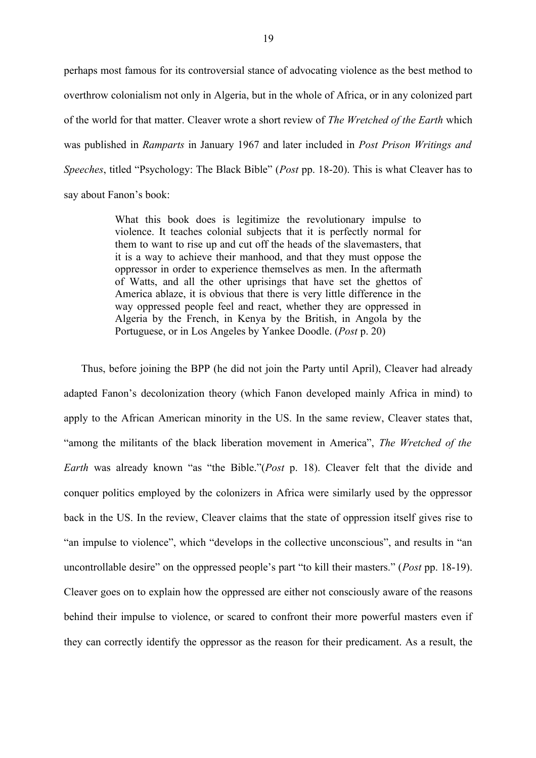perhaps most famous for its controversial stance of advocating violence as the best method to overthrow colonialism not only in Algeria, but in the whole of Africa, or in any colonized part of the world for that matter. Cleaver wrote a short review of *The Wretched of the Earth* which was published in *Ramparts* in January 1967 and later included in *Post Prison Writings and Speeches*, titled "Psychology: The Black Bible" (*Post* pp. 18-20). This is what Cleaver has to say about Fanon's book:

> What this book does is legitimize the revolutionary impulse to violence. It teaches colonial subjects that it is perfectly normal for them to want to rise up and cut off the heads of the slavemasters, that it is a way to achieve their manhood, and that they must oppose the oppressor in order to experience themselves as men. In the aftermath of Watts, and all the other uprisings that have set the ghettos of America ablaze, it is obvious that there is very little difference in the way oppressed people feel and react, whether they are oppressed in Algeria by the French, in Kenya by the British, in Angola by the Portuguese, or in Los Angeles by Yankee Doodle. (*Post* p. 20)

Thus, before joining the BPP (he did not join the Party until April), Cleaver had already adapted Fanon's decolonization theory (which Fanon developed mainly Africa in mind) to apply to the African American minority in the US. In the same review, Cleaver states that, "among the militants of the black liberation movement in America", *The Wretched of the Earth* was already known "as "the Bible."(*Post* p. 18). Cleaver felt that the divide and conquer politics employed by the colonizers in Africa were similarly used by the oppressor back in the US. In the review, Cleaver claims that the state of oppression itself gives rise to "an impulse to violence", which "develops in the collective unconscious", and results in "an uncontrollable desire" on the oppressed people's part "to kill their masters." (*Post* pp. 18-19). Cleaver goes on to explain how the oppressed are either not consciously aware of the reasons behind their impulse to violence, or scared to confront their more powerful masters even if they can correctly identify the oppressor as the reason for their predicament. As a result, the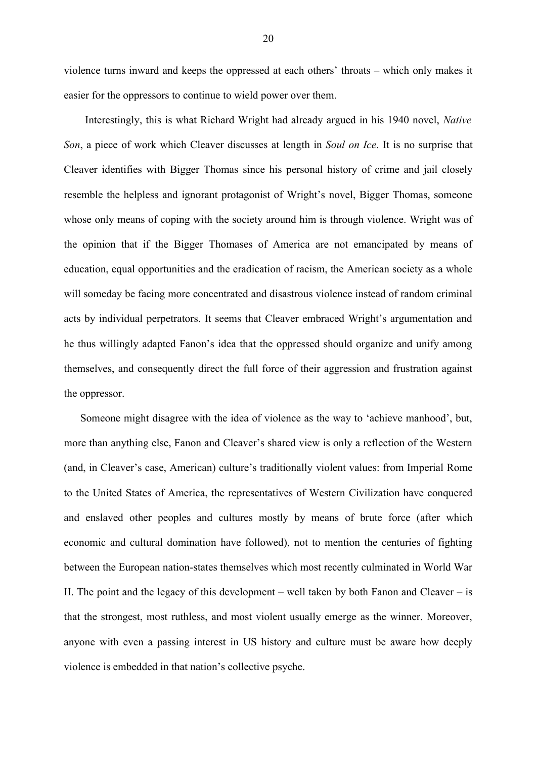violence turns inward and keeps the oppressed at each others' throats – which only makes it easier for the oppressors to continue to wield power over them.

Interestingly, this is what Richard Wright had already argued in his 1940 novel, *Native Son*, a piece of work which Cleaver discusses at length in *Soul on Ice*. It is no surprise that Cleaver identifies with Bigger Thomas since his personal history of crime and jail closely resemble the helpless and ignorant protagonist of Wright's novel, Bigger Thomas, someone whose only means of coping with the society around him is through violence. Wright was of the opinion that if the Bigger Thomases of America are not emancipated by means of education, equal opportunities and the eradication of racism, the American society as a whole will someday be facing more concentrated and disastrous violence instead of random criminal acts by individual perpetrators. It seems that Cleaver embraced Wright's argumentation and he thus willingly adapted Fanon's idea that the oppressed should organize and unify among themselves, and consequently direct the full force of their aggression and frustration against the oppressor.

Someone might disagree with the idea of violence as the way to 'achieve manhood', but, more than anything else, Fanon and Cleaver's shared view is only a reflection of the Western (and, in Cleaver's case, American) culture's traditionally violent values: from Imperial Rome to the United States of America, the representatives of Western Civilization have conquered and enslaved other peoples and cultures mostly by means of brute force (after which economic and cultural domination have followed), not to mention the centuries of fighting between the European nation-states themselves which most recently culminated in World War II. The point and the legacy of this development – well taken by both Fanon and Cleaver – is that the strongest, most ruthless, and most violent usually emerge as the winner. Moreover, anyone with even a passing interest in US history and culture must be aware how deeply violence is embedded in that nation's collective psyche.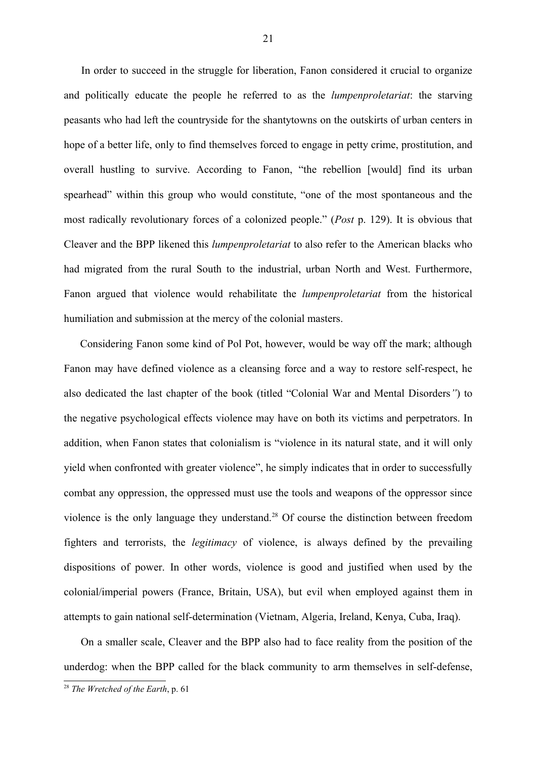In order to succeed in the struggle for liberation, Fanon considered it crucial to organize and politically educate the people he referred to as the *lumpenproletariat*: the starving peasants who had left the countryside for the shantytowns on the outskirts of urban centers in hope of a better life, only to find themselves forced to engage in petty crime, prostitution, and overall hustling to survive. According to Fanon, "the rebellion [would] find its urban spearhead" within this group who would constitute, "one of the most spontaneous and the most radically revolutionary forces of a colonized people." (*Post* p. 129). It is obvious that Cleaver and the BPP likened this *lumpenproletariat* to also refer to the American blacks who had migrated from the rural South to the industrial, urban North and West. Furthermore, Fanon argued that violence would rehabilitate the *lumpenproletariat* from the historical humiliation and submission at the mercy of the colonial masters.

Considering Fanon some kind of Pol Pot, however, would be way off the mark; although Fanon may have defined violence as a cleansing force and a way to restore self-respect, he also dedicated the last chapter of the book (titled "Colonial War and Mental Disorders*"*) to the negative psychological effects violence may have on both its victims and perpetrators. In addition, when Fanon states that colonialism is "violence in its natural state, and it will only yield when confronted with greater violence", he simply indicates that in order to successfully combat any oppression, the oppressed must use the tools and weapons of the oppressor since violence is the only language they understand.[28](#page-24-0) Of course the distinction between freedom fighters and terrorists, the *legitimacy* of violence, is always defined by the prevailing dispositions of power. In other words, violence is good and justified when used by the colonial/imperial powers (France, Britain, USA), but evil when employed against them in attempts to gain national self-determination (Vietnam, Algeria, Ireland, Kenya, Cuba, Iraq).

On a smaller scale, Cleaver and the BPP also had to face reality from the position of the underdog: when the BPP called for the black community to arm themselves in self-defense,

<span id="page-24-0"></span><sup>28</sup> *The Wretched of the Earth*, p. 61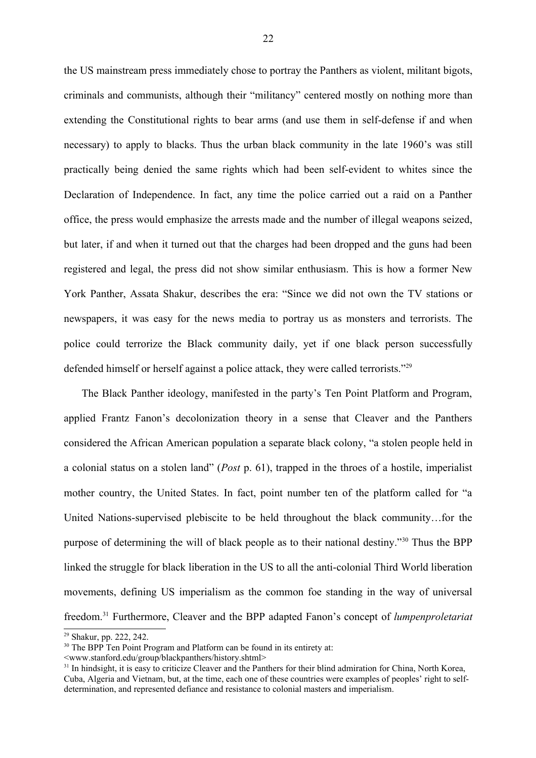the US mainstream press immediately chose to portray the Panthers as violent, militant bigots, criminals and communists, although their "militancy" centered mostly on nothing more than extending the Constitutional rights to bear arms (and use them in self-defense if and when necessary) to apply to blacks. Thus the urban black community in the late 1960's was still practically being denied the same rights which had been self-evident to whites since the Declaration of Independence. In fact, any time the police carried out a raid on a Panther office, the press would emphasize the arrests made and the number of illegal weapons seized, but later, if and when it turned out that the charges had been dropped and the guns had been registered and legal, the press did not show similar enthusiasm. This is how a former New York Panther, Assata Shakur, describes the era: "Since we did not own the TV stations or newspapers, it was easy for the news media to portray us as monsters and terrorists. The police could terrorize the Black community daily, yet if one black person successfully defended himself or herself against a police attack, they were called terrorists."[29](#page-25-0)

The Black Panther ideology, manifested in the party's Ten Point Platform and Program, applied Frantz Fanon's decolonization theory in a sense that Cleaver and the Panthers considered the African American population a separate black colony, "a stolen people held in a colonial status on a stolen land" (*Post* p. 61), trapped in the throes of a hostile, imperialist mother country, the United States. In fact, point number ten of the platform called for "a United Nations-supervised plebiscite to be held throughout the black community…for the purpose of determining the will of black people as to their national destiny."<sup>[30](#page-25-1)</sup> Thus the BPP linked the struggle for black liberation in the US to all the anti-colonial Third World liberation movements, defining US imperialism as the common foe standing in the way of universal freedom.[31](#page-25-2) Furthermore, Cleaver and the BPP adapted Fanon's concept of *lumpenproletariat*

<span id="page-25-0"></span><sup>&</sup>lt;sup>29</sup> Shakur, pp. 222, 242.

<span id="page-25-1"></span><sup>&</sup>lt;sup>30</sup> The BPP Ten Point Program and Platform can be found in its entirety at:

<sup>&</sup>lt;www.stanford.edu/group/blackpanthers/history.shtml>

<span id="page-25-2"></span><sup>&</sup>lt;sup>31</sup> In hindsight, it is easy to criticize Cleaver and the Panthers for their blind admiration for China, North Korea, Cuba, Algeria and Vietnam, but, at the time, each one of these countries were examples of peoples' right to selfdetermination, and represented defiance and resistance to colonial masters and imperialism.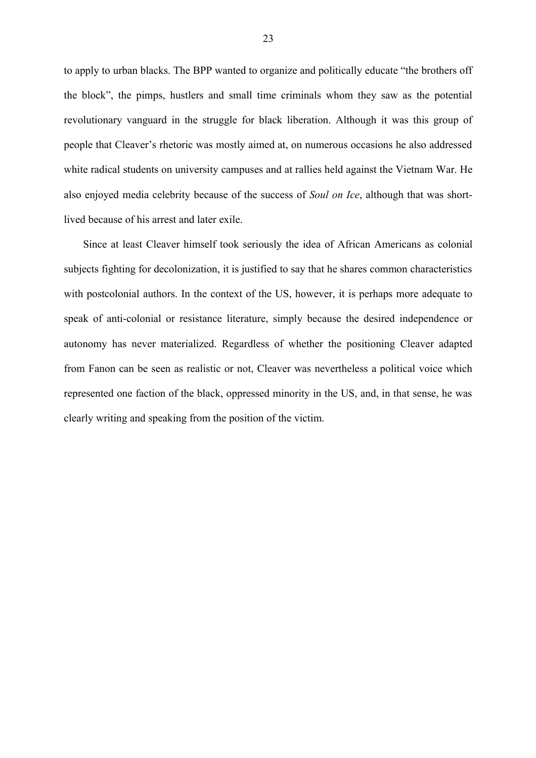to apply to urban blacks. The BPP wanted to organize and politically educate "the brothers off the block", the pimps, hustlers and small time criminals whom they saw as the potential revolutionary vanguard in the struggle for black liberation. Although it was this group of people that Cleaver's rhetoric was mostly aimed at, on numerous occasions he also addressed white radical students on university campuses and at rallies held against the Vietnam War. He also enjoyed media celebrity because of the success of *Soul on Ice*, although that was shortlived because of his arrest and later exile.

Since at least Cleaver himself took seriously the idea of African Americans as colonial subjects fighting for decolonization, it is justified to say that he shares common characteristics with postcolonial authors. In the context of the US, however, it is perhaps more adequate to speak of anti-colonial or resistance literature, simply because the desired independence or autonomy has never materialized. Regardless of whether the positioning Cleaver adapted from Fanon can be seen as realistic or not, Cleaver was nevertheless a political voice which represented one faction of the black, oppressed minority in the US, and, in that sense, he was clearly writing and speaking from the position of the victim.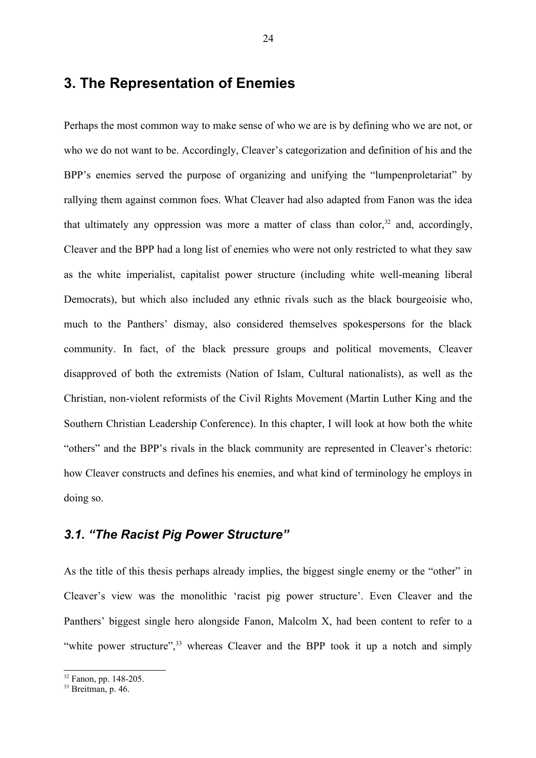# **3. The Representation of Enemies**

Perhaps the most common way to make sense of who we are is by defining who we are not, or who we do not want to be. Accordingly, Cleaver's categorization and definition of his and the BPP's enemies served the purpose of organizing and unifying the "lumpenproletariat" by rallying them against common foes. What Cleaver had also adapted from Fanon was the idea that ultimately any oppression was more a matter of class than color,<sup>[32](#page-27-0)</sup> and, accordingly, Cleaver and the BPP had a long list of enemies who were not only restricted to what they saw as the white imperialist, capitalist power structure (including white well-meaning liberal Democrats), but which also included any ethnic rivals such as the black bourgeoisie who, much to the Panthers' dismay, also considered themselves spokespersons for the black community. In fact, of the black pressure groups and political movements, Cleaver disapproved of both the extremists (Nation of Islam, Cultural nationalists), as well as the Christian, non-violent reformists of the Civil Rights Movement (Martin Luther King and the Southern Christian Leadership Conference). In this chapter, I will look at how both the white "others" and the BPP's rivals in the black community are represented in Cleaver's rhetoric: how Cleaver constructs and defines his enemies, and what kind of terminology he employs in doing so.

## *3.1. "The Racist Pig Power Structure"*

As the title of this thesis perhaps already implies, the biggest single enemy or the "other" in Cleaver's view was the monolithic 'racist pig power structure'. Even Cleaver and the Panthers' biggest single hero alongside Fanon, Malcolm X, had been content to refer to a "white power structure",<sup>[33](#page-27-1)</sup> whereas Cleaver and the BPP took it up a notch and simply

<span id="page-27-0"></span><sup>32</sup> Fanon, pp. 148-205.

<span id="page-27-1"></span> $33$  Breitman, p. 46.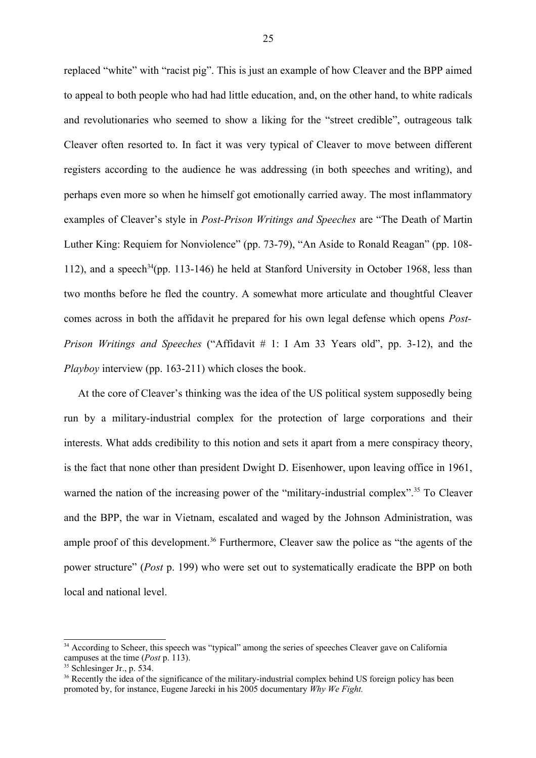replaced "white" with "racist pig". This is just an example of how Cleaver and the BPP aimed to appeal to both people who had had little education, and, on the other hand, to white radicals and revolutionaries who seemed to show a liking for the "street credible", outrageous talk Cleaver often resorted to. In fact it was very typical of Cleaver to move between different registers according to the audience he was addressing (in both speeches and writing), and perhaps even more so when he himself got emotionally carried away. The most inflammatory examples of Cleaver's style in *Post-Prison Writings and Speeches* are "The Death of Martin Luther King: Requiem for Nonviolence" (pp. 73-79), "An Aside to Ronald Reagan" (pp. 108- 112), and a speech<sup>[34](#page-28-0)</sup>(pp. 113-146) he held at Stanford University in October 1968, less than two months before he fled the country. A somewhat more articulate and thoughtful Cleaver comes across in both the affidavit he prepared for his own legal defense which opens *Post-Prison Writings and Speeches* ("Affidavit # 1: I Am 33 Years old", pp. 3-12), and the *Playboy* interview (pp. 163-211) which closes the book.

At the core of Cleaver's thinking was the idea of the US political system supposedly being run by a military-industrial complex for the protection of large corporations and their interests. What adds credibility to this notion and sets it apart from a mere conspiracy theory, is the fact that none other than president Dwight D. Eisenhower, upon leaving office in 1961, warned the nation of the increasing power of the "military-industrial complex".<sup>[35](#page-28-1)</sup> To Cleaver and the BPP, the war in Vietnam, escalated and waged by the Johnson Administration, was ample proof of this development.<sup>[36](#page-28-2)</sup> Furthermore, Cleaver saw the police as "the agents of the power structure" (*Post* p. 199) who were set out to systematically eradicate the BPP on both local and national level.

<span id="page-28-0"></span><sup>&</sup>lt;sup>34</sup> According to Scheer, this speech was "typical" among the series of speeches Cleaver gave on California campuses at the time (*Post* p. 113).

<span id="page-28-1"></span><sup>&</sup>lt;sup>35</sup> Schlesinger Jr., p. 534.

<span id="page-28-2"></span><sup>&</sup>lt;sup>36</sup> Recently the idea of the significance of the military-industrial complex behind US foreign policy has been promoted by, for instance, Eugene Jarecki in his 2005 documentary *Why We Fight.*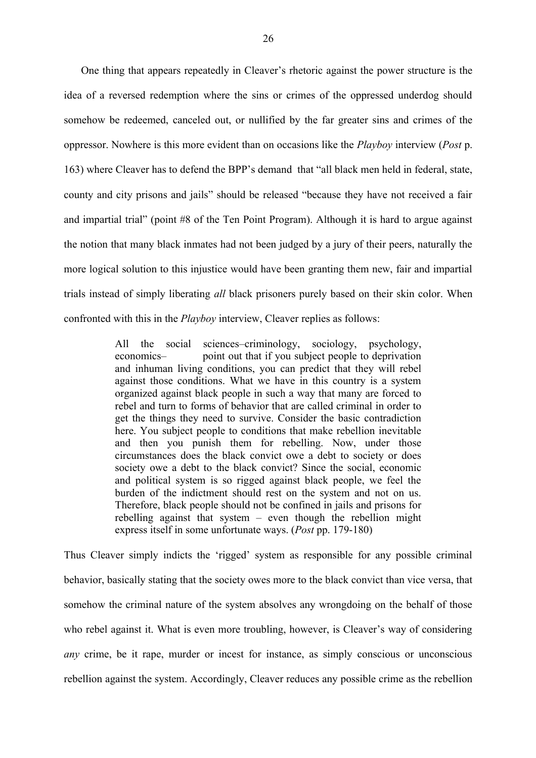One thing that appears repeatedly in Cleaver's rhetoric against the power structure is the idea of a reversed redemption where the sins or crimes of the oppressed underdog should somehow be redeemed, canceled out, or nullified by the far greater sins and crimes of the oppressor. Nowhere is this more evident than on occasions like the *Playboy* interview (*Post* p. 163) where Cleaver has to defend the BPP's demand that "all black men held in federal, state, county and city prisons and jails" should be released "because they have not received a fair and impartial trial" (point #8 of the Ten Point Program). Although it is hard to argue against the notion that many black inmates had not been judged by a jury of their peers, naturally the more logical solution to this injustice would have been granting them new, fair and impartial trials instead of simply liberating *all* black prisoners purely based on their skin color. When confronted with this in the *Playboy* interview, Cleaver replies as follows:

> All the social sciences–criminology, sociology, psychology, economics– point out that if you subject people to deprivation and inhuman living conditions, you can predict that they will rebel against those conditions. What we have in this country is a system organized against black people in such a way that many are forced to rebel and turn to forms of behavior that are called criminal in order to get the things they need to survive. Consider the basic contradiction here. You subject people to conditions that make rebellion inevitable and then you punish them for rebelling. Now, under those circumstances does the black convict owe a debt to society or does society owe a debt to the black convict? Since the social, economic and political system is so rigged against black people, we feel the burden of the indictment should rest on the system and not on us. Therefore, black people should not be confined in jails and prisons for rebelling against that system – even though the rebellion might express itself in some unfortunate ways. (*Post* pp. 179-180)

Thus Cleaver simply indicts the 'rigged' system as responsible for any possible criminal behavior, basically stating that the society owes more to the black convict than vice versa, that somehow the criminal nature of the system absolves any wrongdoing on the behalf of those who rebel against it. What is even more troubling, however, is Cleaver's way of considering *any* crime, be it rape, murder or incest for instance, as simply conscious or unconscious rebellion against the system. Accordingly, Cleaver reduces any possible crime as the rebellion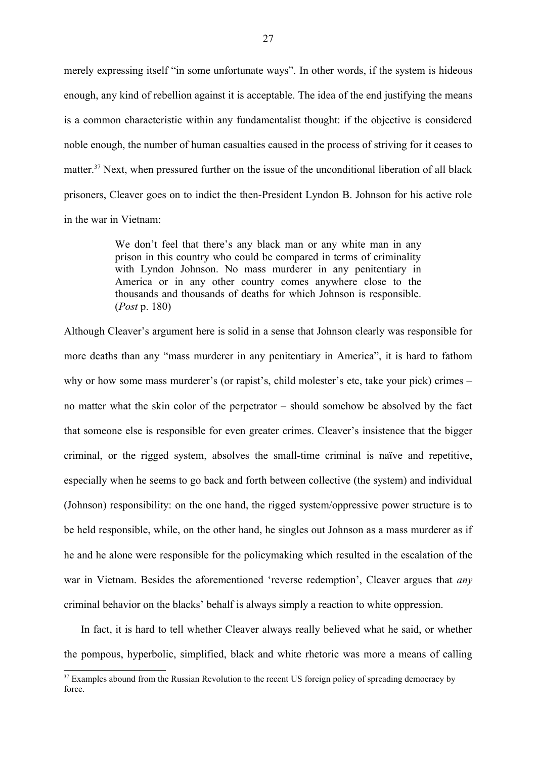merely expressing itself "in some unfortunate ways". In other words, if the system is hideous enough, any kind of rebellion against it is acceptable. The idea of the end justifying the means is a common characteristic within any fundamentalist thought: if the objective is considered noble enough, the number of human casualties caused in the process of striving for it ceases to matter.<sup>[37](#page-30-0)</sup> Next, when pressured further on the issue of the unconditional liberation of all black prisoners, Cleaver goes on to indict the then-President Lyndon B. Johnson for his active role in the war in Vietnam:

> We don't feel that there's any black man or any white man in any prison in this country who could be compared in terms of criminality with Lyndon Johnson. No mass murderer in any penitentiary in America or in any other country comes anywhere close to the thousands and thousands of deaths for which Johnson is responsible. (*Post* p. 180)

Although Cleaver's argument here is solid in a sense that Johnson clearly was responsible for more deaths than any "mass murderer in any penitentiary in America", it is hard to fathom why or how some mass murderer's (or rapist's, child molester's etc, take your pick) crimes – no matter what the skin color of the perpetrator – should somehow be absolved by the fact that someone else is responsible for even greater crimes. Cleaver's insistence that the bigger criminal, or the rigged system, absolves the small-time criminal is naïve and repetitive, especially when he seems to go back and forth between collective (the system) and individual (Johnson) responsibility: on the one hand, the rigged system/oppressive power structure is to be held responsible, while, on the other hand, he singles out Johnson as a mass murderer as if he and he alone were responsible for the policymaking which resulted in the escalation of the war in Vietnam. Besides the aforementioned 'reverse redemption', Cleaver argues that *any* criminal behavior on the blacks' behalf is always simply a reaction to white oppression.

In fact, it is hard to tell whether Cleaver always really believed what he said, or whether the pompous, hyperbolic, simplified, black and white rhetoric was more a means of calling

<span id="page-30-0"></span><sup>&</sup>lt;sup>37</sup> Examples abound from the Russian Revolution to the recent US foreign policy of spreading democracy by force.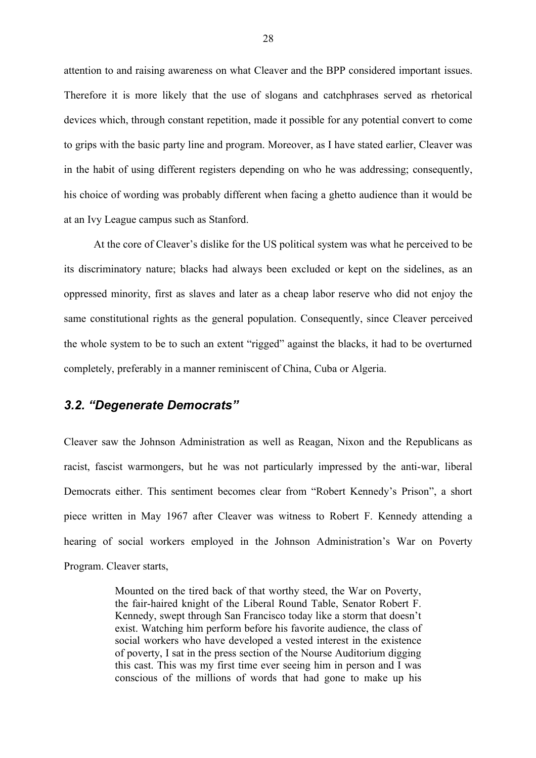attention to and raising awareness on what Cleaver and the BPP considered important issues. Therefore it is more likely that the use of slogans and catchphrases served as rhetorical devices which, through constant repetition, made it possible for any potential convert to come to grips with the basic party line and program. Moreover, as I have stated earlier, Cleaver was in the habit of using different registers depending on who he was addressing; consequently, his choice of wording was probably different when facing a ghetto audience than it would be at an Ivy League campus such as Stanford.

 At the core of Cleaver's dislike for the US political system was what he perceived to be its discriminatory nature; blacks had always been excluded or kept on the sidelines, as an oppressed minority, first as slaves and later as a cheap labor reserve who did not enjoy the same constitutional rights as the general population. Consequently, since Cleaver perceived the whole system to be to such an extent "rigged" against the blacks, it had to be overturned completely, preferably in a manner reminiscent of China, Cuba or Algeria.

#### *3.2. "Degenerate Democrats"*

Cleaver saw the Johnson Administration as well as Reagan, Nixon and the Republicans as racist, fascist warmongers, but he was not particularly impressed by the anti-war, liberal Democrats either. This sentiment becomes clear from "Robert Kennedy's Prison", a short piece written in May 1967 after Cleaver was witness to Robert F. Kennedy attending a hearing of social workers employed in the Johnson Administration's War on Poverty Program. Cleaver starts,

> Mounted on the tired back of that worthy steed, the War on Poverty, the fair-haired knight of the Liberal Round Table, Senator Robert F. Kennedy, swept through San Francisco today like a storm that doesn't exist. Watching him perform before his favorite audience, the class of social workers who have developed a vested interest in the existence of poverty, I sat in the press section of the Nourse Auditorium digging this cast. This was my first time ever seeing him in person and I was conscious of the millions of words that had gone to make up his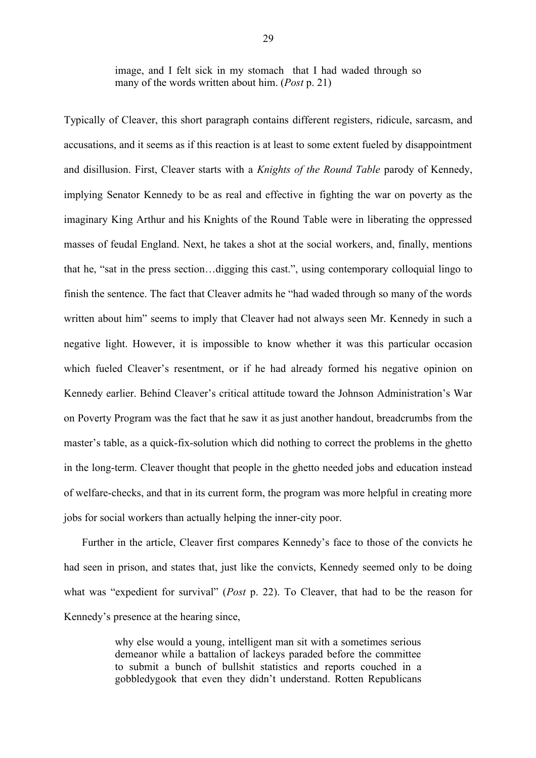image, and I felt sick in my stomach that I had waded through so many of the words written about him. (*Post* p. 21)

Typically of Cleaver, this short paragraph contains different registers, ridicule, sarcasm, and accusations, and it seems as if this reaction is at least to some extent fueled by disappointment and disillusion. First, Cleaver starts with a *Knights of the Round Table* parody of Kennedy, implying Senator Kennedy to be as real and effective in fighting the war on poverty as the imaginary King Arthur and his Knights of the Round Table were in liberating the oppressed masses of feudal England. Next, he takes a shot at the social workers, and, finally, mentions that he, "sat in the press section…digging this cast.", using contemporary colloquial lingo to finish the sentence. The fact that Cleaver admits he "had waded through so many of the words written about him" seems to imply that Cleaver had not always seen Mr. Kennedy in such a negative light. However, it is impossible to know whether it was this particular occasion which fueled Cleaver's resentment, or if he had already formed his negative opinion on Kennedy earlier. Behind Cleaver's critical attitude toward the Johnson Administration's War on Poverty Program was the fact that he saw it as just another handout, breadcrumbs from the master's table, as a quick-fix-solution which did nothing to correct the problems in the ghetto in the long-term. Cleaver thought that people in the ghetto needed jobs and education instead of welfare-checks, and that in its current form, the program was more helpful in creating more jobs for social workers than actually helping the inner-city poor.

Further in the article, Cleaver first compares Kennedy's face to those of the convicts he had seen in prison, and states that, just like the convicts, Kennedy seemed only to be doing what was "expedient for survival" (*Post* p. 22). To Cleaver, that had to be the reason for Kennedy's presence at the hearing since,

> why else would a young, intelligent man sit with a sometimes serious demeanor while a battalion of lackeys paraded before the committee to submit a bunch of bullshit statistics and reports couched in a gobbledygook that even they didn't understand. Rotten Republicans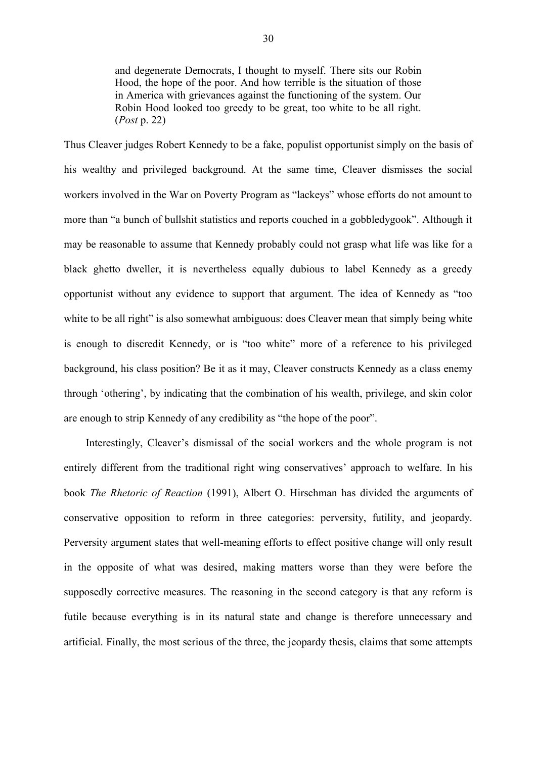and degenerate Democrats, I thought to myself. There sits our Robin Hood, the hope of the poor. And how terrible is the situation of those in America with grievances against the functioning of the system. Our Robin Hood looked too greedy to be great, too white to be all right. (*Post* p. 22)

Thus Cleaver judges Robert Kennedy to be a fake, populist opportunist simply on the basis of his wealthy and privileged background. At the same time, Cleaver dismisses the social workers involved in the War on Poverty Program as "lackeys" whose efforts do not amount to more than "a bunch of bullshit statistics and reports couched in a gobbledygook". Although it may be reasonable to assume that Kennedy probably could not grasp what life was like for a black ghetto dweller, it is nevertheless equally dubious to label Kennedy as a greedy opportunist without any evidence to support that argument. The idea of Kennedy as "too white to be all right" is also somewhat ambiguous: does Cleaver mean that simply being white is enough to discredit Kennedy, or is "too white" more of a reference to his privileged background, his class position? Be it as it may, Cleaver constructs Kennedy as a class enemy through 'othering', by indicating that the combination of his wealth, privilege, and skin color are enough to strip Kennedy of any credibility as "the hope of the poor".

Interestingly, Cleaver's dismissal of the social workers and the whole program is not entirely different from the traditional right wing conservatives' approach to welfare. In his book *The Rhetoric of Reaction* (1991), Albert O. Hirschman has divided the arguments of conservative opposition to reform in three categories: perversity, futility, and jeopardy. Perversity argument states that well-meaning efforts to effect positive change will only result in the opposite of what was desired, making matters worse than they were before the supposedly corrective measures. The reasoning in the second category is that any reform is futile because everything is in its natural state and change is therefore unnecessary and artificial. Finally, the most serious of the three, the jeopardy thesis, claims that some attempts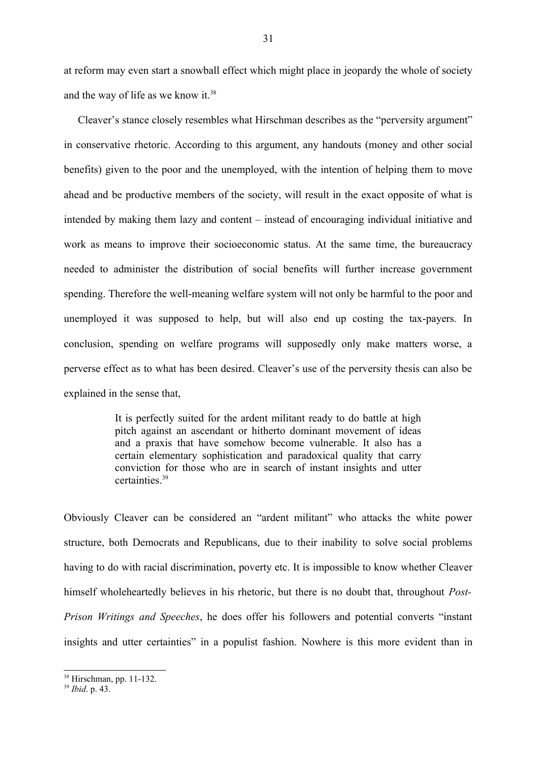at reform may even start a snowball effect which might place in jeopardy the whole of society and the way of life as we know it.<sup>[38](#page-34-0)</sup>

Cleaver's stance closely resembles what Hirschman describes as the "perversity argument" in conservative rhetoric. According to this argument, any handouts (money and other social benefits) given to the poor and the unemployed, with the intention of helping them to move ahead and be productive members of the society, will result in the exact opposite of what is intended by making them lazy and content – instead of encouraging individual initiative and work as means to improve their socioeconomic status. At the same time, the bureaucracy needed to administer the distribution of social benefits will further increase government spending. Therefore the well-meaning welfare system will not only be harmful to the poor and unemployed it was supposed to help, but will also end up costing the tax-payers. In conclusion, spending on welfare programs will supposedly only make matters worse, a perverse effect as to what has been desired. Cleaver's use of the perversity thesis can also be explained in the sense that,

> It is perfectly suited for the ardent militant ready to do battle at high pitch against an ascendant or hitherto dominant movement of ideas and a praxis that have somehow become vulnerable. It also has a certain elementary sophistication and paradoxical quality that carry conviction for those who are in search of instant insights and utter certainties.<sup>[39](#page-34-1)</sup>

Obviously Cleaver can be considered an "ardent militant" who attacks the white power structure, both Democrats and Republicans, due to their inability to solve social problems having to do with racial discrimination, poverty etc. It is impossible to know whether Cleaver himself wholeheartedly believes in his rhetoric, but there is no doubt that, throughout *Post-Prison Writings and Speeches*, he does offer his followers and potential converts "instant insights and utter certainties" in a populist fashion. Nowhere is this more evident than in

<span id="page-34-0"></span><sup>38</sup> Hirschman, pp. 11-132.

<span id="page-34-1"></span><sup>39</sup> *Ibid*. p. 43.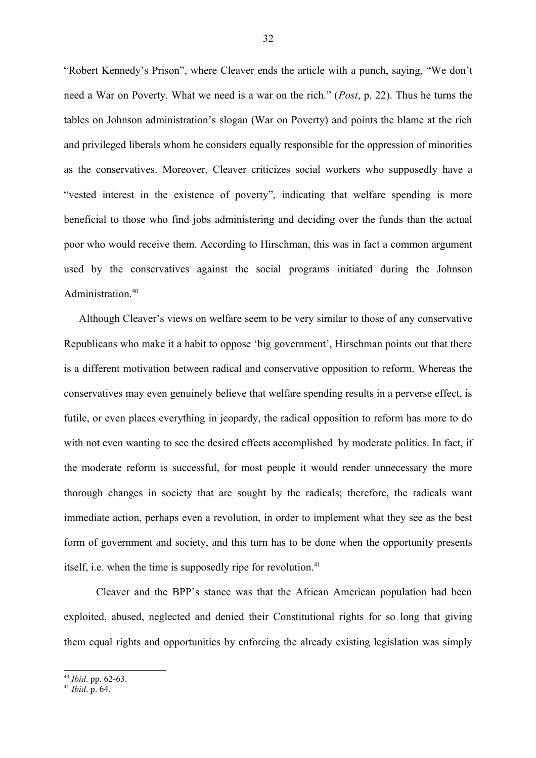"Robert Kennedy's Prison", where Cleaver ends the article with a punch, saying, "We don't need a War on Poverty. What we need is a war on the rich." (*Post*, p. 22). Thus he turns the tables on Johnson administration's slogan (War on Poverty) and points the blame at the rich and privileged liberals whom he considers equally responsible for the oppression of minorities as the conservatives. Moreover, Cleaver criticizes social workers who supposedly have a "vested interest in the existence of poverty", indicating that welfare spending is more beneficial to those who find jobs administering and deciding over the funds than the actual poor who would receive them. According to Hirschman, this was in fact a common argument used by the conservatives against the social programs initiated during the Johnson Administration.<sup>[40](#page-35-0)</sup>

Although Cleaver's views on welfare seem to be very similar to those of any conservative Republicans who make it a habit to oppose 'big government', Hirschman points out that there is a different motivation between radical and conservative opposition to reform. Whereas the conservatives may even genuinely believe that welfare spending results in a perverse effect, is futile, or even places everything in jeopardy, the radical opposition to reform has more to do with not even wanting to see the desired effects accomplished by moderate politics. In fact, if the moderate reform is successful, for most people it would render unnecessary the more thorough changes in society that are sought by the radicals; therefore, the radicals want immediate action, perhaps even a revolution, in order to implement what they see as the best form of government and society, and this turn has to be done when the opportunity presents itself, i.e. when the time is supposedly ripe for revolution.<sup>[41](#page-35-1)</sup>

Cleaver and the BPP's stance was that the African American population had been exploited, abused, neglected and denied their Constitutional rights for so long that giving them equal rights and opportunities by enforcing the already existing legislation was simply

<span id="page-35-0"></span><sup>40</sup> *Ibid*. pp. 62-63.

<span id="page-35-1"></span><sup>41</sup> *Ibid*. p. 64.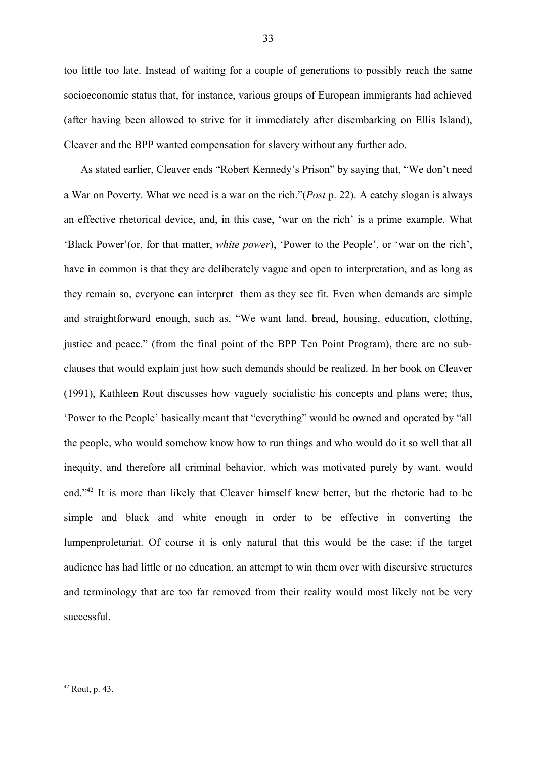too little too late. Instead of waiting for a couple of generations to possibly reach the same socioeconomic status that, for instance, various groups of European immigrants had achieved (after having been allowed to strive for it immediately after disembarking on Ellis Island), Cleaver and the BPP wanted compensation for slavery without any further ado.

As stated earlier, Cleaver ends "Robert Kennedy's Prison" by saying that, "We don't need a War on Poverty. What we need is a war on the rich."(*Post* p. 22). A catchy slogan is always an effective rhetorical device, and, in this case, 'war on the rich' is a prime example. What 'Black Power'(or, for that matter, *white power*), 'Power to the People', or 'war on the rich', have in common is that they are deliberately vague and open to interpretation, and as long as they remain so, everyone can interpret them as they see fit. Even when demands are simple and straightforward enough, such as, "We want land, bread, housing, education, clothing, justice and peace." (from the final point of the BPP Ten Point Program), there are no subclauses that would explain just how such demands should be realized. In her book on Cleaver (1991), Kathleen Rout discusses how vaguely socialistic his concepts and plans were; thus, 'Power to the People' basically meant that "everything" would be owned and operated by "all the people, who would somehow know how to run things and who would do it so well that all inequity, and therefore all criminal behavior, which was motivated purely by want, would end."[42](#page-36-0) It is more than likely that Cleaver himself knew better, but the rhetoric had to be simple and black and white enough in order to be effective in converting the lumpenproletariat. Of course it is only natural that this would be the case; if the target audience has had little or no education, an attempt to win them over with discursive structures and terminology that are too far removed from their reality would most likely not be very successful.

<span id="page-36-0"></span> $42$  Rout, p. 43.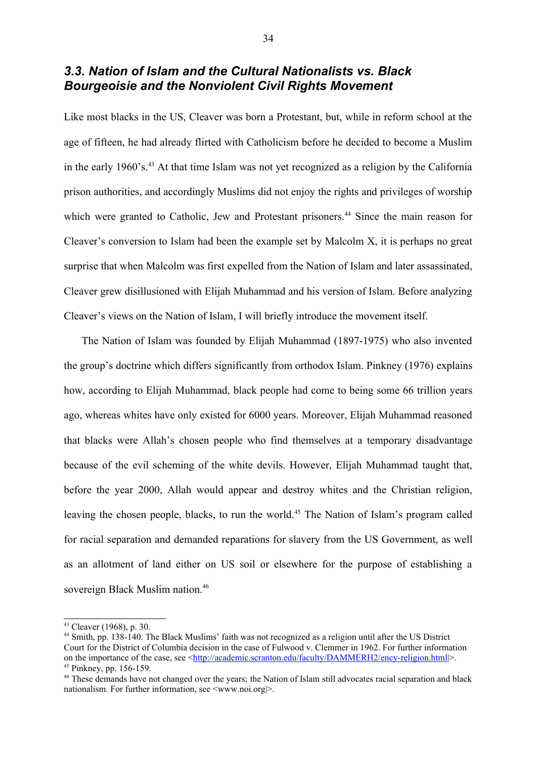# *3.3. Nation of Islam and the Cultural Nationalists vs. Black Bourgeoisie and the Nonviolent Civil Rights Movement*

Like most blacks in the US, Cleaver was born a Protestant, but, while in reform school at the age of fifteen, he had already flirted with Catholicism before he decided to become a Muslim in the early 1960's. [43](#page-37-0) At that time Islam was not yet recognized as a religion by the California prison authorities, and accordingly Muslims did not enjoy the rights and privileges of worship which were granted to Catholic, Jew and Protestant prisoners.<sup>[44](#page-37-1)</sup> Since the main reason for Cleaver's conversion to Islam had been the example set by Malcolm X, it is perhaps no great surprise that when Malcolm was first expelled from the Nation of Islam and later assassinated, Cleaver grew disillusioned with Elijah Muhammad and his version of Islam. Before analyzing Cleaver's views on the Nation of Islam, I will briefly introduce the movement itself.

The Nation of Islam was founded by Elijah Muhammad (1897-1975) who also invented the group's doctrine which differs significantly from orthodox Islam. Pinkney (1976) explains how, according to Elijah Muhammad, black people had come to being some 66 trillion years ago, whereas whites have only existed for 6000 years. Moreover, Elijah Muhammad reasoned that blacks were Allah's chosen people who find themselves at a temporary disadvantage because of the evil scheming of the white devils. However, Elijah Muhammad taught that, before the year 2000, Allah would appear and destroy whites and the Christian religion, leaving the chosen people, blacks, to run the world.<sup>[45](#page-37-2)</sup> The Nation of Islam's program called for racial separation and demanded reparations for slavery from the US Government, as well as an allotment of land either on US soil or elsewhere for the purpose of establishing a sovereign Black Muslim nation.<sup>[46](#page-37-3)</sup>

<span id="page-37-0"></span><sup>43</sup> Cleaver (1968), p. 30.

<span id="page-37-1"></span><sup>&</sup>lt;sup>44</sup> Smith, pp. 138-140. The Black Muslims' faith was not recognized as a religion until after the US District Court for the District of Columbia decision in the case of Fulwood v. Clemmer in 1962. For further information on the importance of the case, see <http://academic.scranton.edu/faculty/DAMMERH2/ency-religion.html  $\geq$ . <sup>45</sup> Pinkney, pp. 156-159.

<span id="page-37-3"></span><span id="page-37-2"></span><sup>&</sup>lt;sup>46</sup> These demands have not changed over the years; the Nation of Islam still advocates racial separation and black nationalism. For further information, see  $\leq$ www.noi.org $\geq$ .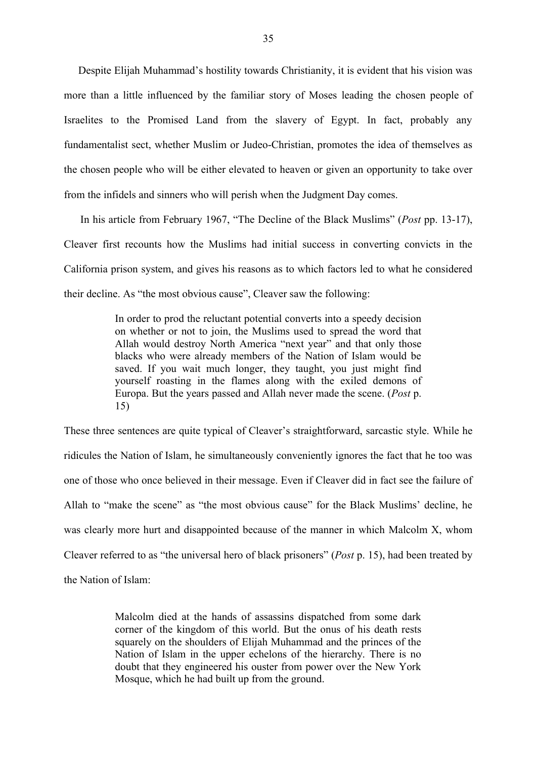Despite Elijah Muhammad's hostility towards Christianity, it is evident that his vision was more than a little influenced by the familiar story of Moses leading the chosen people of Israelites to the Promised Land from the slavery of Egypt. In fact, probably any fundamentalist sect, whether Muslim or Judeo-Christian, promotes the idea of themselves as the chosen people who will be either elevated to heaven or given an opportunity to take over from the infidels and sinners who will perish when the Judgment Day comes.

In his article from February 1967, "The Decline of the Black Muslims" (*Post* pp. 13-17), Cleaver first recounts how the Muslims had initial success in converting convicts in the California prison system, and gives his reasons as to which factors led to what he considered their decline. As "the most obvious cause", Cleaver saw the following:

> In order to prod the reluctant potential converts into a speedy decision on whether or not to join, the Muslims used to spread the word that Allah would destroy North America "next year" and that only those blacks who were already members of the Nation of Islam would be saved. If you wait much longer, they taught, you just might find yourself roasting in the flames along with the exiled demons of Europa. But the years passed and Allah never made the scene. (*Post* p. 15)

These three sentences are quite typical of Cleaver's straightforward, sarcastic style. While he ridicules the Nation of Islam, he simultaneously conveniently ignores the fact that he too was one of those who once believed in their message. Even if Cleaver did in fact see the failure of Allah to "make the scene" as "the most obvious cause" for the Black Muslims' decline, he was clearly more hurt and disappointed because of the manner in which Malcolm X, whom Cleaver referred to as "the universal hero of black prisoners" (*Post* p. 15), had been treated by the Nation of Islam:

> Malcolm died at the hands of assassins dispatched from some dark corner of the kingdom of this world. But the onus of his death rests squarely on the shoulders of Elijah Muhammad and the princes of the Nation of Islam in the upper echelons of the hierarchy. There is no doubt that they engineered his ouster from power over the New York Mosque, which he had built up from the ground.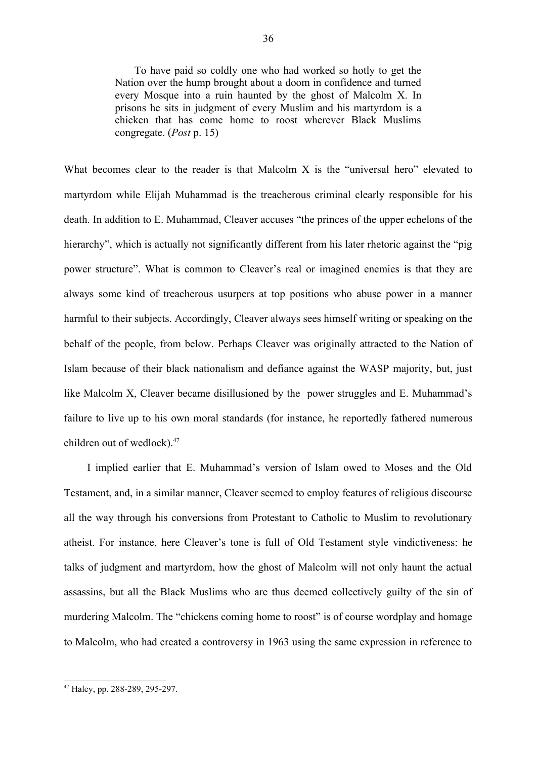To have paid so coldly one who had worked so hotly to get the Nation over the hump brought about a doom in confidence and turned every Mosque into a ruin haunted by the ghost of Malcolm X. In prisons he sits in judgment of every Muslim and his martyrdom is a chicken that has come home to roost wherever Black Muslims congregate. (*Post* p. 15)

What becomes clear to the reader is that Malcolm X is the "universal hero" elevated to martyrdom while Elijah Muhammad is the treacherous criminal clearly responsible for his death. In addition to E. Muhammad, Cleaver accuses "the princes of the upper echelons of the hierarchy", which is actually not significantly different from his later rhetoric against the "pig power structure". What is common to Cleaver's real or imagined enemies is that they are always some kind of treacherous usurpers at top positions who abuse power in a manner harmful to their subjects. Accordingly, Cleaver always sees himself writing or speaking on the behalf of the people, from below. Perhaps Cleaver was originally attracted to the Nation of Islam because of their black nationalism and defiance against the WASP majority, but, just like Malcolm X, Cleaver became disillusioned by the power struggles and E. Muhammad's failure to live up to his own moral standards (for instance, he reportedly fathered numerous children out of wedlock).<sup>[47](#page-39-0)</sup>

I implied earlier that E. Muhammad's version of Islam owed to Moses and the Old Testament, and, in a similar manner, Cleaver seemed to employ features of religious discourse all the way through his conversions from Protestant to Catholic to Muslim to revolutionary atheist. For instance, here Cleaver's tone is full of Old Testament style vindictiveness: he talks of judgment and martyrdom, how the ghost of Malcolm will not only haunt the actual assassins, but all the Black Muslims who are thus deemed collectively guilty of the sin of murdering Malcolm. The "chickens coming home to roost" is of course wordplay and homage to Malcolm, who had created a controversy in 1963 using the same expression in reference to

<span id="page-39-0"></span><sup>47</sup> Haley, pp. 288-289, 295-297.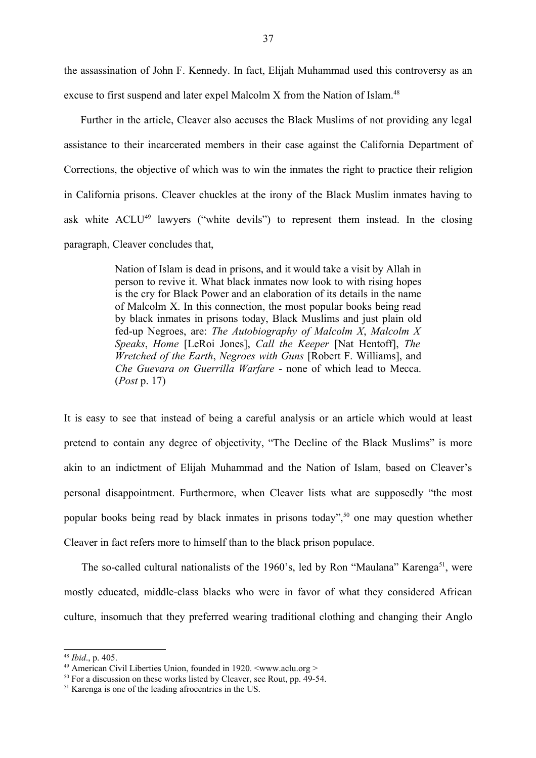the assassination of John F. Kennedy. In fact, Elijah Muhammad used this controversy as an excuse to first suspend and later expel Malcolm X from the Nation of Islam.<sup>[48](#page-40-0)</sup>

Further in the article, Cleaver also accuses the Black Muslims of not providing any legal assistance to their incarcerated members in their case against the California Department of Corrections, the objective of which was to win the inmates the right to practice their religion in California prisons. Cleaver chuckles at the irony of the Black Muslim inmates having to ask white ACLU<sup>[49](#page-40-1)</sup> lawyers ("white devils") to represent them instead. In the closing paragraph, Cleaver concludes that,

> Nation of Islam is dead in prisons, and it would take a visit by Allah in person to revive it. What black inmates now look to with rising hopes is the cry for Black Power and an elaboration of its details in the name of Malcolm X. In this connection, the most popular books being read by black inmates in prisons today, Black Muslims and just plain old fed-up Negroes, are: *The Autobiography of Malcolm X*, *Malcolm X Speaks*, *Home* [LeRoi Jones], *Call the Keeper* [Nat Hentoff], *The Wretched of the Earth*, *Negroes with Guns* [Robert F. Williams], and *Che Guevara on Guerrilla Warfare* - none of which lead to Mecca. (*Post* p. 17)

It is easy to see that instead of being a careful analysis or an article which would at least pretend to contain any degree of objectivity, "The Decline of the Black Muslims" is more akin to an indictment of Elijah Muhammad and the Nation of Islam, based on Cleaver's personal disappointment. Furthermore, when Cleaver lists what are supposedly "the most popular books being read by black inmates in prisons today", [50](#page-40-2) one may question whether Cleaver in fact refers more to himself than to the black prison populace.

The so-called cultural nationalists of the 1960's, led by Ron "Maulana" Karenga<sup>[51](#page-40-3)</sup>, were mostly educated, middle-class blacks who were in favor of what they considered African culture, insomuch that they preferred wearing traditional clothing and changing their Anglo

<span id="page-40-0"></span><sup>48</sup> *Ibid*., p. 405.

<span id="page-40-1"></span><sup>&</sup>lt;sup>49</sup> American Civil Liberties Union, founded in 1920.  $\langle$ www.aclu.org >

<span id="page-40-2"></span><sup>&</sup>lt;sup>50</sup> For a discussion on these works listed by Cleaver, see Rout, pp. 49-54.

<span id="page-40-3"></span> $51$  Karenga is one of the leading afrocentrics in the US.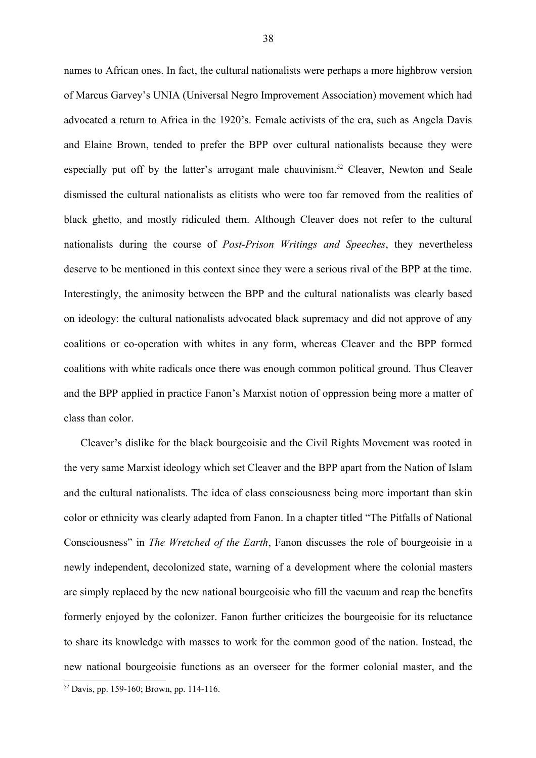names to African ones. In fact, the cultural nationalists were perhaps a more highbrow version of Marcus Garvey's UNIA (Universal Negro Improvement Association) movement which had advocated a return to Africa in the 1920's. Female activists of the era, such as Angela Davis and Elaine Brown, tended to prefer the BPP over cultural nationalists because they were especially put off by the latter's arrogant male chauvinism.<sup>[52](#page-41-0)</sup> Cleaver, Newton and Seale dismissed the cultural nationalists as elitists who were too far removed from the realities of black ghetto, and mostly ridiculed them. Although Cleaver does not refer to the cultural nationalists during the course of *Post-Prison Writings and Speeches*, they nevertheless deserve to be mentioned in this context since they were a serious rival of the BPP at the time. Interestingly, the animosity between the BPP and the cultural nationalists was clearly based on ideology: the cultural nationalists advocated black supremacy and did not approve of any coalitions or co-operation with whites in any form, whereas Cleaver and the BPP formed coalitions with white radicals once there was enough common political ground. Thus Cleaver and the BPP applied in practice Fanon's Marxist notion of oppression being more a matter of class than color.

Cleaver's dislike for the black bourgeoisie and the Civil Rights Movement was rooted in the very same Marxist ideology which set Cleaver and the BPP apart from the Nation of Islam and the cultural nationalists. The idea of class consciousness being more important than skin color or ethnicity was clearly adapted from Fanon. In a chapter titled "The Pitfalls of National Consciousness" in *The Wretched of the Earth*, Fanon discusses the role of bourgeoisie in a newly independent, decolonized state, warning of a development where the colonial masters are simply replaced by the new national bourgeoisie who fill the vacuum and reap the benefits formerly enjoyed by the colonizer. Fanon further criticizes the bourgeoisie for its reluctance to share its knowledge with masses to work for the common good of the nation. Instead, the new national bourgeoisie functions as an overseer for the former colonial master, and the

<span id="page-41-0"></span><sup>52</sup> Davis, pp. 159-160; Brown, pp. 114-116.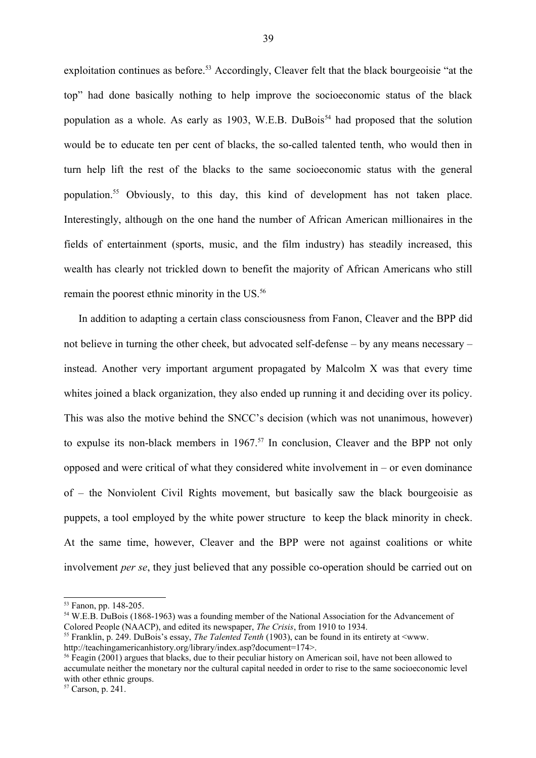exploitation continues as before.<sup>[53](#page-42-0)</sup> Accordingly, Cleaver felt that the black bourgeoisie "at the top" had done basically nothing to help improve the socioeconomic status of the black population as a whole. As early as 1903, W.E.B. DuBois<sup>[54](#page-42-1)</sup> had proposed that the solution would be to educate ten per cent of blacks, the so-called talented tenth, who would then in turn help lift the rest of the blacks to the same socioeconomic status with the general population.[55](#page-42-2) Obviously, to this day, this kind of development has not taken place. Interestingly, although on the one hand the number of African American millionaires in the fields of entertainment (sports, music, and the film industry) has steadily increased, this wealth has clearly not trickled down to benefit the majority of African Americans who still remain the poorest ethnic minority in the US.<sup>[56](#page-42-3)</sup>

In addition to adapting a certain class consciousness from Fanon, Cleaver and the BPP did not believe in turning the other cheek, but advocated self-defense – by any means necessary – instead. Another very important argument propagated by Malcolm X was that every time whites joined a black organization, they also ended up running it and deciding over its policy. This was also the motive behind the SNCC's decision (which was not unanimous, however) to expulse its non-black members in  $1967$ .<sup>[57](#page-42-4)</sup> In conclusion, Cleaver and the BPP not only opposed and were critical of what they considered white involvement in – or even dominance of – the Nonviolent Civil Rights movement, but basically saw the black bourgeoisie as puppets, a tool employed by the white power structure to keep the black minority in check. At the same time, however, Cleaver and the BPP were not against coalitions or white involvement *per se*, they just believed that any possible co-operation should be carried out on

<span id="page-42-0"></span><sup>53</sup> Fanon, pp. 148-205.

<span id="page-42-1"></span><sup>&</sup>lt;sup>54</sup> W.E.B. DuBois (1868-1963) was a founding member of the National Association for the Advancement of Colored People (NAACP), and edited its newspaper, *The Crisis*, from 1910 to 1934.

<span id="page-42-2"></span><sup>55</sup> Franklin, p. 249. DuBois's essay, *The Talented Tenth* (1903), can be found in its entirety at <www.

http://teachingamericanhistory.org/library/index.asp?document=174>.

<span id="page-42-3"></span><sup>&</sup>lt;sup>56</sup> Feagin (2001) argues that blacks, due to their peculiar history on American soil, have not been allowed to accumulate neither the monetary nor the cultural capital needed in order to rise to the same socioeconomic level with other ethnic groups.

<span id="page-42-4"></span> $57$  Carson, p. 241.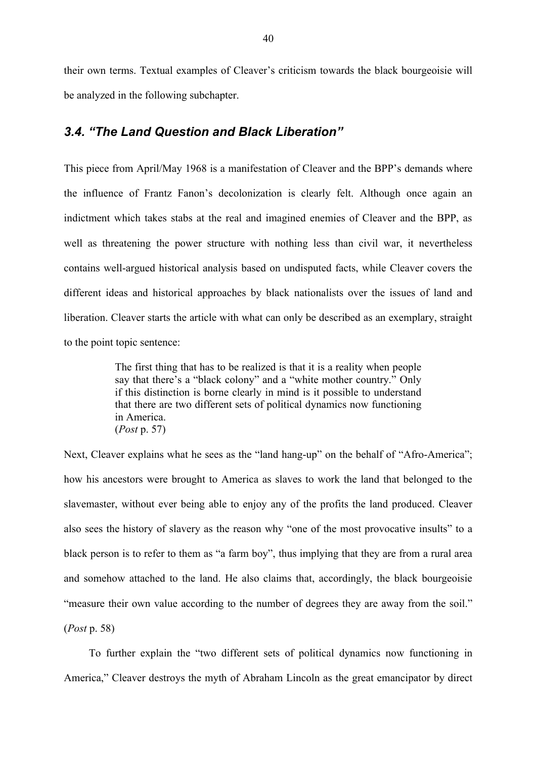their own terms. Textual examples of Cleaver's criticism towards the black bourgeoisie will be analyzed in the following subchapter.

### *3.4. "The Land Question and Black Liberation"*

This piece from April/May 1968 is a manifestation of Cleaver and the BPP's demands where the influence of Frantz Fanon's decolonization is clearly felt. Although once again an indictment which takes stabs at the real and imagined enemies of Cleaver and the BPP, as well as threatening the power structure with nothing less than civil war, it nevertheless contains well-argued historical analysis based on undisputed facts, while Cleaver covers the different ideas and historical approaches by black nationalists over the issues of land and liberation. Cleaver starts the article with what can only be described as an exemplary, straight to the point topic sentence:

> The first thing that has to be realized is that it is a reality when people say that there's a "black colony" and a "white mother country." Only if this distinction is borne clearly in mind is it possible to understand that there are two different sets of political dynamics now functioning in America. (*Post* p. 57)

Next, Cleaver explains what he sees as the "land hang-up" on the behalf of "Afro-America"; how his ancestors were brought to America as slaves to work the land that belonged to the slavemaster, without ever being able to enjoy any of the profits the land produced. Cleaver also sees the history of slavery as the reason why "one of the most provocative insults" to a black person is to refer to them as "a farm boy", thus implying that they are from a rural area and somehow attached to the land. He also claims that, accordingly, the black bourgeoisie "measure their own value according to the number of degrees they are away from the soil." (*Post* p. 58)

To further explain the "two different sets of political dynamics now functioning in America," Cleaver destroys the myth of Abraham Lincoln as the great emancipator by direct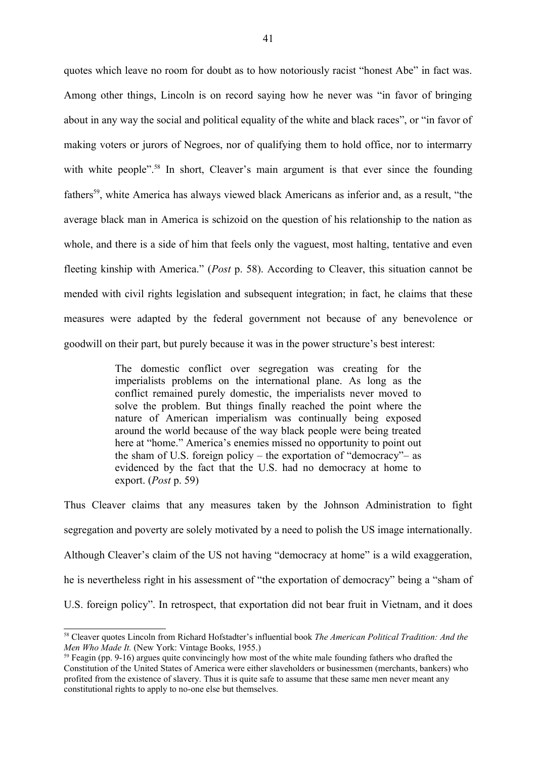quotes which leave no room for doubt as to how notoriously racist "honest Abe" in fact was. Among other things, Lincoln is on record saying how he never was "in favor of bringing about in any way the social and political equality of the white and black races", or "in favor of making voters or jurors of Negroes, nor of qualifying them to hold office, nor to intermarry with white people".<sup>[58](#page-44-0)</sup> In short, Cleaver's main argument is that ever since the founding fathers<sup>[59](#page-44-1)</sup>, white America has always viewed black Americans as inferior and, as a result, "the average black man in America is schizoid on the question of his relationship to the nation as whole, and there is a side of him that feels only the vaguest, most halting, tentative and even fleeting kinship with America." (*Post* p. 58). According to Cleaver, this situation cannot be mended with civil rights legislation and subsequent integration; in fact, he claims that these measures were adapted by the federal government not because of any benevolence or goodwill on their part, but purely because it was in the power structure's best interest:

> The domestic conflict over segregation was creating for the imperialists problems on the international plane. As long as the conflict remained purely domestic, the imperialists never moved to solve the problem. But things finally reached the point where the nature of American imperialism was continually being exposed around the world because of the way black people were being treated here at "home." America's enemies missed no opportunity to point out the sham of U.S. foreign policy – the exportation of "democracy"– as evidenced by the fact that the U.S. had no democracy at home to export. (*Post* p. 59)

Thus Cleaver claims that any measures taken by the Johnson Administration to fight segregation and poverty are solely motivated by a need to polish the US image internationally. Although Cleaver's claim of the US not having "democracy at home" is a wild exaggeration, he is nevertheless right in his assessment of "the exportation of democracy" being a "sham of U.S. foreign policy". In retrospect, that exportation did not bear fruit in Vietnam, and it does

<span id="page-44-0"></span><sup>58</sup> Cleaver quotes Lincoln from Richard Hofstadter's influential book *The American Political Tradition: And the Men Who Made It.* (New York: Vintage Books, 1955.)

<span id="page-44-1"></span><sup>&</sup>lt;sup>59</sup> Feagin (pp. 9-16) argues quite convincingly how most of the white male founding fathers who drafted the Constitution of the United States of America were either slaveholders or businessmen (merchants, bankers) who profited from the existence of slavery. Thus it is quite safe to assume that these same men never meant any constitutional rights to apply to no-one else but themselves.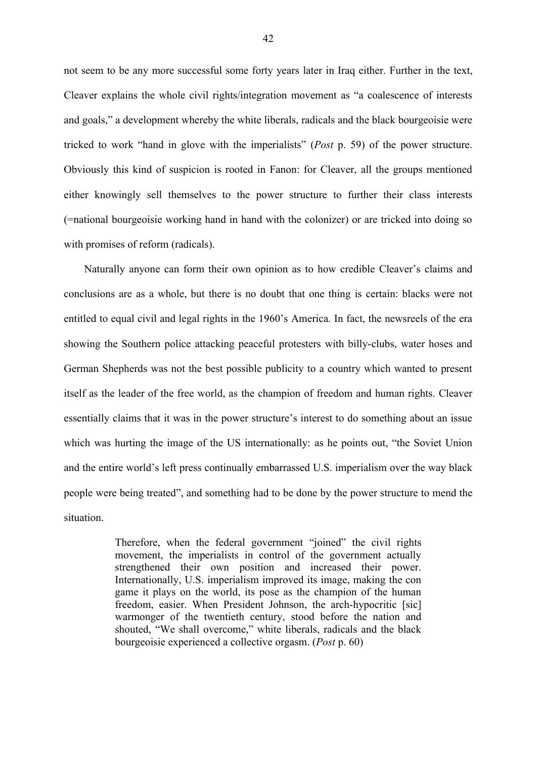not seem to be any more successful some forty years later in Iraq either. Further in the text, Cleaver explains the whole civil rights/integration movement as "a coalescence of interests and goals," a development whereby the white liberals, radicals and the black bourgeoisie were tricked to work "hand in glove with the imperialists" (*Post* p. 59) of the power structure. Obviously this kind of suspicion is rooted in Fanon: for Cleaver, all the groups mentioned either knowingly sell themselves to the power structure to further their class interests (=national bourgeoisie working hand in hand with the colonizer) or are tricked into doing so with promises of reform (radicals).

Naturally anyone can form their own opinion as to how credible Cleaver's claims and conclusions are as a whole, but there is no doubt that one thing is certain: blacks were not entitled to equal civil and legal rights in the 1960's America. In fact, the newsreels of the era showing the Southern police attacking peaceful protesters with billy-clubs, water hoses and German Shepherds was not the best possible publicity to a country which wanted to present itself as the leader of the free world, as the champion of freedom and human rights. Cleaver essentially claims that it was in the power structure's interest to do something about an issue which was hurting the image of the US internationally: as he points out, "the Soviet Union and the entire world's left press continually embarrassed U.S. imperialism over the way black people were being treated", and something had to be done by the power structure to mend the situation.

> Therefore, when the federal government "joined" the civil rights movement, the imperialists in control of the government actually strengthened their own position and increased their power. Internationally, U.S. imperialism improved its image, making the con game it plays on the world, its pose as the champion of the human freedom, easier. When President Johnson, the arch-hypocritic [sic] warmonger of the twentieth century, stood before the nation and shouted, "We shall overcome," white liberals, radicals and the black bourgeoisie experienced a collective orgasm. (*Post* p. 60)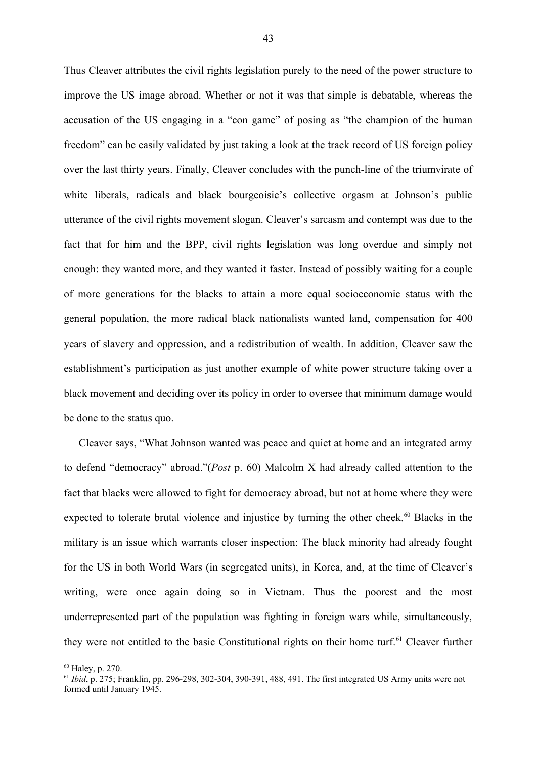Thus Cleaver attributes the civil rights legislation purely to the need of the power structure to improve the US image abroad. Whether or not it was that simple is debatable, whereas the accusation of the US engaging in a "con game" of posing as "the champion of the human freedom" can be easily validated by just taking a look at the track record of US foreign policy over the last thirty years. Finally, Cleaver concludes with the punch-line of the triumvirate of white liberals, radicals and black bourgeoisie's collective orgasm at Johnson's public utterance of the civil rights movement slogan. Cleaver's sarcasm and contempt was due to the fact that for him and the BPP, civil rights legislation was long overdue and simply not enough: they wanted more, and they wanted it faster. Instead of possibly waiting for a couple of more generations for the blacks to attain a more equal socioeconomic status with the general population, the more radical black nationalists wanted land, compensation for 400 years of slavery and oppression, and a redistribution of wealth. In addition, Cleaver saw the establishment's participation as just another example of white power structure taking over a black movement and deciding over its policy in order to oversee that minimum damage would be done to the status quo.

Cleaver says, "What Johnson wanted was peace and quiet at home and an integrated army to defend "democracy" abroad."(*Post* p. 60) Malcolm X had already called attention to the fact that blacks were allowed to fight for democracy abroad, but not at home where they were expected to tolerate brutal violence and injustice by turning the other cheek.<sup>[60](#page-46-0)</sup> Blacks in the military is an issue which warrants closer inspection: The black minority had already fought for the US in both World Wars (in segregated units), in Korea, and, at the time of Cleaver's writing, were once again doing so in Vietnam. Thus the poorest and the most underrepresented part of the population was fighting in foreign wars while, simultaneously, they were not entitled to the basic Constitutional rights on their home turf.<sup>[61](#page-46-1)</sup> Cleaver further

<span id="page-46-0"></span><sup>60</sup> Haley, p. 270.

<span id="page-46-1"></span><sup>61</sup> *Ibid*, p. 275; Franklin, pp. 296-298, 302-304, 390-391, 488, 491. The first integrated US Army units were not formed until January 1945.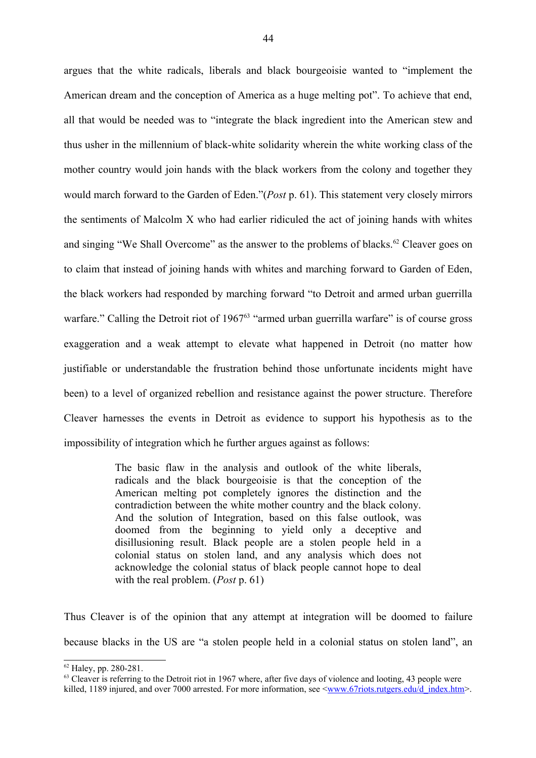argues that the white radicals, liberals and black bourgeoisie wanted to "implement the American dream and the conception of America as a huge melting pot". To achieve that end, all that would be needed was to "integrate the black ingredient into the American stew and thus usher in the millennium of black-white solidarity wherein the white working class of the mother country would join hands with the black workers from the colony and together they would march forward to the Garden of Eden."(*Post* p. 61). This statement very closely mirrors the sentiments of Malcolm X who had earlier ridiculed the act of joining hands with whites and singing "We Shall Overcome" as the answer to the problems of blacks.<sup>[62](#page-47-0)</sup> Cleaver goes on to claim that instead of joining hands with whites and marching forward to Garden of Eden, the black workers had responded by marching forward "to Detroit and armed urban guerrilla warfare." Calling the Detroit riot of 1967<sup>[63](#page-47-1)</sup> "armed urban guerrilla warfare" is of course gross exaggeration and a weak attempt to elevate what happened in Detroit (no matter how justifiable or understandable the frustration behind those unfortunate incidents might have been) to a level of organized rebellion and resistance against the power structure. Therefore Cleaver harnesses the events in Detroit as evidence to support his hypothesis as to the impossibility of integration which he further argues against as follows:

> The basic flaw in the analysis and outlook of the white liberals, radicals and the black bourgeoisie is that the conception of the American melting pot completely ignores the distinction and the contradiction between the white mother country and the black colony. And the solution of Integration, based on this false outlook, was doomed from the beginning to yield only a deceptive and disillusioning result. Black people are a stolen people held in a colonial status on stolen land, and any analysis which does not acknowledge the colonial status of black people cannot hope to deal with the real problem. (*Post* p. 61)

Thus Cleaver is of the opinion that any attempt at integration will be doomed to failure because blacks in the US are "a stolen people held in a colonial status on stolen land", an

<span id="page-47-0"></span><sup>62</sup> Haley, pp. 280-281.

<span id="page-47-1"></span> $63$  Cleaver is referring to the Detroit riot in 1967 where, after five days of violence and looting, 43 people were killed, 1189 injured, and over 7000 arrested. For more information, see [<www.67riots.rutgers.edu/d\\_index.htm>](http://www.67riots.rutgers.edu/d_index.htm).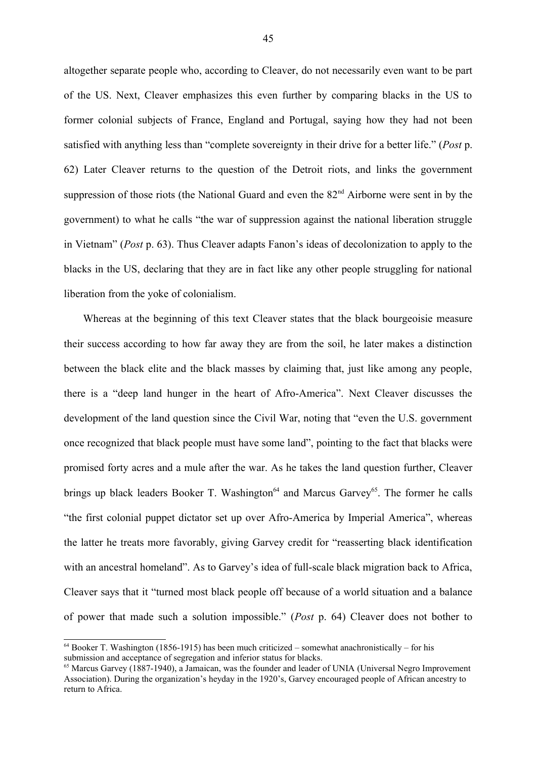altogether separate people who, according to Cleaver, do not necessarily even want to be part of the US. Next, Cleaver emphasizes this even further by comparing blacks in the US to former colonial subjects of France, England and Portugal, saying how they had not been satisfied with anything less than "complete sovereignty in their drive for a better life." (*Post* p. 62) Later Cleaver returns to the question of the Detroit riots, and links the government suppression of those riots (the National Guard and even the  $82<sup>nd</sup>$  Airborne were sent in by the government) to what he calls "the war of suppression against the national liberation struggle in Vietnam" (*Post* p. 63). Thus Cleaver adapts Fanon's ideas of decolonization to apply to the blacks in the US, declaring that they are in fact like any other people struggling for national liberation from the yoke of colonialism.

Whereas at the beginning of this text Cleaver states that the black bourgeoisie measure their success according to how far away they are from the soil, he later makes a distinction between the black elite and the black masses by claiming that, just like among any people, there is a "deep land hunger in the heart of Afro-America". Next Cleaver discusses the development of the land question since the Civil War, noting that "even the U.S. government once recognized that black people must have some land", pointing to the fact that blacks were promised forty acres and a mule after the war. As he takes the land question further, Cleaver brings up black leaders Booker T. Washington<sup>[64](#page-48-0)</sup> and Marcus Garvey<sup>[65](#page-48-1)</sup>. The former he calls "the first colonial puppet dictator set up over Afro-America by Imperial America", whereas the latter he treats more favorably, giving Garvey credit for "reasserting black identification with an ancestral homeland". As to Garvey's idea of full-scale black migration back to Africa, Cleaver says that it "turned most black people off because of a world situation and a balance of power that made such a solution impossible." (*Post* p. 64) Cleaver does not bother to

<span id="page-48-0"></span> $64$  Booker T. Washington (1856-1915) has been much criticized – somewhat anachronistically – for his submission and acceptance of segregation and inferior status for blacks.

<span id="page-48-1"></span><sup>65</sup> Marcus Garvey (1887-1940), a Jamaican, was the founder and leader of UNIA (Universal Negro Improvement Association). During the organization's heyday in the 1920's, Garvey encouraged people of African ancestry to return to Africa.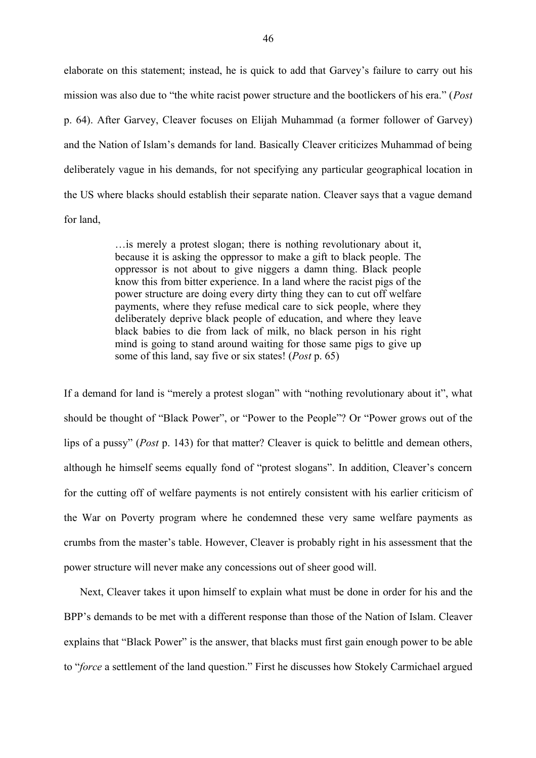elaborate on this statement; instead, he is quick to add that Garvey's failure to carry out his mission was also due to "the white racist power structure and the bootlickers of his era." (*Post* p. 64). After Garvey, Cleaver focuses on Elijah Muhammad (a former follower of Garvey) and the Nation of Islam's demands for land. Basically Cleaver criticizes Muhammad of being deliberately vague in his demands, for not specifying any particular geographical location in the US where blacks should establish their separate nation. Cleaver says that a vague demand for land,

> …is merely a protest slogan; there is nothing revolutionary about it, because it is asking the oppressor to make a gift to black people. The oppressor is not about to give niggers a damn thing. Black people know this from bitter experience. In a land where the racist pigs of the power structure are doing every dirty thing they can to cut off welfare payments, where they refuse medical care to sick people, where they deliberately deprive black people of education, and where they leave black babies to die from lack of milk, no black person in his right mind is going to stand around waiting for those same pigs to give up some of this land, say five or six states! (*Post* p. 65)

If a demand for land is "merely a protest slogan" with "nothing revolutionary about it", what should be thought of "Black Power", or "Power to the People"? Or "Power grows out of the lips of a pussy" (*Post* p. 143) for that matter? Cleaver is quick to belittle and demean others, although he himself seems equally fond of "protest slogans". In addition, Cleaver's concern for the cutting off of welfare payments is not entirely consistent with his earlier criticism of the War on Poverty program where he condemned these very same welfare payments as crumbs from the master's table. However, Cleaver is probably right in his assessment that the power structure will never make any concessions out of sheer good will.

Next, Cleaver takes it upon himself to explain what must be done in order for his and the BPP's demands to be met with a different response than those of the Nation of Islam. Cleaver explains that "Black Power" is the answer, that blacks must first gain enough power to be able to "*force* a settlement of the land question." First he discusses how Stokely Carmichael argued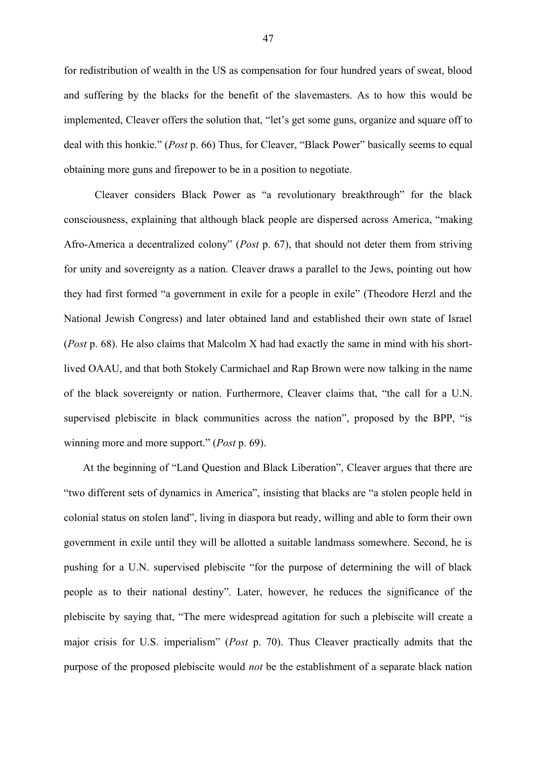for redistribution of wealth in the US as compensation for four hundred years of sweat, blood and suffering by the blacks for the benefit of the slavemasters. As to how this would be implemented, Cleaver offers the solution that, "let's get some guns, organize and square off to deal with this honkie." (*Post* p. 66) Thus, for Cleaver, "Black Power" basically seems to equal obtaining more guns and firepower to be in a position to negotiate.

Cleaver considers Black Power as "a revolutionary breakthrough" for the black consciousness, explaining that although black people are dispersed across America, "making Afro-America a decentralized colony" (*Post* p. 67), that should not deter them from striving for unity and sovereignty as a nation. Cleaver draws a parallel to the Jews, pointing out how they had first formed "a government in exile for a people in exile" (Theodore Herzl and the National Jewish Congress) and later obtained land and established their own state of Israel (*Post* p. 68). He also claims that Malcolm X had had exactly the same in mind with his shortlived OAAU, and that both Stokely Carmichael and Rap Brown were now talking in the name of the black sovereignty or nation. Furthermore, Cleaver claims that, "the call for a U.N. supervised plebiscite in black communities across the nation", proposed by the BPP, "is winning more and more support." (*Post* p. 69).

At the beginning of "Land Question and Black Liberation", Cleaver argues that there are "two different sets of dynamics in America", insisting that blacks are "a stolen people held in colonial status on stolen land", living in diaspora but ready, willing and able to form their own government in exile until they will be allotted a suitable landmass somewhere. Second, he is pushing for a U.N. supervised plebiscite "for the purpose of determining the will of black people as to their national destiny". Later, however, he reduces the significance of the plebiscite by saying that, "The mere widespread agitation for such a plebiscite will create a major crisis for U.S. imperialism" (*Post* p. 70). Thus Cleaver practically admits that the purpose of the proposed plebiscite would *not* be the establishment of a separate black nation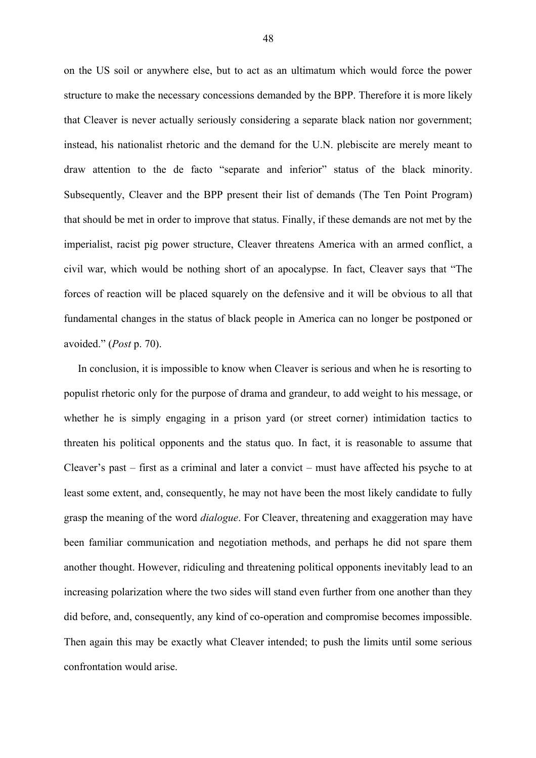on the US soil or anywhere else, but to act as an ultimatum which would force the power structure to make the necessary concessions demanded by the BPP. Therefore it is more likely that Cleaver is never actually seriously considering a separate black nation nor government; instead, his nationalist rhetoric and the demand for the U.N. plebiscite are merely meant to draw attention to the de facto "separate and inferior" status of the black minority. Subsequently, Cleaver and the BPP present their list of demands (The Ten Point Program) that should be met in order to improve that status. Finally, if these demands are not met by the imperialist, racist pig power structure, Cleaver threatens America with an armed conflict, a civil war, which would be nothing short of an apocalypse. In fact, Cleaver says that "The forces of reaction will be placed squarely on the defensive and it will be obvious to all that fundamental changes in the status of black people in America can no longer be postponed or avoided." (*Post* p. 70).

In conclusion, it is impossible to know when Cleaver is serious and when he is resorting to populist rhetoric only for the purpose of drama and grandeur, to add weight to his message, or whether he is simply engaging in a prison yard (or street corner) intimidation tactics to threaten his political opponents and the status quo. In fact, it is reasonable to assume that Cleaver's past – first as a criminal and later a convict – must have affected his psyche to at least some extent, and, consequently, he may not have been the most likely candidate to fully grasp the meaning of the word *dialogue*. For Cleaver, threatening and exaggeration may have been familiar communication and negotiation methods, and perhaps he did not spare them another thought. However, ridiculing and threatening political opponents inevitably lead to an increasing polarization where the two sides will stand even further from one another than they did before, and, consequently, any kind of co-operation and compromise becomes impossible. Then again this may be exactly what Cleaver intended; to push the limits until some serious confrontation would arise.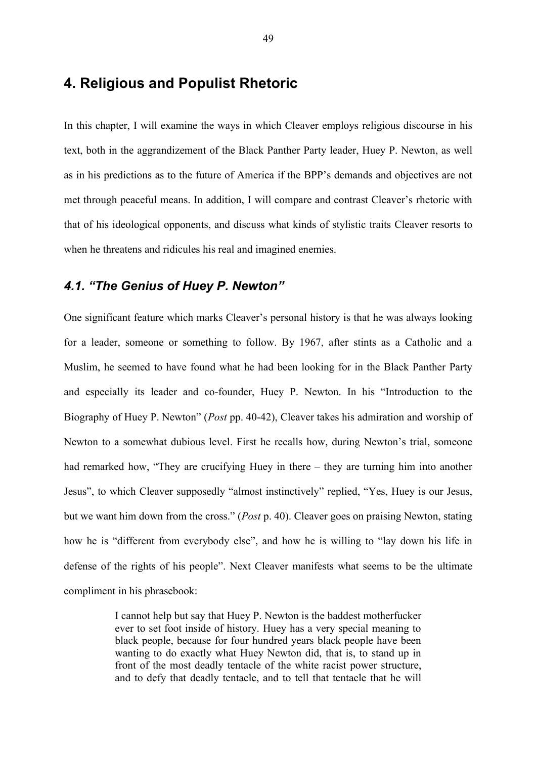# **4. Religious and Populist Rhetoric**

In this chapter, I will examine the ways in which Cleaver employs religious discourse in his text, both in the aggrandizement of the Black Panther Party leader, Huey P. Newton, as well as in his predictions as to the future of America if the BPP's demands and objectives are not met through peaceful means. In addition, I will compare and contrast Cleaver's rhetoric with that of his ideological opponents, and discuss what kinds of stylistic traits Cleaver resorts to when he threatens and ridicules his real and imagined enemies.

### *4.1. "The Genius of Huey P. Newton"*

One significant feature which marks Cleaver's personal history is that he was always looking for a leader, someone or something to follow. By 1967, after stints as a Catholic and a Muslim, he seemed to have found what he had been looking for in the Black Panther Party and especially its leader and co-founder, Huey P. Newton. In his "Introduction to the Biography of Huey P. Newton" (*Post* pp. 40-42), Cleaver takes his admiration and worship of Newton to a somewhat dubious level. First he recalls how, during Newton's trial, someone had remarked how, "They are crucifying Huey in there – they are turning him into another Jesus", to which Cleaver supposedly "almost instinctively" replied, "Yes, Huey is our Jesus, but we want him down from the cross." (*Post* p. 40). Cleaver goes on praising Newton, stating how he is "different from everybody else", and how he is willing to "lay down his life in defense of the rights of his people". Next Cleaver manifests what seems to be the ultimate compliment in his phrasebook:

> I cannot help but say that Huey P. Newton is the baddest motherfucker ever to set foot inside of history. Huey has a very special meaning to black people, because for four hundred years black people have been wanting to do exactly what Huey Newton did, that is, to stand up in front of the most deadly tentacle of the white racist power structure, and to defy that deadly tentacle, and to tell that tentacle that he will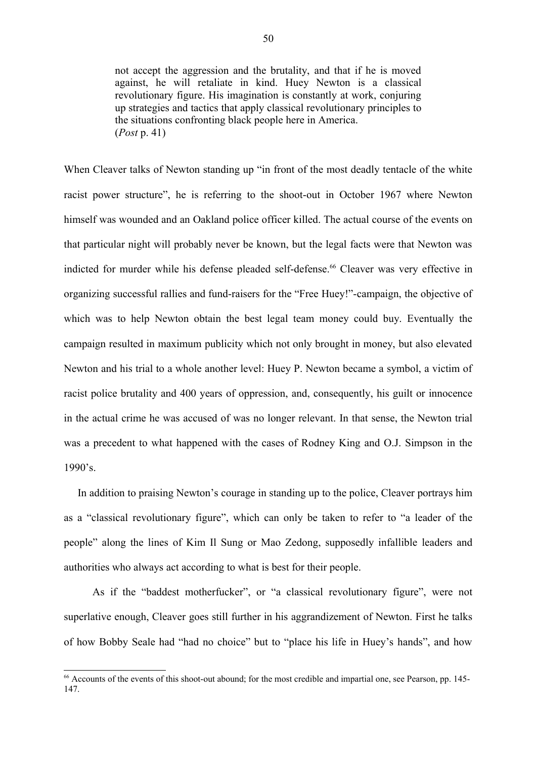not accept the aggression and the brutality, and that if he is moved against, he will retaliate in kind. Huey Newton is a classical revolutionary figure. His imagination is constantly at work, conjuring up strategies and tactics that apply classical revolutionary principles to the situations confronting black people here in America. (*Post* p. 41)

When Cleaver talks of Newton standing up "in front of the most deadly tentacle of the white racist power structure", he is referring to the shoot-out in October 1967 where Newton himself was wounded and an Oakland police officer killed. The actual course of the events on that particular night will probably never be known, but the legal facts were that Newton was indicted for murder while his defense pleaded self-defense.<sup>[66](#page-53-0)</sup> Cleaver was very effective in organizing successful rallies and fund-raisers for the "Free Huey!"-campaign, the objective of which was to help Newton obtain the best legal team money could buy. Eventually the campaign resulted in maximum publicity which not only brought in money, but also elevated Newton and his trial to a whole another level: Huey P. Newton became a symbol, a victim of racist police brutality and 400 years of oppression, and, consequently, his guilt or innocence in the actual crime he was accused of was no longer relevant. In that sense, the Newton trial was a precedent to what happened with the cases of Rodney King and O.J. Simpson in the 1990's.

 In addition to praising Newton's courage in standing up to the police, Cleaver portrays him as a "classical revolutionary figure", which can only be taken to refer to "a leader of the people" along the lines of Kim Il Sung or Mao Zedong, supposedly infallible leaders and authorities who always act according to what is best for their people.

As if the "baddest motherfucker", or "a classical revolutionary figure", were not superlative enough, Cleaver goes still further in his aggrandizement of Newton. First he talks of how Bobby Seale had "had no choice" but to "place his life in Huey's hands", and how

<span id="page-53-0"></span><sup>&</sup>lt;sup>66</sup> Accounts of the events of this shoot-out abound; for the most credible and impartial one, see Pearson, pp. 145-147.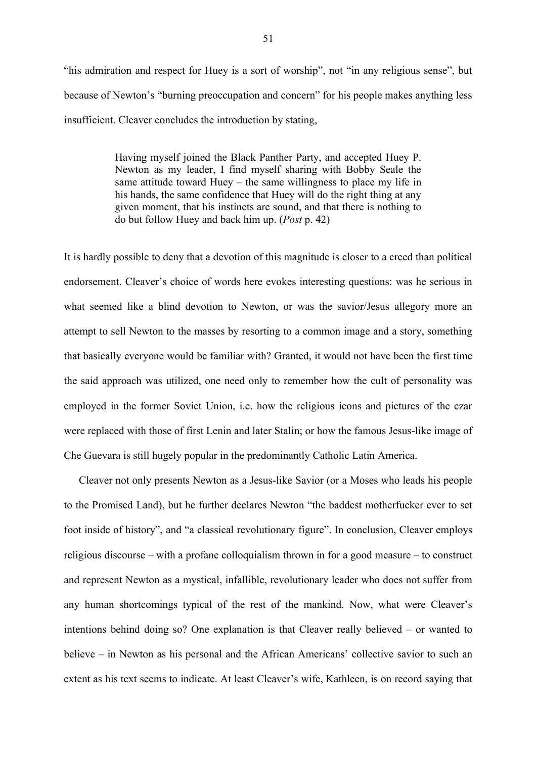"his admiration and respect for Huey is a sort of worship", not "in any religious sense", but because of Newton's "burning preoccupation and concern" for his people makes anything less insufficient. Cleaver concludes the introduction by stating,

> Having myself joined the Black Panther Party, and accepted Huey P. Newton as my leader, I find myself sharing with Bobby Seale the same attitude toward Huey – the same willingness to place my life in his hands, the same confidence that Huey will do the right thing at any given moment, that his instincts are sound, and that there is nothing to do but follow Huey and back him up. (*Post* p. 42)

It is hardly possible to deny that a devotion of this magnitude is closer to a creed than political endorsement. Cleaver's choice of words here evokes interesting questions: was he serious in what seemed like a blind devotion to Newton, or was the savior/Jesus allegory more an attempt to sell Newton to the masses by resorting to a common image and a story, something that basically everyone would be familiar with? Granted, it would not have been the first time the said approach was utilized, one need only to remember how the cult of personality was employed in the former Soviet Union, i.e. how the religious icons and pictures of the czar were replaced with those of first Lenin and later Stalin; or how the famous Jesus-like image of Che Guevara is still hugely popular in the predominantly Catholic Latin America.

Cleaver not only presents Newton as a Jesus-like Savior (or a Moses who leads his people to the Promised Land), but he further declares Newton "the baddest motherfucker ever to set foot inside of history", and "a classical revolutionary figure". In conclusion, Cleaver employs religious discourse – with a profane colloquialism thrown in for a good measure – to construct and represent Newton as a mystical, infallible, revolutionary leader who does not suffer from any human shortcomings typical of the rest of the mankind. Now, what were Cleaver's intentions behind doing so? One explanation is that Cleaver really believed – or wanted to believe – in Newton as his personal and the African Americans' collective savior to such an extent as his text seems to indicate. At least Cleaver's wife, Kathleen, is on record saying that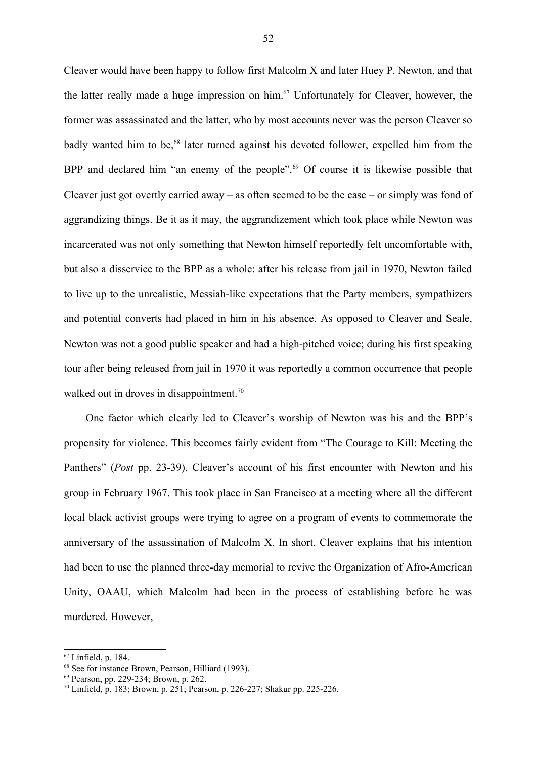Cleaver would have been happy to follow first Malcolm X and later Huey P. Newton, and that the latter really made a huge impression on  $\lim_{n \to \infty}$  Unfortunately for Cleaver, however, the former was assassinated and the latter, who by most accounts never was the person Cleaver so badly wanted him to be,<sup>[68](#page-55-1)</sup> later turned against his devoted follower, expelled him from the BPP and declared him "an enemy of the people".<sup>[69](#page-55-2)</sup> Of course it is likewise possible that Cleaver just got overtly carried away – as often seemed to be the case – or simply was fond of aggrandizing things. Be it as it may, the aggrandizement which took place while Newton was incarcerated was not only something that Newton himself reportedly felt uncomfortable with, but also a disservice to the BPP as a whole: after his release from jail in 1970, Newton failed to live up to the unrealistic, Messiah-like expectations that the Party members, sympathizers and potential converts had placed in him in his absence. As opposed to Cleaver and Seale, Newton was not a good public speaker and had a high-pitched voice; during his first speaking tour after being released from jail in 1970 it was reportedly a common occurrence that people walked out in droves in disappointment.<sup>[70](#page-55-3)</sup>

One factor which clearly led to Cleaver's worship of Newton was his and the BPP's propensity for violence. This becomes fairly evident from "The Courage to Kill: Meeting the Panthers" (*Post* pp. 23-39), Cleaver's account of his first encounter with Newton and his group in February 1967. This took place in San Francisco at a meeting where all the different local black activist groups were trying to agree on a program of events to commemorate the anniversary of the assassination of Malcolm X. In short, Cleaver explains that his intention had been to use the planned three-day memorial to revive the Organization of Afro-American Unity, OAAU, which Malcolm had been in the process of establishing before he was murdered. However,

<span id="page-55-0"></span><sup>67</sup> Linfield, p. 184.

<span id="page-55-1"></span><sup>&</sup>lt;sup>68</sup> See for instance Brown, Pearson, Hilliard (1993).

<span id="page-55-2"></span><sup>69</sup> Pearson, pp. 229-234; Brown, p. 262.

<span id="page-55-3"></span><sup>70</sup> Linfield, p. 183; Brown, p. 251; Pearson, p. 226-227; Shakur pp. 225-226.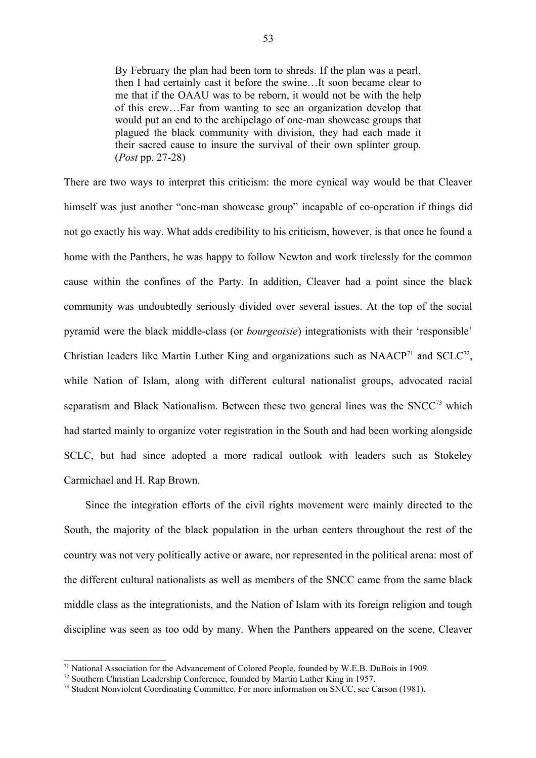By February the plan had been torn to shreds. If the plan was a pearl, then I had certainly cast it before the swine…It soon became clear to me that if the OAAU was to be reborn, it would not be with the help of this crew…Far from wanting to see an organization develop that would put an end to the archipelago of one-man showcase groups that plagued the black community with division, they had each made it their sacred cause to insure the survival of their own splinter group. (*Post* pp. 27-28)

There are two ways to interpret this criticism: the more cynical way would be that Cleaver himself was just another "one-man showcase group" incapable of co-operation if things did not go exactly his way. What adds credibility to his criticism, however, is that once he found a home with the Panthers, he was happy to follow Newton and work tirelessly for the common cause within the confines of the Party. In addition, Cleaver had a point since the black community was undoubtedly seriously divided over several issues. At the top of the social pyramid were the black middle-class (or *bourgeoisie*) integrationists with their 'responsible' Christian leaders like Martin Luther King and organizations such as  $NAACP^{71}$  $NAACP^{71}$  $NAACP^{71}$  and  $SCLC^{72}$  $SCLC^{72}$  $SCLC^{72}$ , while Nation of Islam, along with different cultural nationalist groups, advocated racial separatism and Black Nationalism. Between these two general lines was the  $SNCC<sup>73</sup>$  $SNCC<sup>73</sup>$  $SNCC<sup>73</sup>$  which had started mainly to organize voter registration in the South and had been working alongside SCLC, but had since adopted a more radical outlook with leaders such as Stokeley Carmichael and H. Rap Brown.

Since the integration efforts of the civil rights movement were mainly directed to the South, the majority of the black population in the urban centers throughout the rest of the country was not very politically active or aware, nor represented in the political arena: most of the different cultural nationalists as well as members of the SNCC came from the same black middle class as the integrationists, and the Nation of Islam with its foreign religion and tough discipline was seen as too odd by many. When the Panthers appeared on the scene, Cleaver

<span id="page-56-0"></span> $71$  National Association for the Advancement of Colored People, founded by W.E.B. DuBois in 1909.

<span id="page-56-1"></span><sup>72</sup> Southern Christian Leadership Conference, founded by Martin Luther King in 1957.

<span id="page-56-2"></span> $<sup>73</sup>$  Student Nonviolent Coordinating Committee. For more information on SNCC, see Carson (1981).</sup>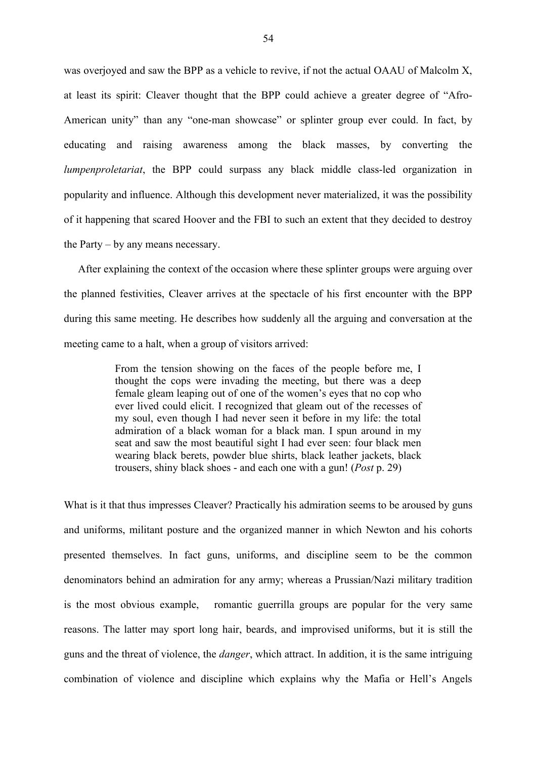was overjoyed and saw the BPP as a vehicle to revive, if not the actual OAAU of Malcolm X, at least its spirit: Cleaver thought that the BPP could achieve a greater degree of "Afro-American unity" than any "one-man showcase" or splinter group ever could. In fact, by educating and raising awareness among the black masses, by converting the *lumpenproletariat*, the BPP could surpass any black middle class-led organization in popularity and influence. Although this development never materialized, it was the possibility of it happening that scared Hoover and the FBI to such an extent that they decided to destroy the Party – by any means necessary.

After explaining the context of the occasion where these splinter groups were arguing over the planned festivities, Cleaver arrives at the spectacle of his first encounter with the BPP during this same meeting. He describes how suddenly all the arguing and conversation at the meeting came to a halt, when a group of visitors arrived:

> From the tension showing on the faces of the people before me, I thought the cops were invading the meeting, but there was a deep female gleam leaping out of one of the women's eyes that no cop who ever lived could elicit. I recognized that gleam out of the recesses of my soul, even though I had never seen it before in my life: the total admiration of a black woman for a black man. I spun around in my seat and saw the most beautiful sight I had ever seen: four black men wearing black berets, powder blue shirts, black leather jackets, black trousers, shiny black shoes - and each one with a gun! (*Post* p. 29)

What is it that thus impresses Cleaver? Practically his admiration seems to be aroused by guns and uniforms, militant posture and the organized manner in which Newton and his cohorts presented themselves. In fact guns, uniforms, and discipline seem to be the common denominators behind an admiration for any army; whereas a Prussian/Nazi military tradition is the most obvious example, romantic guerrilla groups are popular for the very same reasons. The latter may sport long hair, beards, and improvised uniforms, but it is still the guns and the threat of violence, the *danger*, which attract. In addition, it is the same intriguing combination of violence and discipline which explains why the Mafia or Hell's Angels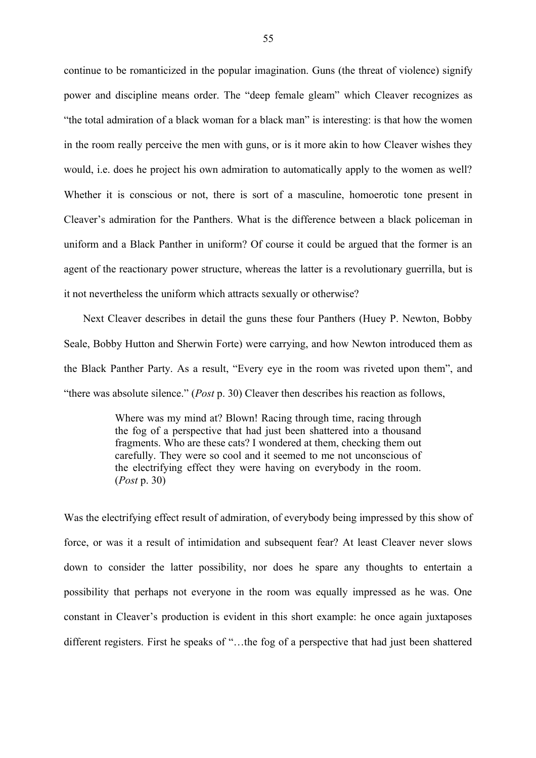continue to be romanticized in the popular imagination. Guns (the threat of violence) signify power and discipline means order. The "deep female gleam" which Cleaver recognizes as "the total admiration of a black woman for a black man" is interesting: is that how the women in the room really perceive the men with guns, or is it more akin to how Cleaver wishes they would, i.e. does he project his own admiration to automatically apply to the women as well? Whether it is conscious or not, there is sort of a masculine, homoerotic tone present in Cleaver's admiration for the Panthers. What is the difference between a black policeman in uniform and a Black Panther in uniform? Of course it could be argued that the former is an agent of the reactionary power structure, whereas the latter is a revolutionary guerrilla, but is it not nevertheless the uniform which attracts sexually or otherwise?

Next Cleaver describes in detail the guns these four Panthers (Huey P. Newton, Bobby Seale, Bobby Hutton and Sherwin Forte) were carrying, and how Newton introduced them as the Black Panther Party. As a result, "Every eye in the room was riveted upon them", and "there was absolute silence." (*Post* p. 30) Cleaver then describes his reaction as follows,

> Where was my mind at? Blown! Racing through time, racing through the fog of a perspective that had just been shattered into a thousand fragments. Who are these cats? I wondered at them, checking them out carefully. They were so cool and it seemed to me not unconscious of the electrifying effect they were having on everybody in the room. (*Post* p. 30)

Was the electrifying effect result of admiration, of everybody being impressed by this show of force, or was it a result of intimidation and subsequent fear? At least Cleaver never slows down to consider the latter possibility, nor does he spare any thoughts to entertain a possibility that perhaps not everyone in the room was equally impressed as he was. One constant in Cleaver's production is evident in this short example: he once again juxtaposes different registers. First he speaks of "…the fog of a perspective that had just been shattered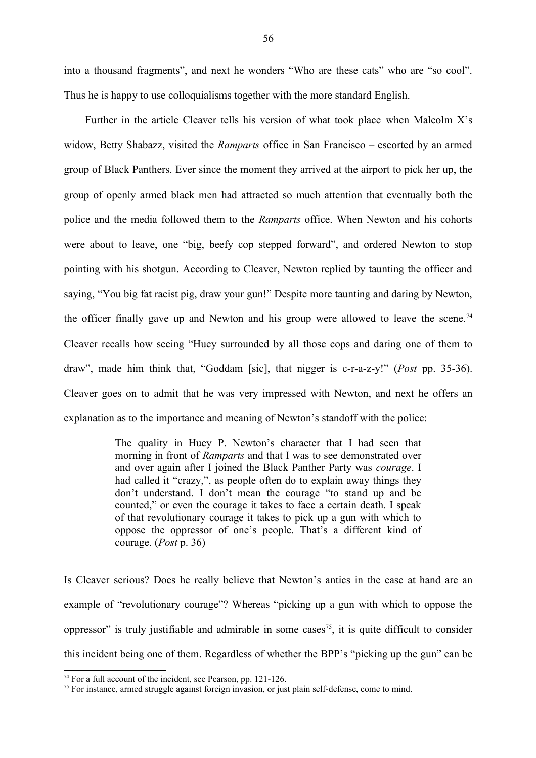into a thousand fragments", and next he wonders "Who are these cats" who are "so cool". Thus he is happy to use colloquialisms together with the more standard English.

Further in the article Cleaver tells his version of what took place when Malcolm X's widow, Betty Shabazz, visited the *Ramparts* office in San Francisco – escorted by an armed group of Black Panthers. Ever since the moment they arrived at the airport to pick her up, the group of openly armed black men had attracted so much attention that eventually both the police and the media followed them to the *Ramparts* office. When Newton and his cohorts were about to leave, one "big, beefy cop stepped forward", and ordered Newton to stop pointing with his shotgun. According to Cleaver, Newton replied by taunting the officer and saying, "You big fat racist pig, draw your gun!" Despite more taunting and daring by Newton, the officer finally gave up and Newton and his group were allowed to leave the scene.<sup>[74](#page-59-0)</sup> Cleaver recalls how seeing "Huey surrounded by all those cops and daring one of them to draw", made him think that, "Goddam [sic], that nigger is c-r-a-z-y!" (*Post* pp. 35-36). Cleaver goes on to admit that he was very impressed with Newton, and next he offers an explanation as to the importance and meaning of Newton's standoff with the police:

> The quality in Huey P. Newton's character that I had seen that morning in front of *Ramparts* and that I was to see demonstrated over and over again after I joined the Black Panther Party was *courage*. I had called it "crazy,", as people often do to explain away things they don't understand. I don't mean the courage "to stand up and be counted," or even the courage it takes to face a certain death. I speak of that revolutionary courage it takes to pick up a gun with which to oppose the oppressor of one's people. That's a different kind of courage. (*Post* p. 36)

Is Cleaver serious? Does he really believe that Newton's antics in the case at hand are an example of "revolutionary courage"? Whereas "picking up a gun with which to oppose the oppressor" is truly justifiable and admirable in some cases<sup>[75](#page-59-1)</sup>, it is quite difficult to consider this incident being one of them. Regardless of whether the BPP's "picking up the gun" can be

<span id="page-59-0"></span><sup>74</sup> For a full account of the incident, see Pearson, pp. 121-126.

<span id="page-59-1"></span><sup>&</sup>lt;sup>75</sup> For instance, armed struggle against foreign invasion, or just plain self-defense, come to mind.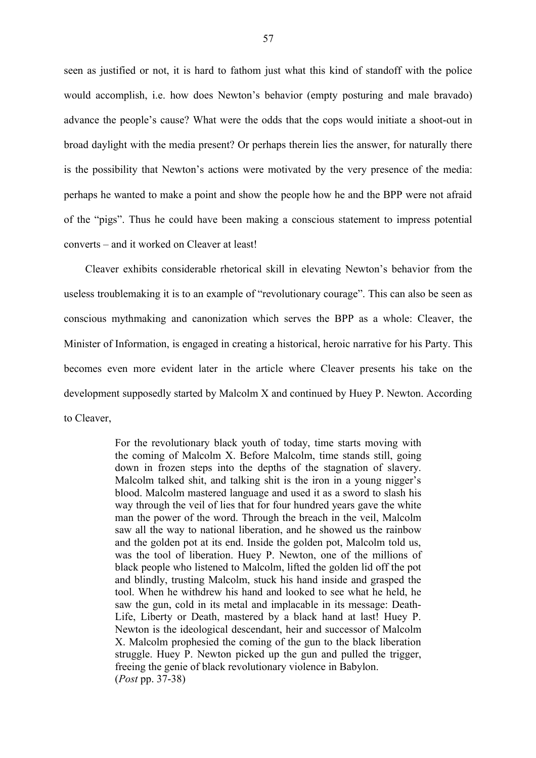seen as justified or not, it is hard to fathom just what this kind of standoff with the police would accomplish, i.e. how does Newton's behavior (empty posturing and male bravado) advance the people's cause? What were the odds that the cops would initiate a shoot-out in broad daylight with the media present? Or perhaps therein lies the answer, for naturally there is the possibility that Newton's actions were motivated by the very presence of the media: perhaps he wanted to make a point and show the people how he and the BPP were not afraid of the "pigs". Thus he could have been making a conscious statement to impress potential converts – and it worked on Cleaver at least!

Cleaver exhibits considerable rhetorical skill in elevating Newton's behavior from the useless troublemaking it is to an example of "revolutionary courage". This can also be seen as conscious mythmaking and canonization which serves the BPP as a whole: Cleaver, the Minister of Information, is engaged in creating a historical, heroic narrative for his Party. This becomes even more evident later in the article where Cleaver presents his take on the development supposedly started by Malcolm X and continued by Huey P. Newton. According to Cleaver,

> For the revolutionary black youth of today, time starts moving with the coming of Malcolm X. Before Malcolm, time stands still, going down in frozen steps into the depths of the stagnation of slavery. Malcolm talked shit, and talking shit is the iron in a young nigger's blood. Malcolm mastered language and used it as a sword to slash his way through the veil of lies that for four hundred years gave the white man the power of the word. Through the breach in the veil, Malcolm saw all the way to national liberation, and he showed us the rainbow and the golden pot at its end. Inside the golden pot, Malcolm told us, was the tool of liberation. Huey P. Newton, one of the millions of black people who listened to Malcolm, lifted the golden lid off the pot and blindly, trusting Malcolm, stuck his hand inside and grasped the tool. When he withdrew his hand and looked to see what he held, he saw the gun, cold in its metal and implacable in its message: Death-Life, Liberty or Death, mastered by a black hand at last! Huey P. Newton is the ideological descendant, heir and successor of Malcolm X. Malcolm prophesied the coming of the gun to the black liberation struggle. Huey P. Newton picked up the gun and pulled the trigger, freeing the genie of black revolutionary violence in Babylon. (*Post* pp. 37-38)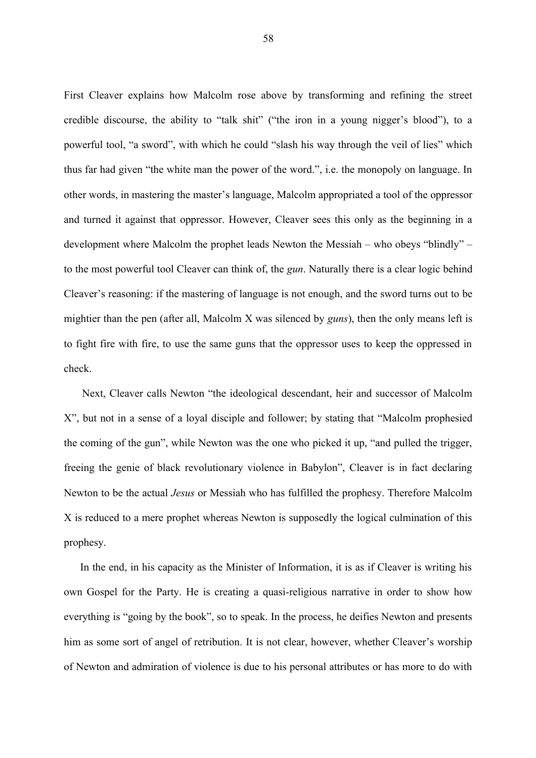First Cleaver explains how Malcolm rose above by transforming and refining the street credible discourse, the ability to "talk shit" ("the iron in a young nigger's blood"), to a powerful tool, "a sword", with which he could "slash his way through the veil of lies" which thus far had given "the white man the power of the word.", i.e. the monopoly on language. In other words, in mastering the master's language, Malcolm appropriated a tool of the oppressor and turned it against that oppressor. However, Cleaver sees this only as the beginning in a development where Malcolm the prophet leads Newton the Messiah – who obeys "blindly" – to the most powerful tool Cleaver can think of, the *gun*. Naturally there is a clear logic behind Cleaver's reasoning: if the mastering of language is not enough, and the sword turns out to be mightier than the pen (after all, Malcolm X was silenced by *guns*), then the only means left is to fight fire with fire, to use the same guns that the oppressor uses to keep the oppressed in check.

Next, Cleaver calls Newton "the ideological descendant, heir and successor of Malcolm X", but not in a sense of a loyal disciple and follower; by stating that "Malcolm prophesied the coming of the gun", while Newton was the one who picked it up, "and pulled the trigger, freeing the genie of black revolutionary violence in Babylon", Cleaver is in fact declaring Newton to be the actual *Jesus* or Messiah who has fulfilled the prophesy. Therefore Malcolm X is reduced to a mere prophet whereas Newton is supposedly the logical culmination of this prophesy.

In the end, in his capacity as the Minister of Information, it is as if Cleaver is writing his own Gospel for the Party. He is creating a quasi-religious narrative in order to show how everything is "going by the book", so to speak. In the process, he deifies Newton and presents him as some sort of angel of retribution. It is not clear, however, whether Cleaver's worship of Newton and admiration of violence is due to his personal attributes or has more to do with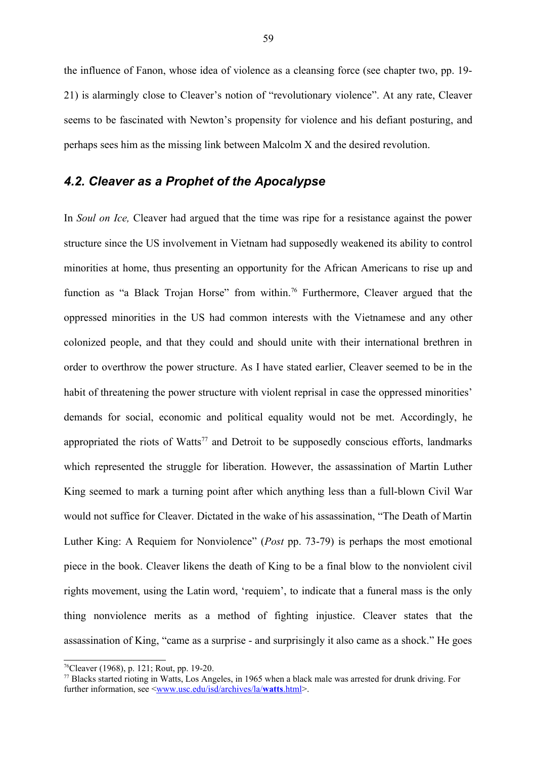the influence of Fanon, whose idea of violence as a cleansing force (see chapter two, pp. 19- 21) is alarmingly close to Cleaver's notion of "revolutionary violence". At any rate, Cleaver seems to be fascinated with Newton's propensity for violence and his defiant posturing, and perhaps sees him as the missing link between Malcolm X and the desired revolution.

#### *4.2. Cleaver as a Prophet of the Apocalypse*

In *Soul on Ice,* Cleaver had argued that the time was ripe for a resistance against the power structure since the US involvement in Vietnam had supposedly weakened its ability to control minorities at home, thus presenting an opportunity for the African Americans to rise up and function as "a Black Trojan Horse" from within.<sup>[76](#page-62-0)</sup> Furthermore, Cleaver argued that the oppressed minorities in the US had common interests with the Vietnamese and any other colonized people, and that they could and should unite with their international brethren in order to overthrow the power structure. As I have stated earlier, Cleaver seemed to be in the habit of threatening the power structure with violent reprisal in case the oppressed minorities' demands for social, economic and political equality would not be met. Accordingly, he appropriated the riots of Watts<sup>[77](#page-62-1)</sup> and Detroit to be supposedly conscious efforts, landmarks which represented the struggle for liberation. However, the assassination of Martin Luther King seemed to mark a turning point after which anything less than a full-blown Civil War would not suffice for Cleaver. Dictated in the wake of his assassination, "The Death of Martin Luther King: A Requiem for Nonviolence" (*Post* pp. 73-79) is perhaps the most emotional piece in the book. Cleaver likens the death of King to be a final blow to the nonviolent civil rights movement, using the Latin word, 'requiem', to indicate that a funeral mass is the only thing nonviolence merits as a method of fighting injustice. Cleaver states that the assassination of King, "came as a surprise - and surprisingly it also came as a shock." He goes

<span id="page-62-0"></span><sup>76</sup>Cleaver (1968), p. 121; Rout, pp. 19-20.

<span id="page-62-1"></span><sup>77</sup> Blacks started rioting in Watts, Los Angeles, in 1965 when a black male was arrested for drunk driving. For further information, see [< www.usc.edu/isd/archives/la/](http://www.usc.edu/isd/archives/la/watts.html) **watts** .html>.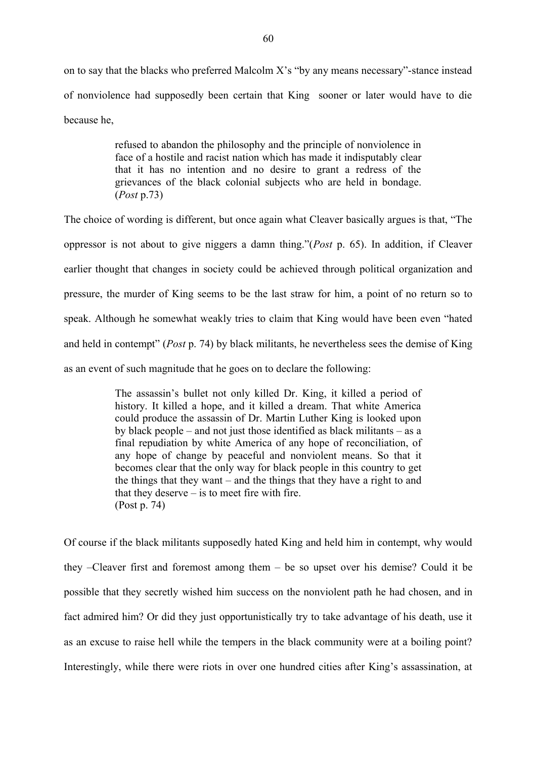on to say that the blacks who preferred Malcolm X's "by any means necessary"-stance instead of nonviolence had supposedly been certain that King sooner or later would have to die because he,

> refused to abandon the philosophy and the principle of nonviolence in face of a hostile and racist nation which has made it indisputably clear that it has no intention and no desire to grant a redress of the grievances of the black colonial subjects who are held in bondage. (*Post* p.73)

The choice of wording is different, but once again what Cleaver basically argues is that, "The oppressor is not about to give niggers a damn thing."(*Post* p. 65). In addition, if Cleaver earlier thought that changes in society could be achieved through political organization and pressure, the murder of King seems to be the last straw for him, a point of no return so to speak. Although he somewhat weakly tries to claim that King would have been even "hated and held in contempt" (*Post* p. 74) by black militants, he nevertheless sees the demise of King as an event of such magnitude that he goes on to declare the following:

> The assassin's bullet not only killed Dr. King, it killed a period of history. It killed a hope, and it killed a dream. That white America could produce the assassin of Dr. Martin Luther King is looked upon by black people – and not just those identified as black militants – as a final repudiation by white America of any hope of reconciliation, of any hope of change by peaceful and nonviolent means. So that it becomes clear that the only way for black people in this country to get the things that they want – and the things that they have a right to and that they deserve – is to meet fire with fire. (Post p. 74)

Of course if the black militants supposedly hated King and held him in contempt, why would they –Cleaver first and foremost among them – be so upset over his demise? Could it be possible that they secretly wished him success on the nonviolent path he had chosen, and in fact admired him? Or did they just opportunistically try to take advantage of his death, use it as an excuse to raise hell while the tempers in the black community were at a boiling point? Interestingly, while there were riots in over one hundred cities after King's assassination, at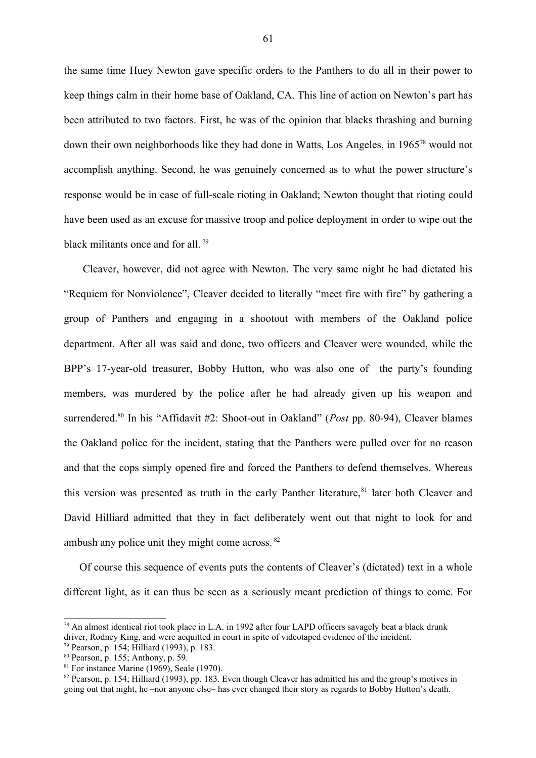the same time Huey Newton gave specific orders to the Panthers to do all in their power to keep things calm in their home base of Oakland, CA. This line of action on Newton's part has been attributed to two factors. First, he was of the opinion that blacks thrashing and burning down their own neighborhoods like they had done in Watts, Los Angeles, in 1965[78](#page-64-0) would not accomplish anything. Second, he was genuinely concerned as to what the power structure's response would be in case of full-scale rioting in Oakland; Newton thought that rioting could have been used as an excuse for massive troop and police deployment in order to wipe out the black militants once and for all.<sup>[79](#page-64-1)</sup>

Cleaver, however, did not agree with Newton. The very same night he had dictated his "Requiem for Nonviolence", Cleaver decided to literally "meet fire with fire" by gathering a group of Panthers and engaging in a shootout with members of the Oakland police department. After all was said and done, two officers and Cleaver were wounded, while the BPP's 17-year-old treasurer, Bobby Hutton, who was also one of the party's founding members, was murdered by the police after he had already given up his weapon and surrendered.[80](#page-64-2) In his "Affidavit #2: Shoot-out in Oakland" (*Post* pp. 80-94), Cleaver blames the Oakland police for the incident, stating that the Panthers were pulled over for no reason and that the cops simply opened fire and forced the Panthers to defend themselves. Whereas this version was presented as truth in the early Panther literature,<sup>[81](#page-64-3)</sup> later both Cleaver and David Hilliard admitted that they in fact deliberately went out that night to look for and ambush any police unit they might come across. [82](#page-64-4)

Of course this sequence of events puts the contents of Cleaver's (dictated) text in a whole different light, as it can thus be seen as a seriously meant prediction of things to come. For

<span id="page-64-0"></span><sup>78</sup> An almost identical riot took place in L.A. in 1992 after four LAPD officers savagely beat a black drunk driver, Rodney King, and were acquitted in court in spite of videotaped evidence of the incident.

<span id="page-64-1"></span><sup>79</sup> Pearson, p. 154; Hilliard (1993), p. 183.

<span id="page-64-2"></span><sup>80</sup> Pearson, p. 155; Anthony, p. 59.

<span id="page-64-3"></span> $81$  For instance Marine (1969), Seale (1970).

<span id="page-64-4"></span><sup>&</sup>lt;sup>82</sup> Pearson, p. 154; Hilliard (1993), pp. 183. Even though Cleaver has admitted his and the group's motives in going out that night, he –nor anyone else– has ever changed their story as regards to Bobby Hutton's death.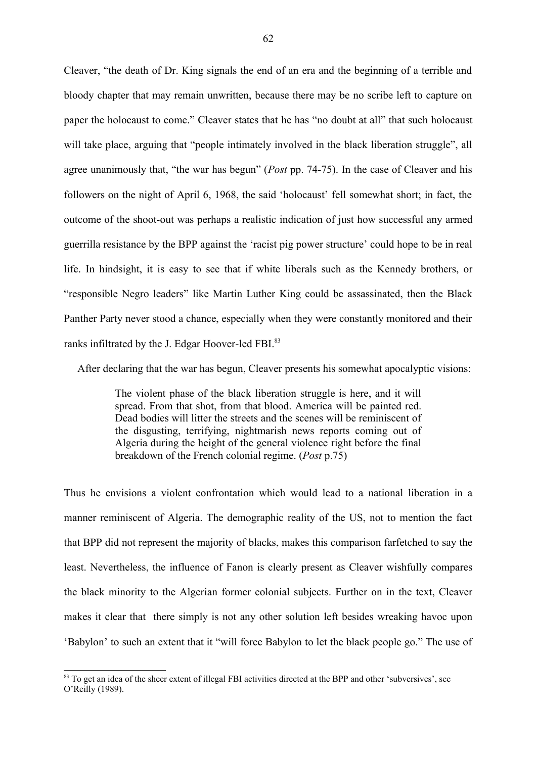Cleaver, "the death of Dr. King signals the end of an era and the beginning of a terrible and bloody chapter that may remain unwritten, because there may be no scribe left to capture on paper the holocaust to come." Cleaver states that he has "no doubt at all" that such holocaust will take place, arguing that "people intimately involved in the black liberation struggle", all agree unanimously that, "the war has begun" (*Post* pp. 74-75). In the case of Cleaver and his followers on the night of April 6, 1968, the said 'holocaust' fell somewhat short; in fact, the outcome of the shoot-out was perhaps a realistic indication of just how successful any armed guerrilla resistance by the BPP against the 'racist pig power structure' could hope to be in real life. In hindsight, it is easy to see that if white liberals such as the Kennedy brothers, or "responsible Negro leaders" like Martin Luther King could be assassinated, then the Black Panther Party never stood a chance, especially when they were constantly monitored and their ranks infiltrated by the J. Edgar Hoover-led FBI.<sup>[83](#page-65-0)</sup>

After declaring that the war has begun, Cleaver presents his somewhat apocalyptic visions:

The violent phase of the black liberation struggle is here, and it will spread. From that shot, from that blood. America will be painted red. Dead bodies will litter the streets and the scenes will be reminiscent of the disgusting, terrifying, nightmarish news reports coming out of Algeria during the height of the general violence right before the final breakdown of the French colonial regime. (*Post* p.75)

Thus he envisions a violent confrontation which would lead to a national liberation in a manner reminiscent of Algeria. The demographic reality of the US, not to mention the fact that BPP did not represent the majority of blacks, makes this comparison farfetched to say the least. Nevertheless, the influence of Fanon is clearly present as Cleaver wishfully compares the black minority to the Algerian former colonial subjects. Further on in the text, Cleaver makes it clear that there simply is not any other solution left besides wreaking havoc upon 'Babylon' to such an extent that it "will force Babylon to let the black people go." The use of

<span id="page-65-0"></span><sup>83</sup> To get an idea of the sheer extent of illegal FBI activities directed at the BPP and other 'subversives', see O'Reilly (1989).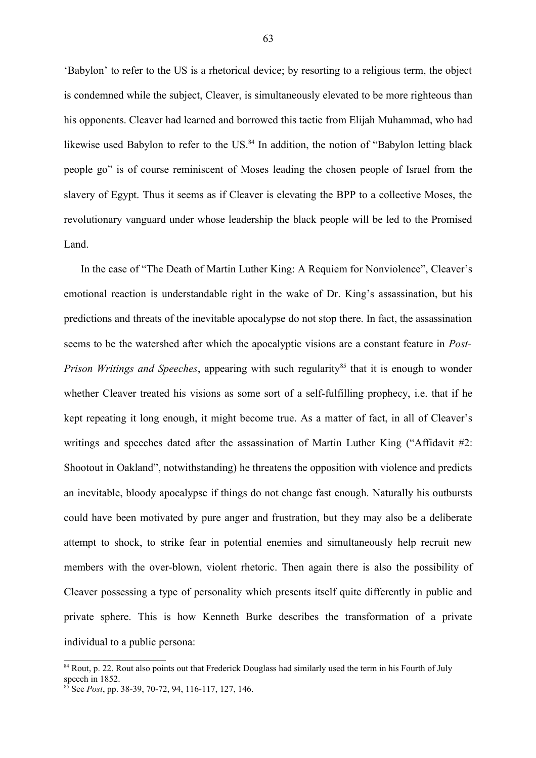'Babylon' to refer to the US is a rhetorical device; by resorting to a religious term, the object is condemned while the subject, Cleaver, is simultaneously elevated to be more righteous than his opponents. Cleaver had learned and borrowed this tactic from Elijah Muhammad, who had likewise used Babylon to refer to the US.<sup>[84](#page-66-0)</sup> In addition, the notion of "Babylon letting black people go" is of course reminiscent of Moses leading the chosen people of Israel from the slavery of Egypt. Thus it seems as if Cleaver is elevating the BPP to a collective Moses, the revolutionary vanguard under whose leadership the black people will be led to the Promised Land.

In the case of "The Death of Martin Luther King: A Requiem for Nonviolence", Cleaver's emotional reaction is understandable right in the wake of Dr. King's assassination, but his predictions and threats of the inevitable apocalypse do not stop there. In fact, the assassination seems to be the watershed after which the apocalyptic visions are a constant feature in *Post-Prison Writings and Speeches*, appearing with such regularity [85](#page-66-1) that it is enough to wonder whether Cleaver treated his visions as some sort of a self-fulfilling prophecy, i.e. that if he kept repeating it long enough, it might become true. As a matter of fact, in all of Cleaver's writings and speeches dated after the assassination of Martin Luther King ("Affidavit #2: Shootout in Oakland", notwithstanding) he threatens the opposition with violence and predicts an inevitable, bloody apocalypse if things do not change fast enough. Naturally his outbursts could have been motivated by pure anger and frustration, but they may also be a deliberate attempt to shock, to strike fear in potential enemies and simultaneously help recruit new members with the over-blown, violent rhetoric. Then again there is also the possibility of Cleaver possessing a type of personality which presents itself quite differently in public and private sphere. This is how Kenneth Burke describes the transformation of a private individual to a public persona:

<span id="page-66-0"></span><sup>&</sup>lt;sup>84</sup> Rout, p. 22. Rout also points out that Frederick Douglass had similarly used the term in his Fourth of July speech in 1852.

<span id="page-66-1"></span><sup>85</sup> See *Post*, pp. 38-39, 70-72, 94, 116-117, 127, 146.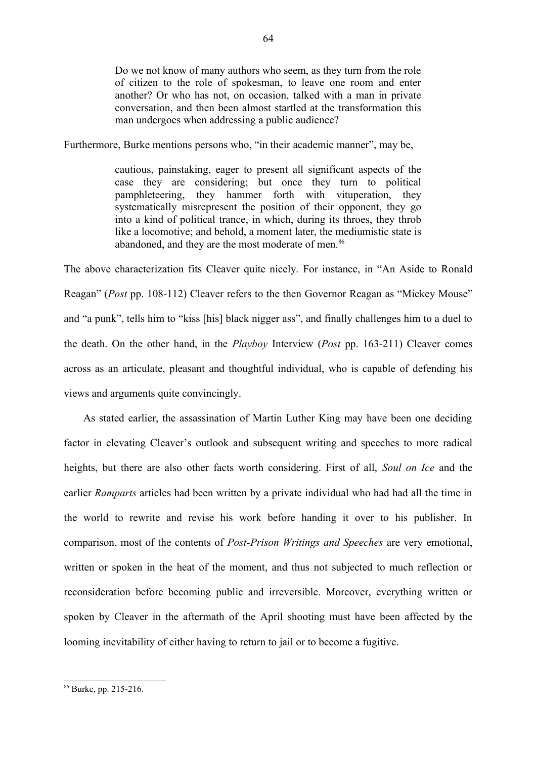Do we not know of many authors who seem, as they turn from the role of citizen to the role of spokesman, to leave one room and enter another? Or who has not, on occasion, talked with a man in private conversation, and then been almost startled at the transformation this man undergoes when addressing a public audience?

Furthermore, Burke mentions persons who, "in their academic manner", may be,

cautious, painstaking, eager to present all significant aspects of the case they are considering; but once they turn to political pamphleteering, they hammer forth with vituperation, they systematically misrepresent the position of their opponent, they go into a kind of political trance, in which, during its throes, they throb like a locomotive; and behold, a moment later, the mediumistic state is abandoned, and they are the most moderate of men.<sup>[86](#page-67-0)</sup>

The above characterization fits Cleaver quite nicely. For instance, in "An Aside to Ronald Reagan" (*Post* pp. 108-112) Cleaver refers to the then Governor Reagan as "Mickey Mouse" and "a punk", tells him to "kiss [his] black nigger ass", and finally challenges him to a duel to the death. On the other hand, in the *Playboy* Interview (*Post* pp. 163-211) Cleaver comes across as an articulate, pleasant and thoughtful individual, who is capable of defending his views and arguments quite convincingly.

As stated earlier, the assassination of Martin Luther King may have been one deciding factor in elevating Cleaver's outlook and subsequent writing and speeches to more radical heights, but there are also other facts worth considering. First of all, *Soul on Ice* and the earlier *Ramparts* articles had been written by a private individual who had had all the time in the world to rewrite and revise his work before handing it over to his publisher. In comparison, most of the contents of *Post-Prison Writings and Speeches* are very emotional, written or spoken in the heat of the moment, and thus not subjected to much reflection or reconsideration before becoming public and irreversible. Moreover, everything written or spoken by Cleaver in the aftermath of the April shooting must have been affected by the looming inevitability of either having to return to jail or to become a fugitive.

<span id="page-67-0"></span><sup>86</sup> Burke, pp. 215-216.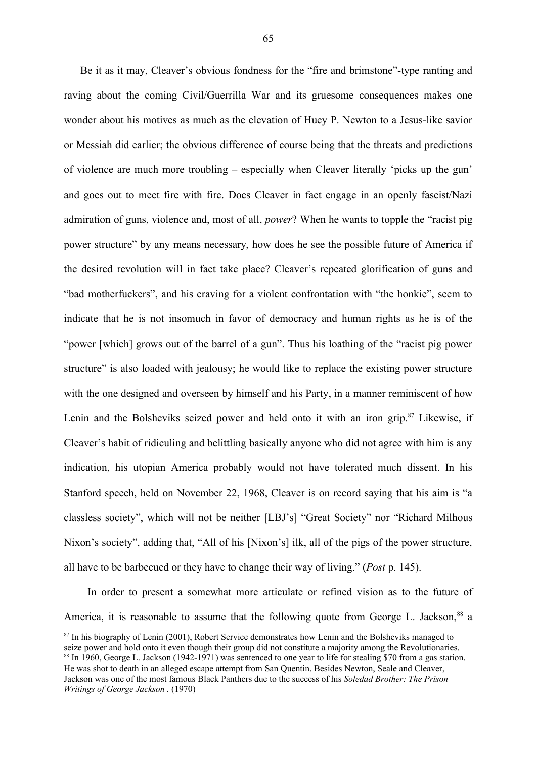Be it as it may, Cleaver's obvious fondness for the "fire and brimstone"-type ranting and raving about the coming Civil/Guerrilla War and its gruesome consequences makes one wonder about his motives as much as the elevation of Huey P. Newton to a Jesus-like savior or Messiah did earlier; the obvious difference of course being that the threats and predictions of violence are much more troubling – especially when Cleaver literally 'picks up the gun' and goes out to meet fire with fire. Does Cleaver in fact engage in an openly fascist/Nazi admiration of guns, violence and, most of all, *power*? When he wants to topple the "racist pig power structure" by any means necessary, how does he see the possible future of America if the desired revolution will in fact take place? Cleaver's repeated glorification of guns and "bad motherfuckers", and his craving for a violent confrontation with "the honkie", seem to indicate that he is not insomuch in favor of democracy and human rights as he is of the "power [which] grows out of the barrel of a gun". Thus his loathing of the "racist pig power structure" is also loaded with jealousy; he would like to replace the existing power structure with the one designed and overseen by himself and his Party, in a manner reminiscent of how Lenin and the Bolsheviks seized power and held onto it with an iron grip.<sup>[87](#page-68-0)</sup> Likewise, if Cleaver's habit of ridiculing and belittling basically anyone who did not agree with him is any indication, his utopian America probably would not have tolerated much dissent. In his Stanford speech, held on November 22, 1968, Cleaver is on record saying that his aim is "a classless society", which will not be neither [LBJ's] "Great Society" nor "Richard Milhous Nixon's society", adding that, "All of his [Nixon's] ilk, all of the pigs of the power structure, all have to be barbecued or they have to change their way of living." (*Post* p. 145).

In order to present a somewhat more articulate or refined vision as to the future of America, it is reasonable to assume that the following quote from George L. Jackson,<sup>[88](#page-68-1)</sup> a

<span id="page-68-1"></span><span id="page-68-0"></span><sup>&</sup>lt;sup>87</sup> In his biography of Lenin (2001). Robert Service demonstrates how Lenin and the Bolsheviks managed to seize power and hold onto it even though their group did not constitute a majority among the Revolutionaries. <sup>88</sup> In 1960, George L. Jackson (1942-1971) was sentenced to one year to life for stealing \$70 from a gas station. He was shot to death in an alleged escape attempt from San Quentin. Besides Newton, Seale and Cleaver, Jackson was one of the most famous Black Panthers due to the success of his *Soledad Brother: The Prison Writings of George Jackson .* (1970)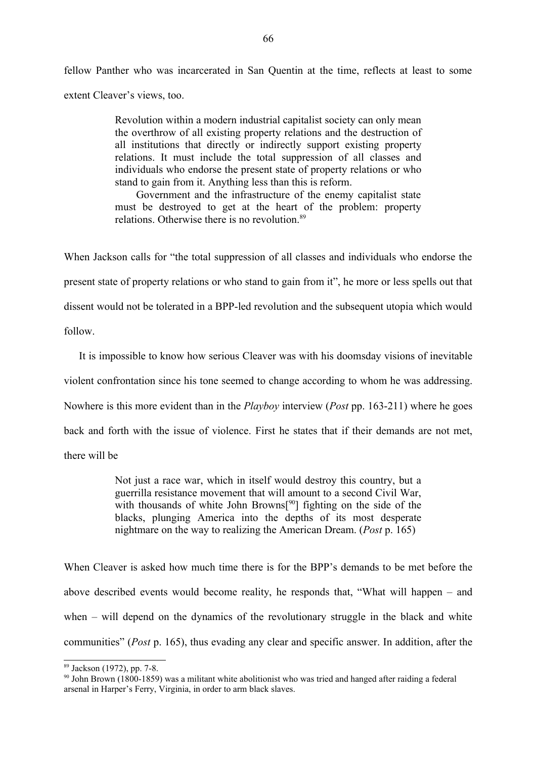fellow Panther who was incarcerated in San Quentin at the time, reflects at least to some extent Cleaver's views, too.

> Revolution within a modern industrial capitalist society can only mean the overthrow of all existing property relations and the destruction of all institutions that directly or indirectly support existing property relations. It must include the total suppression of all classes and individuals who endorse the present state of property relations or who stand to gain from it. Anything less than this is reform.

> Government and the infrastructure of the enemy capitalist state must be destroyed to get at the heart of the problem: property relations. Otherwise there is no revolution  $89$

When Jackson calls for "the total suppression of all classes and individuals who endorse the present state of property relations or who stand to gain from it", he more or less spells out that dissent would not be tolerated in a BPP-led revolution and the subsequent utopia which would follow.

It is impossible to know how serious Cleaver was with his doomsday visions of inevitable violent confrontation since his tone seemed to change according to whom he was addressing. Nowhere is this more evident than in the *Playboy* interview (*Post* pp. 163-211) where he goes back and forth with the issue of violence. First he states that if their demands are not met, there will be

> Not just a race war, which in itself would destroy this country, but a guerrilla resistance movement that will amount to a second Civil War, with thousands of white John Browns<sup>[[90](#page-69-1)</sup>] fighting on the side of the blacks, plunging America into the depths of its most desperate nightmare on the way to realizing the American Dream. (*Post* p. 165)

When Cleaver is asked how much time there is for the BPP's demands to be met before the above described events would become reality, he responds that, "What will happen – and when – will depend on the dynamics of the revolutionary struggle in the black and white communities" (*Post* p. 165), thus evading any clear and specific answer. In addition, after the

<span id="page-69-0"></span><sup>89</sup> Jackson (1972), pp. 7-8.

<span id="page-69-1"></span> $90$  John Brown (1800-1859) was a militant white abolitionist who was tried and hanged after raiding a federal arsenal in Harper's Ferry, Virginia, in order to arm black slaves.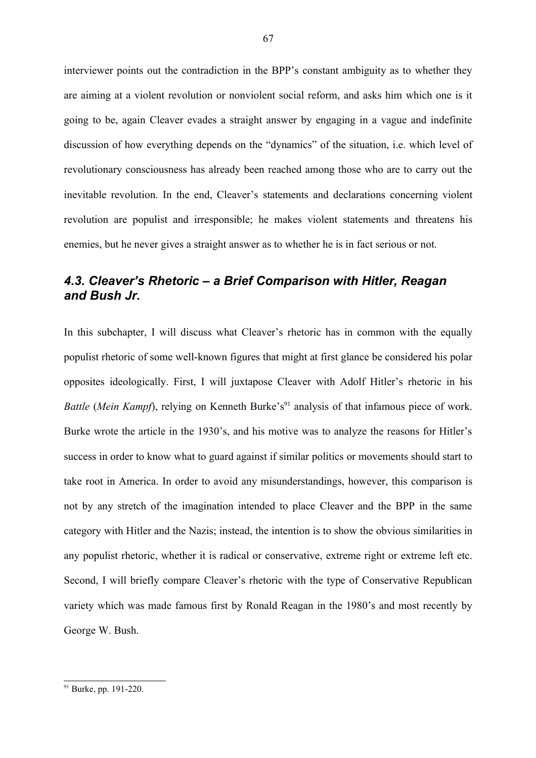interviewer points out the contradiction in the BPP's constant ambiguity as to whether they are aiming at a violent revolution or nonviolent social reform, and asks him which one is it going to be, again Cleaver evades a straight answer by engaging in a vague and indefinite discussion of how everything depends on the "dynamics" of the situation, i.e. which level of revolutionary consciousness has already been reached among those who are to carry out the inevitable revolution. In the end, Cleaver's statements and declarations concerning violent revolution are populist and irresponsible; he makes violent statements and threatens his enemies, but he never gives a straight answer as to whether he is in fact serious or not.

## *4.3. Cleaver's Rhetoric – a Brief Comparison with Hitler, Reagan and Bush Jr.*

In this subchapter, I will discuss what Cleaver's rhetoric has in common with the equally populist rhetoric of some well-known figures that might at first glance be considered his polar opposites ideologically. First, I will juxtapose Cleaver with Adolf Hitler's rhetoric in his *Battle* (*Mein Kampf*), relying on Kenneth Burke's<sup>[91](#page-70-0)</sup> analysis of that infamous piece of work. Burke wrote the article in the 1930's, and his motive was to analyze the reasons for Hitler's success in order to know what to guard against if similar politics or movements should start to take root in America. In order to avoid any misunderstandings, however, this comparison is not by any stretch of the imagination intended to place Cleaver and the BPP in the same category with Hitler and the Nazis; instead, the intention is to show the obvious similarities in any populist rhetoric, whether it is radical or conservative, extreme right or extreme left etc. Second, I will briefly compare Cleaver's rhetoric with the type of Conservative Republican variety which was made famous first by Ronald Reagan in the 1980's and most recently by George W. Bush.

<span id="page-70-0"></span> $91$  Burke, pp. 191-220.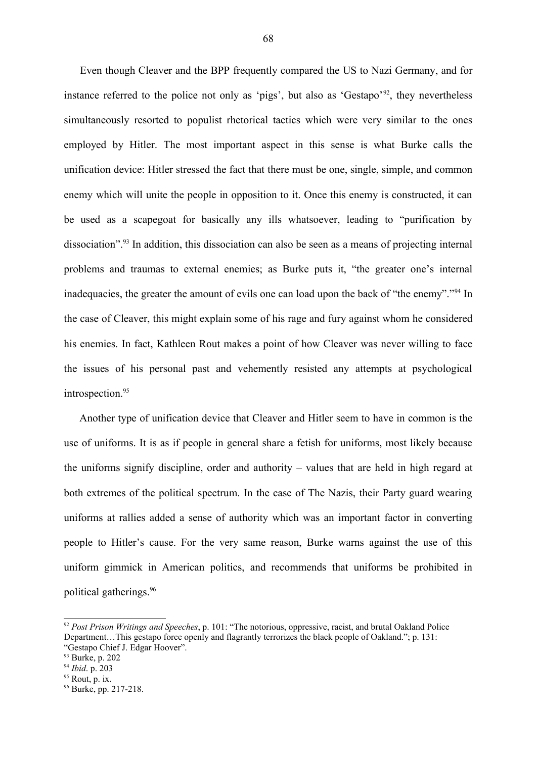Even though Cleaver and the BPP frequently compared the US to Nazi Germany, and for instance referred to the police not only as 'pigs', but also as 'Gestapo'<sup>[92](#page-71-0)</sup>, they nevertheless simultaneously resorted to populist rhetorical tactics which were very similar to the ones employed by Hitler. The most important aspect in this sense is what Burke calls the unification device: Hitler stressed the fact that there must be one, single, simple, and common enemy which will unite the people in opposition to it. Once this enemy is constructed, it can be used as a scapegoat for basically any ills whatsoever, leading to "purification by dissociation".<sup>[93](#page-71-1)</sup> In addition, this dissociation can also be seen as a means of projecting internal problems and traumas to external enemies; as Burke puts it, "the greater one's internal inadequacies, the greater the amount of evils one can load upon the back of "the enemy"."<sup>[94](#page-71-2)</sup> In the case of Cleaver, this might explain some of his rage and fury against whom he considered his enemies. In fact, Kathleen Rout makes a point of how Cleaver was never willing to face the issues of his personal past and vehemently resisted any attempts at psychological introspection.<sup>[95](#page-71-3)</sup>

Another type of unification device that Cleaver and Hitler seem to have in common is the use of uniforms. It is as if people in general share a fetish for uniforms, most likely because the uniforms signify discipline, order and authority – values that are held in high regard at both extremes of the political spectrum. In the case of The Nazis, their Party guard wearing uniforms at rallies added a sense of authority which was an important factor in converting people to Hitler's cause. For the very same reason, Burke warns against the use of this uniform gimmick in American politics, and recommends that uniforms be prohibited in political gatherings.<sup>[96](#page-71-4)</sup>

<span id="page-71-0"></span><sup>92</sup> *Post Prison Writings and Speeches*, p. 101: "The notorious, oppressive, racist, and brutal Oakland Police Department…This gestapo force openly and flagrantly terrorizes the black people of Oakland."; p. 131: "Gestapo Chief J. Edgar Hoover".

<span id="page-71-1"></span><sup>&</sup>lt;sup>93</sup> Burke, p. 202

<span id="page-71-2"></span><sup>94</sup> *Ibid*. p. 203

<span id="page-71-3"></span> $95$  Rout, p. ix.

<span id="page-71-4"></span><sup>96</sup> Burke, pp. 217-218.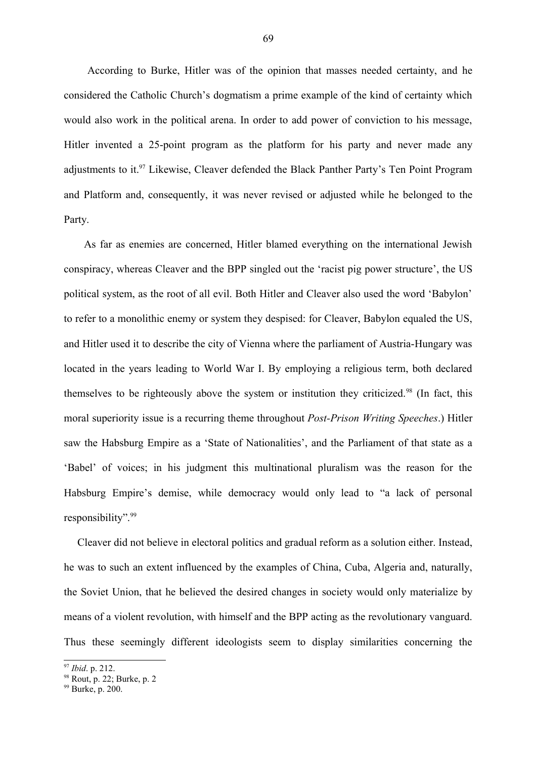According to Burke, Hitler was of the opinion that masses needed certainty, and he considered the Catholic Church's dogmatism a prime example of the kind of certainty which would also work in the political arena. In order to add power of conviction to his message, Hitler invented a 25-point program as the platform for his party and never made any adjustments to it.<sup>[97](#page-72-0)</sup> Likewise, Cleaver defended the Black Panther Party's Ten Point Program and Platform and, consequently, it was never revised or adjusted while he belonged to the Party.

As far as enemies are concerned, Hitler blamed everything on the international Jewish conspiracy, whereas Cleaver and the BPP singled out the 'racist pig power structure', the US political system, as the root of all evil. Both Hitler and Cleaver also used the word 'Babylon' to refer to a monolithic enemy or system they despised: for Cleaver, Babylon equaled the US, and Hitler used it to describe the city of Vienna where the parliament of Austria-Hungary was located in the years leading to World War I. By employing a religious term, both declared themselves to be righteously above the system or institution they criticized.<sup>[98](#page-72-1)</sup> (In fact, this moral superiority issue is a recurring theme throughout *Post-Prison Writing Speeches*.) Hitler saw the Habsburg Empire as a 'State of Nationalities', and the Parliament of that state as a 'Babel' of voices; in his judgment this multinational pluralism was the reason for the Habsburg Empire's demise, while democracy would only lead to "a lack of personal responsibility". [99](#page-72-2)

 Cleaver did not believe in electoral politics and gradual reform as a solution either. Instead, he was to such an extent influenced by the examples of China, Cuba, Algeria and, naturally, the Soviet Union, that he believed the desired changes in society would only materialize by means of a violent revolution, with himself and the BPP acting as the revolutionary vanguard. Thus these seemingly different ideologists seem to display similarities concerning the

<span id="page-72-0"></span><sup>97</sup> *Ibid*. p. 212.

<span id="page-72-1"></span><sup>98</sup> Rout, p. 22; Burke, p. 2

<span id="page-72-2"></span> $99$  Burke, p. 200.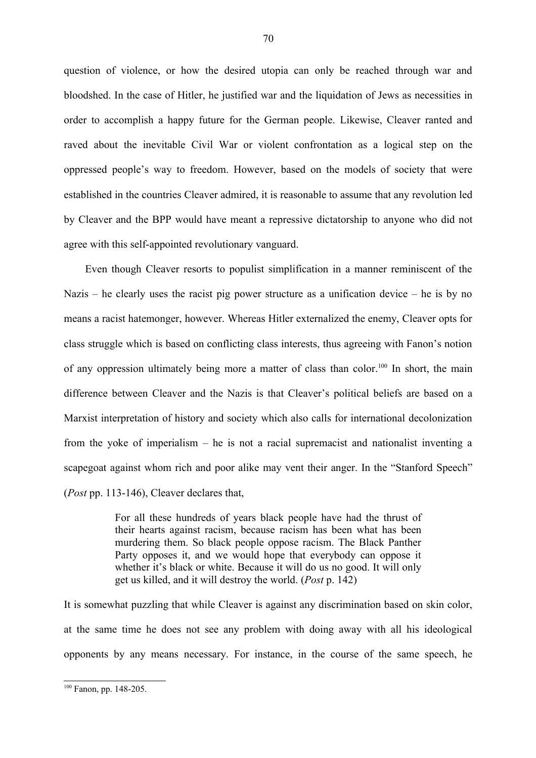question of violence, or how the desired utopia can only be reached through war and bloodshed. In the case of Hitler, he justified war and the liquidation of Jews as necessities in order to accomplish a happy future for the German people. Likewise, Cleaver ranted and raved about the inevitable Civil War or violent confrontation as a logical step on the oppressed people's way to freedom. However, based on the models of society that were established in the countries Cleaver admired, it is reasonable to assume that any revolution led by Cleaver and the BPP would have meant a repressive dictatorship to anyone who did not agree with this self-appointed revolutionary vanguard.

Even though Cleaver resorts to populist simplification in a manner reminiscent of the Nazis – he clearly uses the racist pig power structure as a unification device – he is by no means a racist hatemonger, however. Whereas Hitler externalized the enemy, Cleaver opts for class struggle which is based on conflicting class interests, thus agreeing with Fanon's notion of any oppression ultimately being more a matter of class than color.<sup>[100](#page-73-0)</sup> In short, the main difference between Cleaver and the Nazis is that Cleaver's political beliefs are based on a Marxist interpretation of history and society which also calls for international decolonization from the yoke of imperialism – he is not a racial supremacist and nationalist inventing a scapegoat against whom rich and poor alike may vent their anger. In the "Stanford Speech" (*Post* pp. 113-146), Cleaver declares that,

> For all these hundreds of years black people have had the thrust of their hearts against racism, because racism has been what has been murdering them. So black people oppose racism. The Black Panther Party opposes it, and we would hope that everybody can oppose it whether it's black or white. Because it will do us no good. It will only get us killed, and it will destroy the world. (*Post* p. 142)

It is somewhat puzzling that while Cleaver is against any discrimination based on skin color, at the same time he does not see any problem with doing away with all his ideological opponents by any means necessary. For instance, in the course of the same speech, he

<span id="page-73-0"></span><sup>&</sup>lt;sup>100</sup> Fanon, pp. 148-205.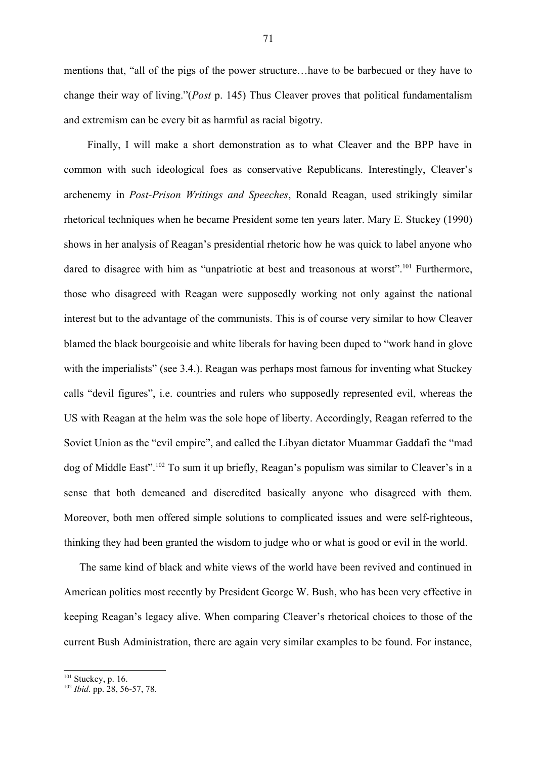mentions that, "all of the pigs of the power structure…have to be barbecued or they have to change their way of living."(*Post* p. 145) Thus Cleaver proves that political fundamentalism and extremism can be every bit as harmful as racial bigotry.

Finally, I will make a short demonstration as to what Cleaver and the BPP have in common with such ideological foes as conservative Republicans. Interestingly, Cleaver's archenemy in *Post-Prison Writings and Speeches*, Ronald Reagan, used strikingly similar rhetorical techniques when he became President some ten years later. Mary E. Stuckey (1990) shows in her analysis of Reagan's presidential rhetoric how he was quick to label anyone who dared to disagree with him as "unpatriotic at best and treasonous at worst".<sup>[101](#page-74-0)</sup> Furthermore, those who disagreed with Reagan were supposedly working not only against the national interest but to the advantage of the communists. This is of course very similar to how Cleaver blamed the black bourgeoisie and white liberals for having been duped to "work hand in glove with the imperialists" (see 3.4.). Reagan was perhaps most famous for inventing what Stuckey calls "devil figures", i.e. countries and rulers who supposedly represented evil, whereas the US with Reagan at the helm was the sole hope of liberty. Accordingly, Reagan referred to the Soviet Union as the "evil empire", and called the Libyan dictator Muammar Gaddafi the "mad dog of Middle East".<sup>[102](#page-74-1)</sup> To sum it up briefly, Reagan's populism was similar to Cleaver's in a sense that both demeaned and discredited basically anyone who disagreed with them. Moreover, both men offered simple solutions to complicated issues and were self-righteous, thinking they had been granted the wisdom to judge who or what is good or evil in the world.

The same kind of black and white views of the world have been revived and continued in American politics most recently by President George W. Bush, who has been very effective in keeping Reagan's legacy alive. When comparing Cleaver's rhetorical choices to those of the current Bush Administration, there are again very similar examples to be found. For instance,

<span id="page-74-0"></span> $101$  Stuckey, p. 16.

<span id="page-74-1"></span><sup>102</sup> *Ibid*. pp. 28, 56-57, 78.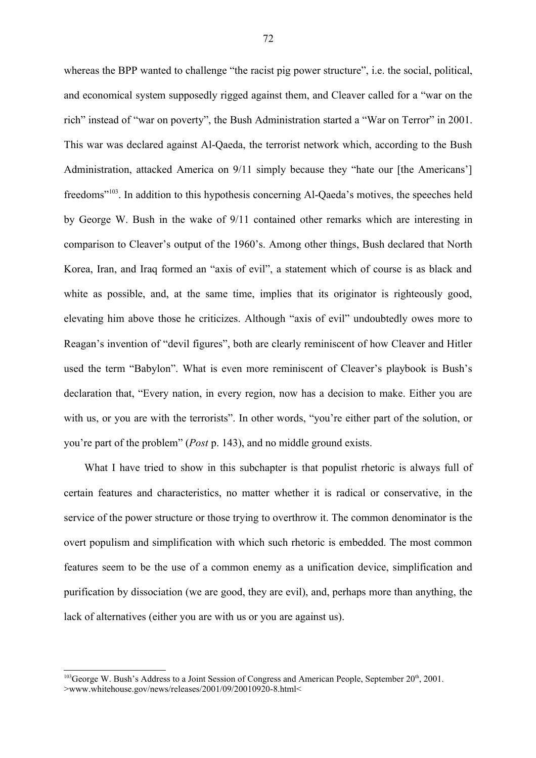whereas the BPP wanted to challenge "the racist pig power structure", i.e. the social, political, and economical system supposedly rigged against them, and Cleaver called for a "war on the rich" instead of "war on poverty", the Bush Administration started a "War on Terror" in 2001. This war was declared against Al-Qaeda, the terrorist network which, according to the Bush Administration, attacked America on 9/11 simply because they "hate our [the Americans'] freedoms"<sup>[103](#page-75-0)</sup>. In addition to this hypothesis concerning Al-Qaeda's motives, the speeches held by George W. Bush in the wake of 9/11 contained other remarks which are interesting in comparison to Cleaver's output of the 1960's. Among other things, Bush declared that North Korea, Iran, and Iraq formed an "axis of evil", a statement which of course is as black and white as possible, and, at the same time, implies that its originator is righteously good, elevating him above those he criticizes. Although "axis of evil" undoubtedly owes more to Reagan's invention of "devil figures", both are clearly reminiscent of how Cleaver and Hitler used the term "Babylon". What is even more reminiscent of Cleaver's playbook is Bush's declaration that, "Every nation, in every region, now has a decision to make. Either you are with us, or you are with the terrorists". In other words, "you're either part of the solution, or you're part of the problem" (*Post* p. 143), and no middle ground exists.

What I have tried to show in this subchapter is that populist rhetoric is always full of certain features and characteristics, no matter whether it is radical or conservative, in the service of the power structure or those trying to overthrow it. The common denominator is the overt populism and simplification with which such rhetoric is embedded. The most common features seem to be the use of a common enemy as a unification device, simplification and purification by dissociation (we are good, they are evil), and, perhaps more than anything, the lack of alternatives (either you are with us or you are against us).

<span id="page-75-0"></span> $103G$ eorge W. Bush's Address to a Joint Session of Congress and American People, September  $20^{\text{th}}$ , 2001. >www.whitehouse.gov/news/releases/2001/09/20010920-8.html<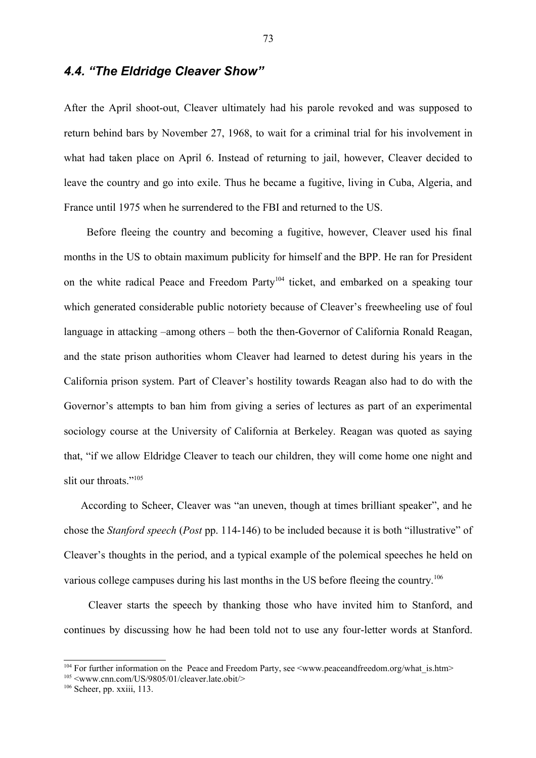### *4.4. "The Eldridge Cleaver Show"*

After the April shoot-out, Cleaver ultimately had his parole revoked and was supposed to return behind bars by November 27, 1968, to wait for a criminal trial for his involvement in what had taken place on April 6. Instead of returning to jail, however, Cleaver decided to leave the country and go into exile. Thus he became a fugitive, living in Cuba, Algeria, and France until 1975 when he surrendered to the FBI and returned to the US.

Before fleeing the country and becoming a fugitive, however, Cleaver used his final months in the US to obtain maximum publicity for himself and the BPP. He ran for President on the white radical Peace and Freedom Party<sup>[104](#page-76-0)</sup> ticket, and embarked on a speaking tour which generated considerable public notoriety because of Cleaver's freewheeling use of foul language in attacking –among others – both the then-Governor of California Ronald Reagan, and the state prison authorities whom Cleaver had learned to detest during his years in the California prison system. Part of Cleaver's hostility towards Reagan also had to do with the Governor's attempts to ban him from giving a series of lectures as part of an experimental sociology course at the University of California at Berkeley. Reagan was quoted as saying that, "if we allow Eldridge Cleaver to teach our children, they will come home one night and slit our throats."<sup>[105](#page-76-1)</sup>

According to Scheer, Cleaver was "an uneven, though at times brilliant speaker", and he chose the *Stanford speech* (*Post* pp. 114-146) to be included because it is both "illustrative" of Cleaver's thoughts in the period, and a typical example of the polemical speeches he held on various college campuses during his last months in the US before fleeing the country.<sup>[106](#page-76-2)</sup>

Cleaver starts the speech by thanking those who have invited him to Stanford, and continues by discussing how he had been told not to use any four-letter words at Stanford.

<span id="page-76-0"></span><sup>&</sup>lt;sup>104</sup> For further information on the Peace and Freedom Party, see <www.peaceandfreedom.org/what\_is.htm>

<span id="page-76-1"></span> $105 \leq$ www.cnn.com/US/9805/01/cleaver.late.obit/>

<span id="page-76-2"></span> $106$  Scheer, pp. xxiii, 113.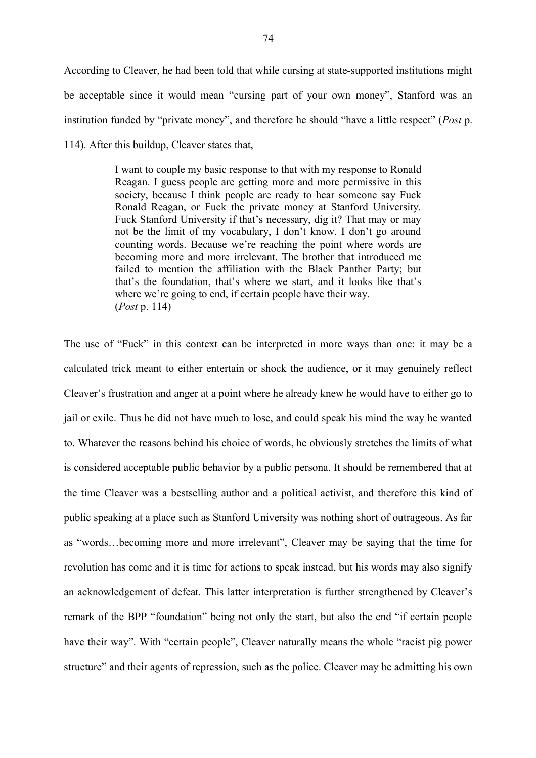According to Cleaver, he had been told that while cursing at state-supported institutions might be acceptable since it would mean "cursing part of your own money", Stanford was an institution funded by "private money", and therefore he should "have a little respect" (*Post* p. 114). After this buildup, Cleaver states that,

> I want to couple my basic response to that with my response to Ronald Reagan. I guess people are getting more and more permissive in this society, because I think people are ready to hear someone say Fuck Ronald Reagan, or Fuck the private money at Stanford University. Fuck Stanford University if that's necessary, dig it? That may or may not be the limit of my vocabulary, I don't know. I don't go around counting words. Because we're reaching the point where words are becoming more and more irrelevant. The brother that introduced me failed to mention the affiliation with the Black Panther Party; but that's the foundation, that's where we start, and it looks like that's where we're going to end, if certain people have their way. (*Post* p. 114)

The use of "Fuck" in this context can be interpreted in more ways than one: it may be a calculated trick meant to either entertain or shock the audience, or it may genuinely reflect Cleaver's frustration and anger at a point where he already knew he would have to either go to jail or exile. Thus he did not have much to lose, and could speak his mind the way he wanted to. Whatever the reasons behind his choice of words, he obviously stretches the limits of what is considered acceptable public behavior by a public persona. It should be remembered that at the time Cleaver was a bestselling author and a political activist, and therefore this kind of public speaking at a place such as Stanford University was nothing short of outrageous. As far as "words…becoming more and more irrelevant", Cleaver may be saying that the time for revolution has come and it is time for actions to speak instead, but his words may also signify an acknowledgement of defeat. This latter interpretation is further strengthened by Cleaver's remark of the BPP "foundation" being not only the start, but also the end "if certain people have their way". With "certain people", Cleaver naturally means the whole "racist pig power structure" and their agents of repression, such as the police. Cleaver may be admitting his own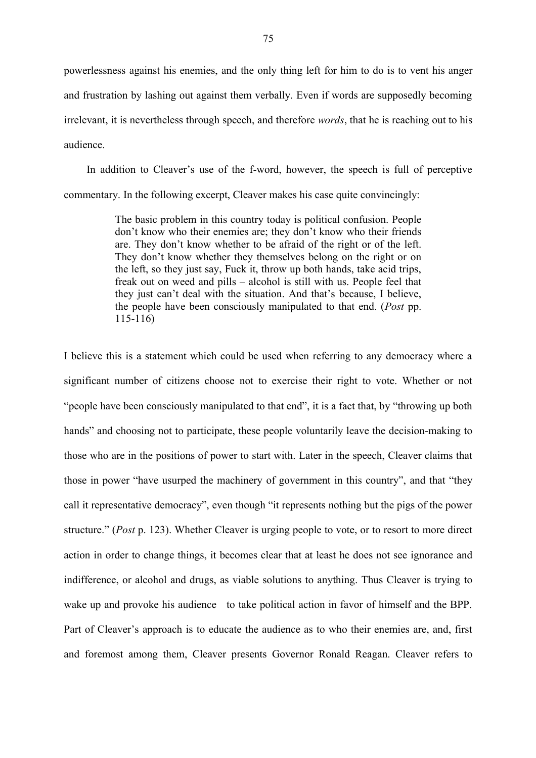powerlessness against his enemies, and the only thing left for him to do is to vent his anger and frustration by lashing out against them verbally. Even if words are supposedly becoming irrelevant, it is nevertheless through speech, and therefore *words*, that he is reaching out to his audience.

In addition to Cleaver's use of the f-word, however, the speech is full of perceptive commentary. In the following excerpt, Cleaver makes his case quite convincingly:

> The basic problem in this country today is political confusion. People don't know who their enemies are; they don't know who their friends are. They don't know whether to be afraid of the right or of the left. They don't know whether they themselves belong on the right or on the left, so they just say, Fuck it, throw up both hands, take acid trips, freak out on weed and pills – alcohol is still with us. People feel that they just can't deal with the situation. And that's because, I believe, the people have been consciously manipulated to that end. (*Post* pp. 115-116)

I believe this is a statement which could be used when referring to any democracy where a significant number of citizens choose not to exercise their right to vote. Whether or not "people have been consciously manipulated to that end", it is a fact that, by "throwing up both hands" and choosing not to participate, these people voluntarily leave the decision-making to those who are in the positions of power to start with. Later in the speech, Cleaver claims that those in power "have usurped the machinery of government in this country", and that "they call it representative democracy", even though "it represents nothing but the pigs of the power structure." (*Post* p. 123). Whether Cleaver is urging people to vote, or to resort to more direct action in order to change things, it becomes clear that at least he does not see ignorance and indifference, or alcohol and drugs, as viable solutions to anything. Thus Cleaver is trying to wake up and provoke his audience to take political action in favor of himself and the BPP. Part of Cleaver's approach is to educate the audience as to who their enemies are, and, first and foremost among them, Cleaver presents Governor Ronald Reagan. Cleaver refers to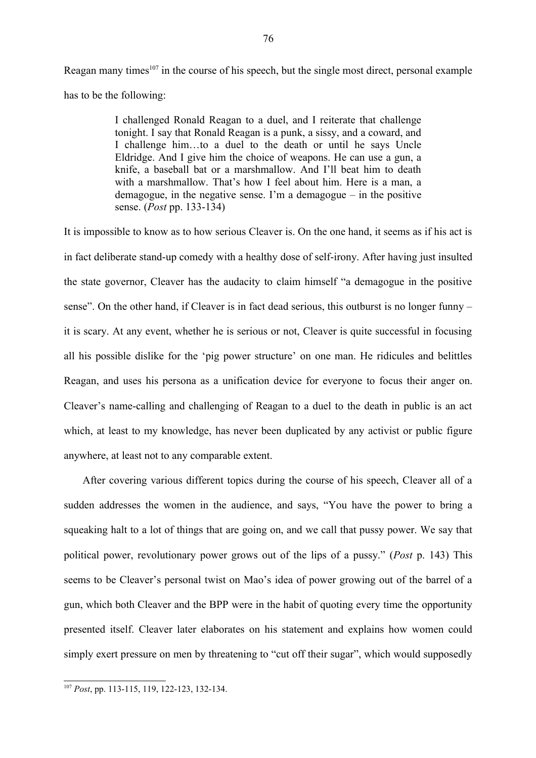Reagan many times $107$  in the course of his speech, but the single most direct, personal example has to be the following:

> I challenged Ronald Reagan to a duel, and I reiterate that challenge tonight. I say that Ronald Reagan is a punk, a sissy, and a coward, and I challenge him…to a duel to the death or until he says Uncle Eldridge. And I give him the choice of weapons. He can use a gun, a knife, a baseball bat or a marshmallow. And I'll beat him to death with a marshmallow. That's how I feel about him. Here is a man, a demagogue, in the negative sense. I'm a demagogue – in the positive sense. (*Post* pp. 133-134)

It is impossible to know as to how serious Cleaver is. On the one hand, it seems as if his act is in fact deliberate stand-up comedy with a healthy dose of self-irony. After having just insulted the state governor, Cleaver has the audacity to claim himself "a demagogue in the positive sense". On the other hand, if Cleaver is in fact dead serious, this outburst is no longer funny – it is scary. At any event, whether he is serious or not, Cleaver is quite successful in focusing all his possible dislike for the 'pig power structure' on one man. He ridicules and belittles Reagan, and uses his persona as a unification device for everyone to focus their anger on. Cleaver's name-calling and challenging of Reagan to a duel to the death in public is an act which, at least to my knowledge, has never been duplicated by any activist or public figure anywhere, at least not to any comparable extent.

After covering various different topics during the course of his speech, Cleaver all of a sudden addresses the women in the audience, and says, "You have the power to bring a squeaking halt to a lot of things that are going on, and we call that pussy power. We say that political power, revolutionary power grows out of the lips of a pussy." (*Post* p. 143) This seems to be Cleaver's personal twist on Mao's idea of power growing out of the barrel of a gun, which both Cleaver and the BPP were in the habit of quoting every time the opportunity presented itself. Cleaver later elaborates on his statement and explains how women could simply exert pressure on men by threatening to "cut off their sugar", which would supposedly

<span id="page-79-0"></span><sup>107</sup> *Post*, pp. 113-115, 119, 122-123, 132-134.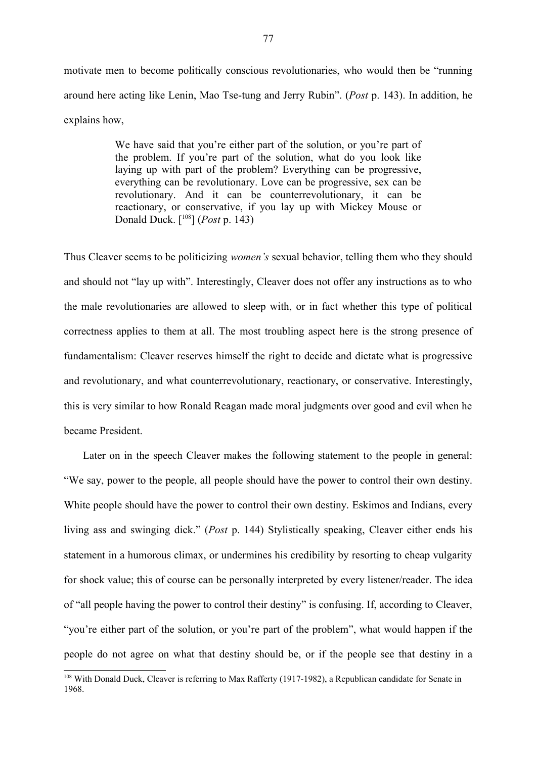motivate men to become politically conscious revolutionaries, who would then be "running around here acting like Lenin, Mao Tse-tung and Jerry Rubin". (*Post* p. 143). In addition, he explains how,

> We have said that you're either part of the solution, or you're part of the problem. If you're part of the solution, what do you look like laying up with part of the problem? Everything can be progressive, everything can be revolutionary. Love can be progressive, sex can be revolutionary. And it can be counterrevolutionary, it can be reactionary, or conservative, if you lay up with Mickey Mouse or Donald Duck. [[108](#page-80-0)] (*Post* p. 143)

Thus Cleaver seems to be politicizing *women's* sexual behavior, telling them who they should and should not "lay up with". Interestingly, Cleaver does not offer any instructions as to who the male revolutionaries are allowed to sleep with, or in fact whether this type of political correctness applies to them at all. The most troubling aspect here is the strong presence of fundamentalism: Cleaver reserves himself the right to decide and dictate what is progressive and revolutionary, and what counterrevolutionary, reactionary, or conservative. Interestingly, this is very similar to how Ronald Reagan made moral judgments over good and evil when he became President.

Later on in the speech Cleaver makes the following statement to the people in general: "We say, power to the people, all people should have the power to control their own destiny. White people should have the power to control their own destiny. Eskimos and Indians, every living ass and swinging dick." (*Post* p. 144) Stylistically speaking, Cleaver either ends his statement in a humorous climax, or undermines his credibility by resorting to cheap vulgarity for shock value; this of course can be personally interpreted by every listener/reader. The idea of "all people having the power to control their destiny" is confusing. If, according to Cleaver, "you're either part of the solution, or you're part of the problem", what would happen if the people do not agree on what that destiny should be, or if the people see that destiny in a

<span id="page-80-0"></span><sup>&</sup>lt;sup>108</sup> With Donald Duck, Cleaver is referring to Max Rafferty (1917-1982), a Republican candidate for Senate in 1968.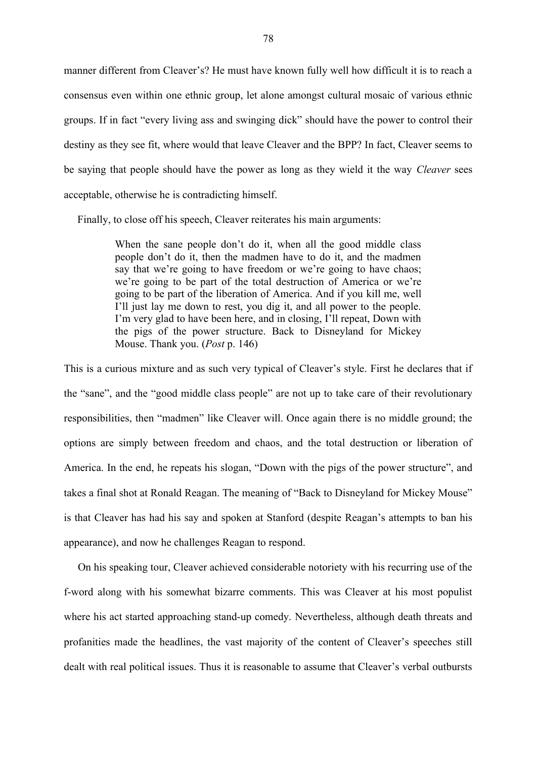manner different from Cleaver's? He must have known fully well how difficult it is to reach a consensus even within one ethnic group, let alone amongst cultural mosaic of various ethnic groups. If in fact "every living ass and swinging dick" should have the power to control their destiny as they see fit, where would that leave Cleaver and the BPP? In fact, Cleaver seems to be saying that people should have the power as long as they wield it the way *Cleaver* sees acceptable, otherwise he is contradicting himself.

Finally, to close off his speech, Cleaver reiterates his main arguments:

When the sane people don't do it, when all the good middle class people don't do it, then the madmen have to do it, and the madmen say that we're going to have freedom or we're going to have chaos; we're going to be part of the total destruction of America or we're going to be part of the liberation of America. And if you kill me, well I'll just lay me down to rest, you dig it, and all power to the people. I'm very glad to have been here, and in closing, I'll repeat, Down with the pigs of the power structure. Back to Disneyland for Mickey Mouse. Thank you. (*Post* p. 146)

This is a curious mixture and as such very typical of Cleaver's style. First he declares that if the "sane", and the "good middle class people" are not up to take care of their revolutionary responsibilities, then "madmen" like Cleaver will. Once again there is no middle ground; the options are simply between freedom and chaos, and the total destruction or liberation of America. In the end, he repeats his slogan, "Down with the pigs of the power structure", and takes a final shot at Ronald Reagan. The meaning of "Back to Disneyland for Mickey Mouse" is that Cleaver has had his say and spoken at Stanford (despite Reagan's attempts to ban his appearance), and now he challenges Reagan to respond.

On his speaking tour, Cleaver achieved considerable notoriety with his recurring use of the f-word along with his somewhat bizarre comments. This was Cleaver at his most populist where his act started approaching stand-up comedy. Nevertheless, although death threats and profanities made the headlines, the vast majority of the content of Cleaver's speeches still dealt with real political issues. Thus it is reasonable to assume that Cleaver's verbal outbursts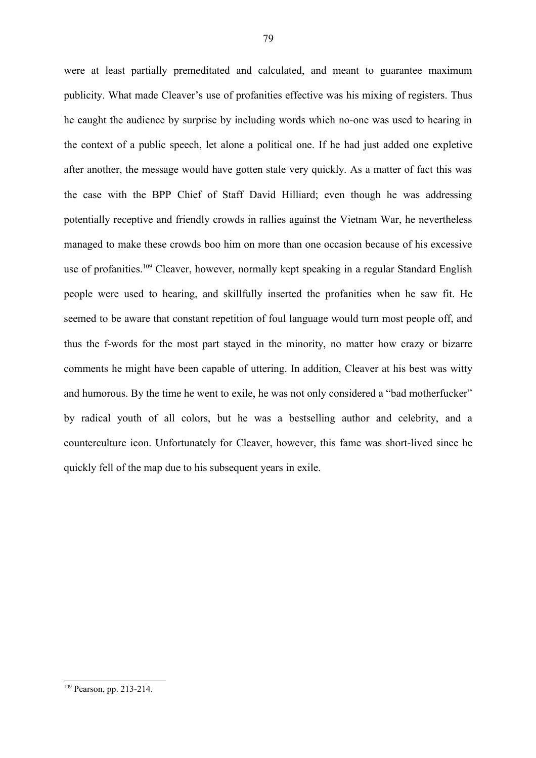were at least partially premeditated and calculated, and meant to guarantee maximum publicity. What made Cleaver's use of profanities effective was his mixing of registers. Thus he caught the audience by surprise by including words which no-one was used to hearing in the context of a public speech, let alone a political one. If he had just added one expletive after another, the message would have gotten stale very quickly. As a matter of fact this was the case with the BPP Chief of Staff David Hilliard; even though he was addressing potentially receptive and friendly crowds in rallies against the Vietnam War, he nevertheless managed to make these crowds boo him on more than one occasion because of his excessive use of profanities.<sup>[109](#page-82-0)</sup> Cleaver, however, normally kept speaking in a regular Standard English people were used to hearing, and skillfully inserted the profanities when he saw fit. He seemed to be aware that constant repetition of foul language would turn most people off, and thus the f-words for the most part stayed in the minority, no matter how crazy or bizarre comments he might have been capable of uttering. In addition, Cleaver at his best was witty and humorous. By the time he went to exile, he was not only considered a "bad motherfucker" by radical youth of all colors, but he was a bestselling author and celebrity, and a counterculture icon. Unfortunately for Cleaver, however, this fame was short-lived since he quickly fell of the map due to his subsequent years in exile.

<span id="page-82-0"></span><sup>109</sup> Pearson, pp. 213-214.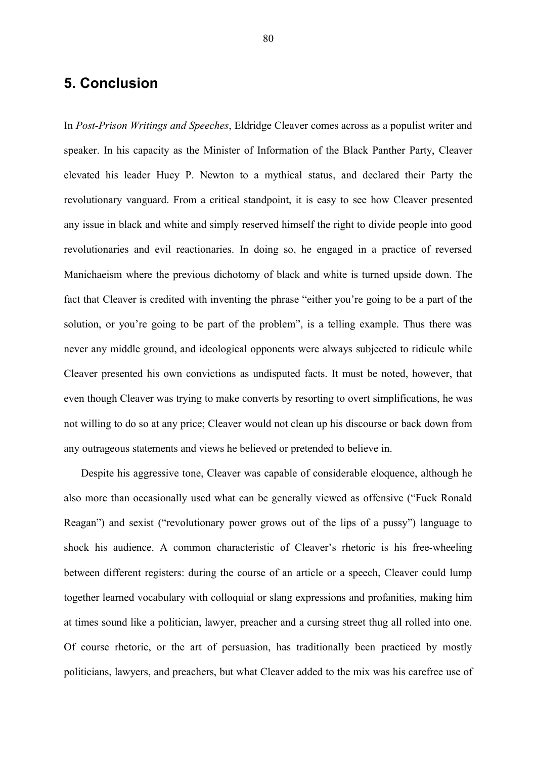## **5. Conclusion**

In *Post-Prison Writings and Speeches*, Eldridge Cleaver comes across as a populist writer and speaker. In his capacity as the Minister of Information of the Black Panther Party, Cleaver elevated his leader Huey P. Newton to a mythical status, and declared their Party the revolutionary vanguard. From a critical standpoint, it is easy to see how Cleaver presented any issue in black and white and simply reserved himself the right to divide people into good revolutionaries and evil reactionaries. In doing so, he engaged in a practice of reversed Manichaeism where the previous dichotomy of black and white is turned upside down. The fact that Cleaver is credited with inventing the phrase "either you're going to be a part of the solution, or you're going to be part of the problem", is a telling example. Thus there was never any middle ground, and ideological opponents were always subjected to ridicule while Cleaver presented his own convictions as undisputed facts. It must be noted, however, that even though Cleaver was trying to make converts by resorting to overt simplifications, he was not willing to do so at any price; Cleaver would not clean up his discourse or back down from any outrageous statements and views he believed or pretended to believe in.

Despite his aggressive tone, Cleaver was capable of considerable eloquence, although he also more than occasionally used what can be generally viewed as offensive ("Fuck Ronald Reagan") and sexist ("revolutionary power grows out of the lips of a pussy") language to shock his audience. A common characteristic of Cleaver's rhetoric is his free-wheeling between different registers: during the course of an article or a speech, Cleaver could lump together learned vocabulary with colloquial or slang expressions and profanities, making him at times sound like a politician, lawyer, preacher and a cursing street thug all rolled into one. Of course rhetoric, or the art of persuasion, has traditionally been practiced by mostly politicians, lawyers, and preachers, but what Cleaver added to the mix was his carefree use of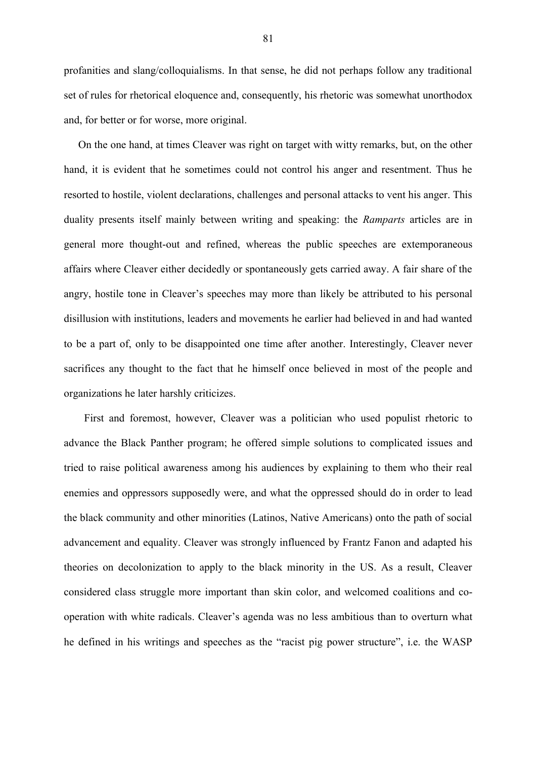profanities and slang/colloquialisms. In that sense, he did not perhaps follow any traditional set of rules for rhetorical eloquence and, consequently, his rhetoric was somewhat unorthodox and, for better or for worse, more original.

On the one hand, at times Cleaver was right on target with witty remarks, but, on the other hand, it is evident that he sometimes could not control his anger and resentment. Thus he resorted to hostile, violent declarations, challenges and personal attacks to vent his anger. This duality presents itself mainly between writing and speaking: the *Ramparts* articles are in general more thought-out and refined, whereas the public speeches are extemporaneous affairs where Cleaver either decidedly or spontaneously gets carried away. A fair share of the angry, hostile tone in Cleaver's speeches may more than likely be attributed to his personal disillusion with institutions, leaders and movements he earlier had believed in and had wanted to be a part of, only to be disappointed one time after another. Interestingly, Cleaver never sacrifices any thought to the fact that he himself once believed in most of the people and organizations he later harshly criticizes.

First and foremost, however, Cleaver was a politician who used populist rhetoric to advance the Black Panther program; he offered simple solutions to complicated issues and tried to raise political awareness among his audiences by explaining to them who their real enemies and oppressors supposedly were, and what the oppressed should do in order to lead the black community and other minorities (Latinos, Native Americans) onto the path of social advancement and equality. Cleaver was strongly influenced by Frantz Fanon and adapted his theories on decolonization to apply to the black minority in the US. As a result, Cleaver considered class struggle more important than skin color, and welcomed coalitions and cooperation with white radicals. Cleaver's agenda was no less ambitious than to overturn what he defined in his writings and speeches as the "racist pig power structure", i.e. the WASP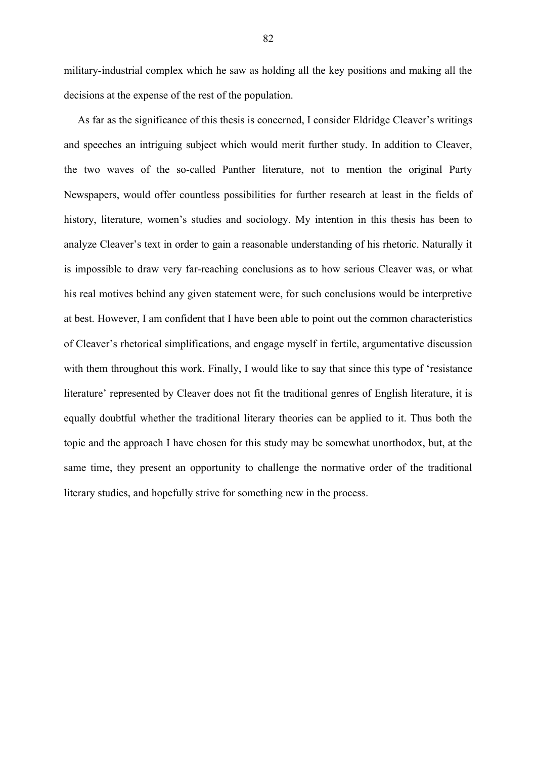military-industrial complex which he saw as holding all the key positions and making all the decisions at the expense of the rest of the population.

 As far as the significance of this thesis is concerned, I consider Eldridge Cleaver's writings and speeches an intriguing subject which would merit further study. In addition to Cleaver, the two waves of the so-called Panther literature, not to mention the original Party Newspapers, would offer countless possibilities for further research at least in the fields of history, literature, women's studies and sociology. My intention in this thesis has been to analyze Cleaver's text in order to gain a reasonable understanding of his rhetoric. Naturally it is impossible to draw very far-reaching conclusions as to how serious Cleaver was, or what his real motives behind any given statement were, for such conclusions would be interpretive at best. However, I am confident that I have been able to point out the common characteristics of Cleaver's rhetorical simplifications, and engage myself in fertile, argumentative discussion with them throughout this work. Finally, I would like to say that since this type of 'resistance literature' represented by Cleaver does not fit the traditional genres of English literature, it is equally doubtful whether the traditional literary theories can be applied to it. Thus both the topic and the approach I have chosen for this study may be somewhat unorthodox, but, at the same time, they present an opportunity to challenge the normative order of the traditional literary studies, and hopefully strive for something new in the process.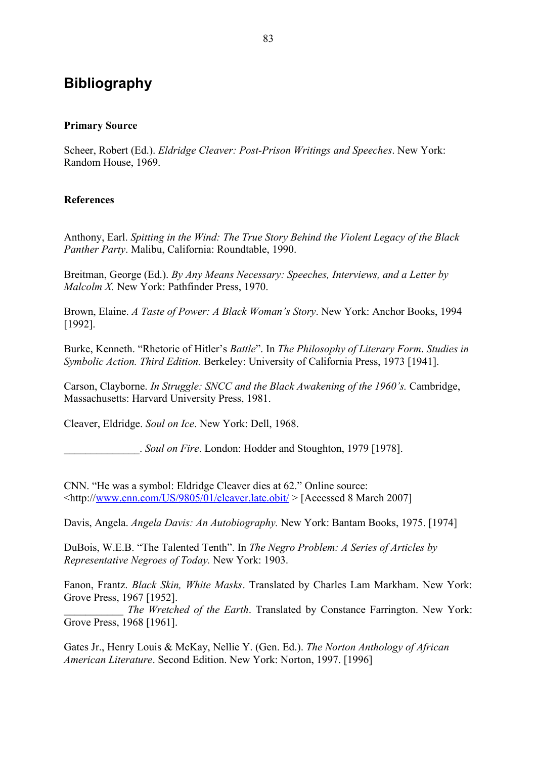# **Bibliography**

### **Primary Source**

Scheer, Robert (Ed.). *Eldridge Cleaver: Post-Prison Writings and Speeches*. New York: Random House, 1969.

### **References**

Anthony, Earl. *Spitting in the Wind: The True Story Behind the Violent Legacy of the Black Panther Party*. Malibu, California: Roundtable, 1990.

Breitman, George (Ed.). *By Any Means Necessary: Speeches, Interviews, and a Letter by Malcolm X.* New York: Pathfinder Press, 1970.

Brown, Elaine. *A Taste of Power: A Black Woman's Story*. New York: Anchor Books, 1994 [1992].

Burke, Kenneth. "Rhetoric of Hitler's *Battle*". In *The Philosophy of Literary Form*. *Studies in Symbolic Action. Third Edition.* Berkeley: University of California Press, 1973 [1941].

Carson, Clayborne. *In Struggle: SNCC and the Black Awakening of the 1960's.* Cambridge, Massachusetts: Harvard University Press, 1981.

Cleaver, Eldridge. *Soul on Ice*. New York: Dell, 1968.

\_\_\_\_\_\_\_\_\_\_\_\_\_\_. *Soul on Fire*. London: Hodder and Stoughton, 1979 [1978].

CNN. "He was a symbol: Eldridge Cleaver dies at 62." Online source: <http:/[/www.cnn.com/US/9805/01/cleaver.late.obit/](http://www.cnn.com/US/9805/01/cleaver.late.obit/) > [Accessed 8 March 2007]

Davis, Angela. *Angela Davis: An Autobiography.* New York: Bantam Books, 1975. [1974]

DuBois, W.E.B. "The Talented Tenth". In *The Negro Problem: A Series of Articles by Representative Negroes of Today.* New York: 1903.

Fanon, Frantz. *Black Skin, White Masks*. Translated by Charles Lam Markham. New York: Grove Press, 1967 [1952].

\_\_\_\_\_\_\_\_\_\_\_ *The Wretched of the Earth*. Translated by Constance Farrington. New York: Grove Press, 1968 [1961].

Gates Jr., Henry Louis & McKay, Nellie Y. (Gen. Ed.). *The Norton Anthology of African American Literature*. Second Edition. New York: Norton, 1997. [1996]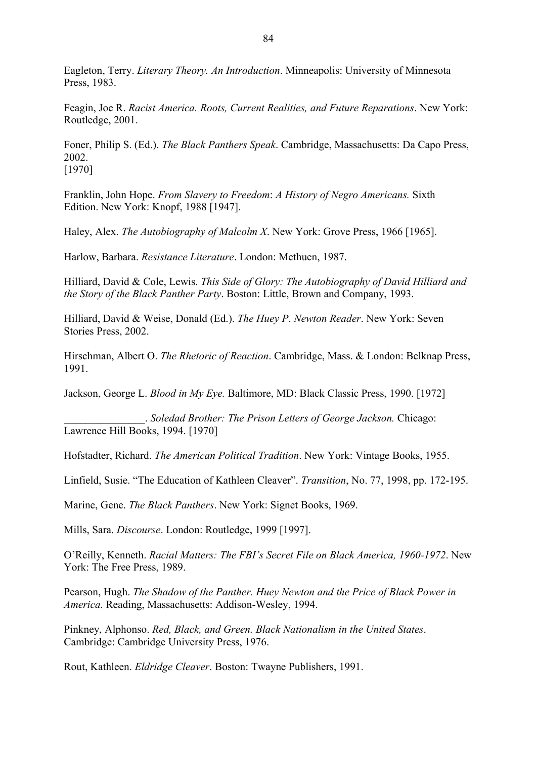Eagleton, Terry. *Literary Theory. An Introduction*. Minneapolis: University of Minnesota Press, 1983.

Feagin, Joe R. *Racist America. Roots, Current Realities, and Future Reparations*. New York: Routledge, 2001.

Foner, Philip S. (Ed.). *The Black Panthers Speak*. Cambridge, Massachusetts: Da Capo Press, 2002. [1970]

Franklin, John Hope. *From Slavery to Freedom*: *A History of Negro Americans.* Sixth Edition. New York: Knopf, 1988 [1947].

Haley, Alex. *The Autobiography of Malcolm X*. New York: Grove Press, 1966 [1965].

Harlow, Barbara. *Resistance Literature*. London: Methuen, 1987.

Hilliard, David & Cole, Lewis. *This Side of Glory: The Autobiography of David Hilliard and the Story of the Black Panther Party*. Boston: Little, Brown and Company, 1993.

Hilliard, David & Weise, Donald (Ed.). *The Huey P. Newton Reader*. New York: Seven Stories Press, 2002.

Hirschman, Albert O. *The Rhetoric of Reaction*. Cambridge, Mass. & London: Belknap Press, 1991.

Jackson, George L. *Blood in My Eye.* Baltimore, MD: Black Classic Press, 1990. [1972]

\_\_\_\_\_\_\_\_\_\_\_\_\_\_\_. *Soledad Brother: The Prison Letters of George Jackson.* Chicago: Lawrence Hill Books, 1994. [1970]

Hofstadter, Richard. *The American Political Tradition*. New York: Vintage Books, 1955.

Linfield, Susie. "The Education of Kathleen Cleaver". *Transition*, No. 77, 1998, pp. 172-195.

Marine, Gene. *The Black Panthers*. New York: Signet Books, 1969.

Mills, Sara. *Discourse*. London: Routledge, 1999 [1997].

O'Reilly, Kenneth. *Racial Matters: The FBI's Secret File on Black America, 1960-1972*. New York: The Free Press, 1989.

Pearson, Hugh. *The Shadow of the Panther. Huey Newton and the Price of Black Power in America.* Reading, Massachusetts: Addison-Wesley, 1994.

Pinkney, Alphonso. *Red, Black, and Green. Black Nationalism in the United States*. Cambridge: Cambridge University Press, 1976.

Rout, Kathleen. *Eldridge Cleaver*. Boston: Twayne Publishers, 1991.